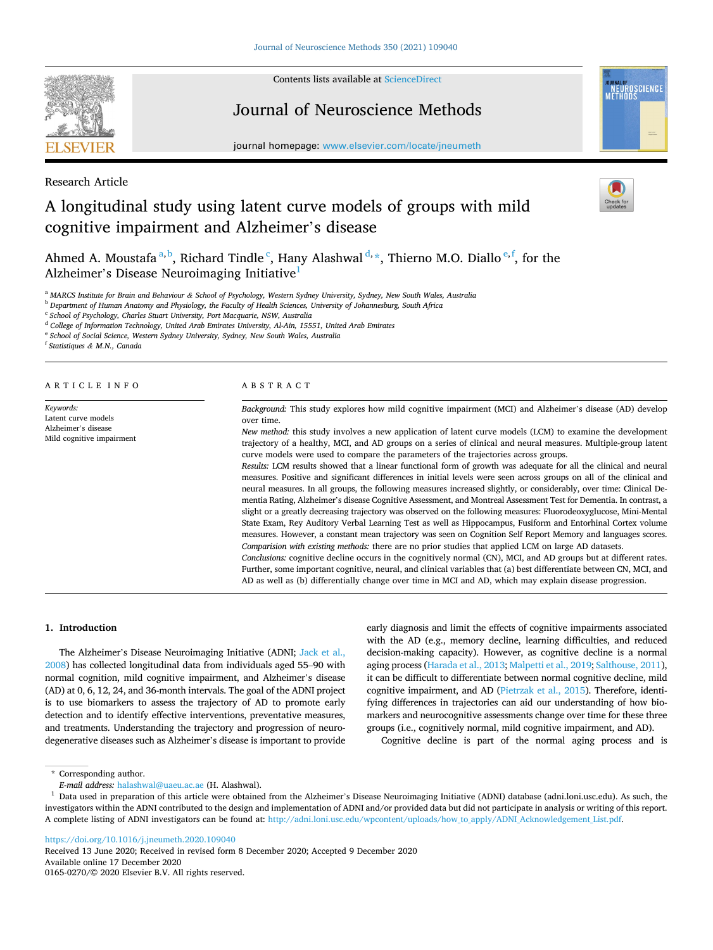

Contents lists available at [ScienceDirect](www.sciencedirect.com/science/journal/01650270)

# Journal of Neuroscience Methods

journal homepage: [www.elsevier.com/locate/jneumeth](https://www.elsevier.com/locate/jneumeth)



Research Article

# A longitudinal study using latent curve models of groups with mild cognitive impairment and Alzheimer's disease

Ahmed A. Moustafa<sup>a, b</sup>, Richard Tindle<sup>c</sup>, Hany Alashwal<sup>d, \*</sup>, Thierno M.O. Diallo<sup>e, f</sup>, for the Alzheimer's Disease Neuroimaging Initiative<sup>1</sup>

<sup>a</sup> *MARCS Institute for Brain and Behaviour & School of Psychology, Western Sydney University, Sydney, New South Wales, Australia* 

<sup>b</sup> *Department of Human Anatomy and Physiology, the Faculty of Health Sciences, University of Johannesburg, South Africa* 

<sup>c</sup> *School of Psychology, Charles Stuart University, Port Macquarie, NSW, Australia* 

<sup>d</sup> *College of Information Technology, United Arab Emirates University, Al-Ain, 15551, United Arab Emirates* 

<sup>e</sup> *School of Social Science, Western Sydney University, Sydney, New South Wales, Australia* 

<sup>f</sup> *Statistiques & M.N., Canada* 

#### ARTICLE INFO

*Keywords:*  Latent curve models Alzheimer's disease Mild cognitive impairment

#### ABSTRACT

*Background:* This study explores how mild cognitive impairment (MCI) and Alzheimer's disease (AD) develop over time.

*New method:* this study involves a new application of latent curve models (LCM) to examine the development trajectory of a healthy, MCI, and AD groups on a series of clinical and neural measures. Multiple-group latent curve models were used to compare the parameters of the trajectories across groups.

*Results:* LCM results showed that a linear functional form of growth was adequate for all the clinical and neural measures. Positive and significant differences in initial levels were seen across groups on all of the clinical and neural measures. In all groups, the following measures increased slightly, or considerably, over time: Clinical Dementia Rating, Alzheimer's disease Cognitive Assessment, and Montreal Assessment Test for Dementia. In contrast, a slight or a greatly decreasing trajectory was observed on the following measures: Fluorodeoxyglucose, Mini-Mental State Exam, Rey Auditory Verbal Learning Test as well as Hippocampus, Fusiform and Entorhinal Cortex volume measures. However, a constant mean trajectory was seen on Cognition Self Report Memory and languages scores. *Comparision with existing methods:* there are no prior studies that applied LCM on large AD datasets. *Conclusions:* cognitive decline occurs in the cognitively normal (CN), MCI, and AD groups but at different rates.

Further, some important cognitive, neural, and clinical variables that (a) best differentiate between CN, MCI, and AD as well as (b) differentially change over time in MCI and AD, which may explain disease progression.

# **1. Introduction**

The Alzheimer's Disease Neuroimaging Initiative (ADNI; [Jack et al.,](#page-21-0)  [2008](#page-21-0)) has collected longitudinal data from individuals aged 55–90 with normal cognition, mild cognitive impairment, and Alzheimer's disease (AD) at 0, 6, 12, 24, and 36-month intervals. The goal of the ADNI project is to use biomarkers to assess the trajectory of AD to promote early detection and to identify effective interventions, preventative measures, and treatments. Understanding the trajectory and progression of neurodegenerative diseases such as Alzheimer's disease is important to provide

early diagnosis and limit the effects of cognitive impairments associated with the AD (e.g., memory decline, learning difficulties, and reduced decision-making capacity). However, as cognitive decline is a normal aging process [\(Harada et al., 2013; Malpetti et al., 2019](#page-21-0); [Salthouse, 2011\)](#page-22-0), it can be difficult to differentiate between normal cognitive decline, mild cognitive impairment, and AD [\(Pietrzak et al., 2015](#page-22-0)). Therefore, identifying differences in trajectories can aid our understanding of how biomarkers and neurocognitive assessments change over time for these three groups (i.e., cognitively normal, mild cognitive impairment, and AD).

Cognitive decline is part of the normal aging process and is

\* Corresponding author.

<https://doi.org/10.1016/j.jneumeth.2020.109040>

Available online 17 December 2020 0165-0270/© 2020 Elsevier B.V. All rights reserved. Received 13 June 2020; Received in revised form 8 December 2020; Accepted 9 December 2020

*E-mail address:* [halashwal@uaeu.ac.ae](mailto:halashwal@uaeu.ac.ae) (H. Alashwal). 1 Data used in preparation of this article were obtained from the Alzheimer's Disease Neuroimaging Initiative (ADNI) database (adni.loni.usc.edu). As such, the investigators within the ADNI contributed to the design and implementation of ADNI and/or provided data but did not participate in analysis or writing of this report. A complete listing of ADNI investigators can be found at: [http://adni.loni.usc.edu/wpcontent/uploads/how\\_to\\_apply/ADNI\\_Acknowledgement\\_List.pdf](http://adni.loni.usc.edu/wpcontent/uploads/how_to_apply/ADNI_Acknowledgement_List.pdf).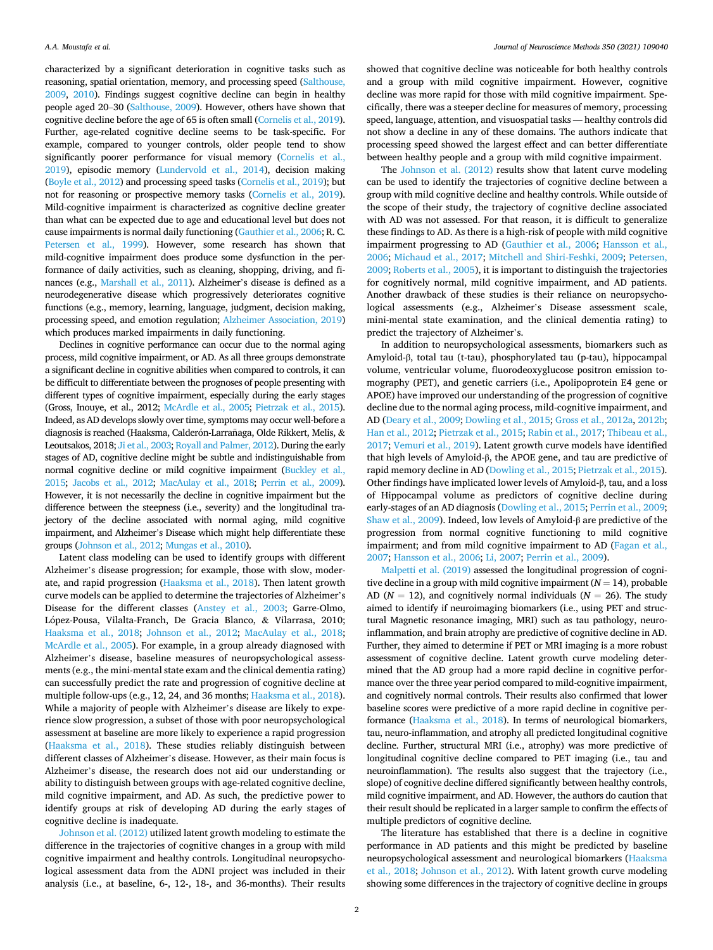characterized by a significant deterioration in cognitive tasks such as reasoning, spatial orientation, memory, and processing speed ([Salthouse,](#page-22-0)  [2009](#page-22-0), [2010\)](#page-22-0). Findings suggest cognitive decline can begin in healthy people aged 20–30 ([Salthouse, 2009\)](#page-22-0). However, others have shown that cognitive decline before the age of 65 is often small ([Cornelis et al., 2019\)](#page-21-0). Further, age-related cognitive decline seems to be task-specific. For example, compared to younger controls, older people tend to show significantly poorer performance for visual memory (Cornelis et al., [2019](#page-21-0)), episodic memory [\(Lundervold et al., 2014\)](#page-21-0), decision making ([Boyle et al., 2012](#page-21-0)) and processing speed tasks [\(Cornelis et al., 2019](#page-21-0)); but not for reasoning or prospective memory tasks ([Cornelis et al., 2019\)](#page-21-0). Mild-cognitive impairment is characterized as cognitive decline greater than what can be expected due to age and educational level but does not cause impairments is normal daily functioning [\(Gauthier et al., 2006;](#page-21-0) R. C. [Petersen et al., 1999\)](#page-22-0). However, some research has shown that mild-cognitive impairment does produce some dysfunction in the performance of daily activities, such as cleaning, shopping, driving, and finances (e.g., [Marshall et al., 2011\)](#page-21-0). Alzheimer's disease is defined as a neurodegenerative disease which progressively deteriorates cognitive functions (e.g., memory, learning, language, judgment, decision making, processing speed, and emotion regulation; [Alzheimer Association, 2019\)](#page-21-0) which produces marked impairments in daily functioning.

Declines in cognitive performance can occur due to the normal aging process, mild cognitive impairment, or AD. As all three groups demonstrate a significant decline in cognitive abilities when compared to controls, it can be difficult to differentiate between the prognoses of people presenting with different types of cognitive impairment, especially during the early stages (Gross, Inouye, et al., 2012; [McArdle et al., 2005](#page-22-0); [Pietrzak et al., 2015\)](#page-22-0). Indeed, as AD develops slowly over time, symptoms may occur well-before a diagnosis is reached (Haaksma, Calderón-Larrañaga, Olde Rikkert, Melis, & Leoutsakos, 2018; [Ji et al., 2003](#page-21-0); [Royall and Palmer, 2012](#page-22-0)). During the early stages of AD, cognitive decline might be subtle and indistinguishable from normal cognitive decline or mild cognitive impairment [\(Buckley et al.,](#page-21-0) [2015;](#page-21-0) [Jacobs et al., 2012;](#page-21-0) [MacAulay et al., 2018](#page-21-0); [Perrin et al., 2009\)](#page-22-0). However, it is not necessarily the decline in cognitive impairment but the difference between the steepness (i.e., severity) and the longitudinal trajectory of the decline associated with normal aging, mild cognitive impairment, and Alzheimer's Disease which might help differentiate these groups [\(Johnson et al., 2012;](#page-21-0) [Mungas et al., 2010](#page-22-0)).

Latent class modeling can be used to identify groups with different Alzheimer's disease progression; for example, those with slow, moderate, and rapid progression ([Haaksma et al., 2018](#page-21-0)). Then latent growth curve models can be applied to determine the trajectories of Alzheimer's Disease for the different classes ([Anstey et al., 2003](#page-21-0); Garre-Olmo, López-Pousa, Vilalta-Franch, De Gracia Blanco, & Vilarrasa, 2010; [Haaksma et al., 2018;](#page-21-0) [Johnson et al., 2012;](#page-21-0) [MacAulay et al., 2018](#page-21-0); [McArdle et al., 2005\)](#page-22-0). For example, in a group already diagnosed with Alzheimer's disease, baseline measures of neuropsychological assessments (e.g., the mini-mental state exam and the clinical dementia rating) can successfully predict the rate and progression of cognitive decline at multiple follow-ups (e.g., 12, 24, and 36 months; [Haaksma et al., 2018](#page-21-0)). While a majority of people with Alzheimer's disease are likely to experience slow progression, a subset of those with poor neuropsychological assessment at baseline are more likely to experience a rapid progression ([Haaksma et al., 2018\)](#page-21-0). These studies reliably distinguish between different classes of Alzheimer's disease. However, as their main focus is Alzheimer's disease, the research does not aid our understanding or ability to distinguish between groups with age-related cognitive decline, mild cognitive impairment, and AD. As such, the predictive power to identify groups at risk of developing AD during the early stages of cognitive decline is inadequate.

[Johnson et al. \(2012\)](#page-21-0) utilized latent growth modeling to estimate the difference in the trajectories of cognitive changes in a group with mild cognitive impairment and healthy controls. Longitudinal neuropsychological assessment data from the ADNI project was included in their analysis (i.e., at baseline, 6-, 12-, 18-, and 36-months). Their results

showed that cognitive decline was noticeable for both healthy controls and a group with mild cognitive impairment. However, cognitive decline was more rapid for those with mild cognitive impairment. Specifically, there was a steeper decline for measures of memory, processing speed, language, attention, and visuospatial tasks — healthy controls did not show a decline in any of these domains. The authors indicate that processing speed showed the largest effect and can better differentiate between healthy people and a group with mild cognitive impairment.

The [Johnson et al. \(2012\)](#page-21-0) results show that latent curve modeling can be used to identify the trajectories of cognitive decline between a group with mild cognitive decline and healthy controls. While outside of the scope of their study, the trajectory of cognitive decline associated with AD was not assessed. For that reason, it is difficult to generalize these findings to AD. As there is a high-risk of people with mild cognitive impairment progressing to AD [\(Gauthier et al., 2006](#page-21-0); [Hansson et al.,](#page-21-0)  [2006;](#page-21-0) [Michaud et al., 2017;](#page-22-0) [Mitchell and Shiri-Feshki, 2009;](#page-22-0) [Petersen,](#page-22-0)  [2009; Roberts et al., 2005\)](#page-22-0), it is important to distinguish the trajectories for cognitively normal, mild cognitive impairment, and AD patients. Another drawback of these studies is their reliance on neuropsychological assessments (e.g., Alzheimer's Disease assessment scale, mini-mental state examination, and the clinical dementia rating) to predict the trajectory of Alzheimer's.

In addition to neuropsychological assessments, biomarkers such as Amyloid-β, total tau (t-tau), phosphorylated tau (p-tau), hippocampal volume, ventricular volume, fluorodeoxyglucose positron emission tomography (PET), and genetic carriers (i.e., Apolipoprotein E4 gene or APOE) have improved our understanding of the progression of cognitive decline due to the normal aging process, mild-cognitive impairment, and AD [\(Deary et al., 2009; Dowling et al., 2015; Gross et al., 2012a, 2012b](#page-21-0); [Han et al., 2012;](#page-21-0) [Pietrzak et al., 2015; Rabin et al., 2017](#page-22-0); [Thibeau et al.,](#page-22-0)  [2017; Vemuri et al., 2019\)](#page-22-0). Latent growth curve models have identified that high levels of Amyloid-β, the APOE gene, and tau are predictive of rapid memory decline in AD ([Dowling et al., 2015](#page-21-0); [Pietrzak et al., 2015](#page-22-0)). Other findings have implicated lower levels of Amyloid-β, tau, and a loss of Hippocampal volume as predictors of cognitive decline during early-stages of an AD diagnosis ([Dowling et al., 2015](#page-21-0); [Perrin et al., 2009](#page-22-0); [Shaw et al., 2009](#page-22-0)). Indeed, low levels of Amyloid-β are predictive of the progression from normal cognitive functioning to mild cognitive impairment; and from mild cognitive impairment to AD [\(Fagan et al.,](#page-21-0)  [2007; Hansson et al., 2006](#page-21-0); [Li, 2007](#page-21-0); [Perrin et al., 2009](#page-22-0)).

[Malpetti et al. \(2019\)](#page-21-0) assessed the longitudinal progression of cognitive decline in a group with mild cognitive impairment  $(N = 14)$ , probable AD ( $N = 12$ ), and cognitively normal individuals ( $N = 26$ ). The study aimed to identify if neuroimaging biomarkers (i.e., using PET and structural Magnetic resonance imaging, MRI) such as tau pathology, neuroinflammation, and brain atrophy are predictive of cognitive decline in AD. Further, they aimed to determine if PET or MRI imaging is a more robust assessment of cognitive decline. Latent growth curve modeling determined that the AD group had a more rapid decline in cognitive performance over the three year period compared to mild-cognitive impairment, and cognitively normal controls. Their results also confirmed that lower baseline scores were predictive of a more rapid decline in cognitive performance ([Haaksma et al., 2018](#page-21-0)). In terms of neurological biomarkers, tau, neuro-inflammation, and atrophy all predicted longitudinal cognitive decline. Further, structural MRI (i.e., atrophy) was more predictive of longitudinal cognitive decline compared to PET imaging (i.e., tau and neuroinflammation). The results also suggest that the trajectory (i.e., slope) of cognitive decline differed significantly between healthy controls, mild cognitive impairment, and AD. However, the authors do caution that their result should be replicated in a larger sample to confirm the effects of multiple predictors of cognitive decline.

The literature has established that there is a decline in cognitive performance in AD patients and this might be predicted by baseline neuropsychological assessment and neurological biomarkers [\(Haaksma](#page-21-0)  [et al., 2018](#page-21-0); [Johnson et al., 2012\)](#page-21-0). With latent growth curve modeling showing some differences in the trajectory of cognitive decline in groups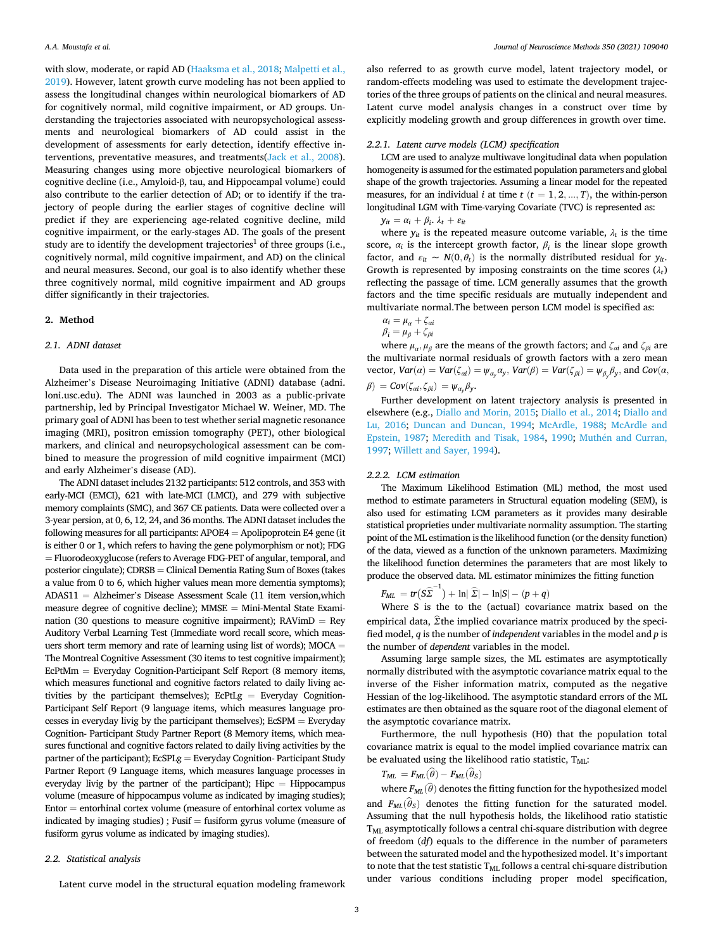with slow, moderate, or rapid AD [\(Haaksma et al., 2018](#page-21-0); [Malpetti et al.,](#page-21-0)  [2019\)](#page-21-0). However, latent growth curve modeling has not been applied to assess the longitudinal changes within neurological biomarkers of AD for cognitively normal, mild cognitive impairment, or AD groups. Understanding the trajectories associated with neuropsychological assessments and neurological biomarkers of AD could assist in the development of assessments for early detection, identify effective interventions, preventative measures, and treatments[\(Jack et al., 2008](#page-21-0)). Measuring changes using more objective neurological biomarkers of cognitive decline (i.e., Amyloid-β, tau, and Hippocampal volume) could also contribute to the earlier detection of AD; or to identify if the trajectory of people during the earlier stages of cognitive decline will predict if they are experiencing age-related cognitive decline, mild cognitive impairment, or the early-stages AD. The goals of the present study are to identify the development trajectories<sup>1</sup> of three groups (i.e., cognitively normal, mild cognitive impairment, and AD) on the clinical and neural measures. Second, our goal is to also identify whether these three cognitively normal, mild cognitive impairment and AD groups differ significantly in their trajectories.

# **2. Method**

# *2.1. ADNI dataset*

Data used in the preparation of this article were obtained from the Alzheimer's Disease Neuroimaging Initiative (ADNI) database (adni. loni.usc.edu). The ADNI was launched in 2003 as a public-private partnership, led by Principal Investigator Michael W. Weiner, MD. The primary goal of ADNI has been to test whether serial magnetic resonance imaging (MRI), positron emission tomography (PET), other biological markers, and clinical and neuropsychological assessment can be combined to measure the progression of mild cognitive impairment (MCI) and early Alzheimer's disease (AD).

The ADNI dataset includes 2132 participants: 512 controls, and 353 with early-MCI (EMCI), 621 with late-MCI (LMCI), and 279 with subjective memory complaints (SMC), and 367 CE patients. Data were collected over a 3-year persion, at 0, 6, 12, 24, and 36 months. The ADNI dataset includes the following measures for all participants: APOE4 = Apolipoprotein E4 gene (it is either 0 or 1, which refers to having the gene polymorphism or not); FDG = Fluorodeoxyglucose (refers to Average FDG-PET of angular, temporal, and posterior cingulate); CDRSB = Clinical Dementia Rating Sum of Boxes (takes a value from 0 to 6, which higher values mean more dementia symptoms); ADAS11 = Alzheimer's Disease Assessment Scale (11 item version,which measure degree of cognitive decline); MMSE = Mini-Mental State Examination (30 questions to measure cognitive impairment);  $RAV$ im $D = Rey$ Auditory Verbal Learning Test (Immediate word recall score, which measuers short term memory and rate of learning using list of words); MOCA = The Montreal Cognitive Assessment (30 items to test cognitive impairment); EcPtMm = Everyday Cognition-Participant Self Report (8 memory items, which measures functional and cognitive factors related to daily living activities by the participant themselves);  $E$ CPtLg = Everyday Cognition-Participant Self Report (9 language items, which measures language processes in everyday livig by the participant themselves); EcSPM = Everyday Cognition- Participant Study Partner Report (8 Memory items, which measures functional and cognitive factors related to daily living activities by the partner of the participant); EcSPLg = Everyday Cognition- Participant Study Partner Report (9 Language items, which measures language processes in everyday livig by the partner of the participant);  $\textrm{Hipc} = \textrm{Hippocampus}$ volume (measure of hippocampus volume as indicated by imaging studies); Entor = entorhinal cortex volume (measure of entorhinal cortex volume as indicated by imaging studies) ; Fusif  $=$  fusiform gyrus volume (measure of fusiform gyrus volume as indicated by imaging studies).

## *2.2. Statistical analysis*

Latent curve model in the structural equation modeling framework

also referred to as growth curve model, latent trajectory model, or random-effects modeling was used to estimate the development trajectories of the three groups of patients on the clinical and neural measures. Latent curve model analysis changes in a construct over time by explicitly modeling growth and group differences in growth over time.

#### *2.2.1. Latent curve models (LCM) specification*

LCM are used to analyze multiwave longitudinal data when population homogeneity is assumed for the estimated population parameters and global shape of the growth trajectories. Assuming a linear model for the repeated measures, for an individual *i* at time  $t$  ( $t = 1, 2, ..., T$ ), the within-person longitudinal LGM with Time-varying Covariate (TVC) is represented as:

 $y_{it} = \alpha_i + \beta_i$ ,  $\lambda_t + \varepsilon_{it}$ 

where  $y_{it}$  is the repeated measure outcome variable,  $\lambda_t$  is the time score,  $\alpha_i$  is the intercept growth factor,  $\beta_i$  is the linear slope growth factor, and  $\varepsilon_{it} \sim N(0, \theta_t)$  is the normally distributed residual for  $y_{it}$ . Growth is represented by imposing constraints on the time scores  $(\lambda_t)$ reflecting the passage of time. LCM generally assumes that the growth factors and the time specific residuals are mutually independent and multivariate normal.The between person LCM model is specified as:

$$
\alpha_i = \mu_\alpha + \zeta_{\alpha i}
$$

$$
\beta_i = \mu_\beta + \zeta_{\beta i}
$$

where  $\mu_{\alpha}, \mu_{\beta}$  are the means of the growth factors; and  $\zeta_{\alpha i}$  and  $\zeta_{\beta i}$  are the multivariate normal residuals of growth factors with a zero mean vector,  $Var(\alpha) = Var(\zeta_{\alpha i}) = \psi_{\alpha_y} \alpha_y$ ,  $Var(\beta) = Var(\zeta_{\beta i}) = \psi_{\beta_y} \beta_y$ , and  $Cov(\alpha, \beta)$ *β*) =  $Cov(\zeta_{\alpha i}, \zeta_{\beta i}) = \psi_{\alpha} \beta_{y}$ .

Further development on latent trajectory analysis is presented in elsewhere (e.g., [Diallo and Morin, 2015; Diallo et al., 2014](#page-21-0); [Diallo and](#page-21-0)  [Lu, 2016](#page-21-0); [Duncan and Duncan, 1994](#page-21-0); [McArdle, 1988;](#page-22-0) [McArdle and](#page-22-0)  [Epstein, 1987;](#page-22-0) [Meredith and Tisak, 1984](#page-22-0), [1990;](#page-22-0) Muthén and Curran, [1997; Willett and Sayer, 1994\)](#page-22-0).

#### *2.2.2. LCM estimation*

The Maximum Likelihood Estimation (ML) method, the most used method to estimate parameters in Structural equation modeling (SEM), is also used for estimating LCM parameters as it provides many desirable statistical proprieties under multivariate normality assumption. The starting point of the ML estimation is the likelihood function (or the density function) of the data, viewed as a function of the unknown parameters. Maximizing the likelihood function determines the parameters that are most likely to produce the observed data. ML estimator minimizes the fitting function

$$
F_{ML} = tr(S\widehat{\boldsymbol{\Sigma}}^{-1}) + \ln|\widehat{\boldsymbol{\Sigma}}| - \ln|S| - (p+q)
$$

Where S is the to the (actual) covariance matrix based on the empirical data, *Σ*̂the implied covariance matrix produced by the specified model, *q* is the number of *independent* variables in the model and *p* is the number of *dependent* variables in the model.

Assuming large sample sizes, the ML estimates are asymptotically normally distributed with the asymptotic covariance matrix equal to the inverse of the Fisher information matrix, computed as the negative Hessian of the log-likelihood. The asymptotic standard errors of the ML estimates are then obtained as the square root of the diagonal element of the asymptotic covariance matrix.

Furthermore, the null hypothesis (H0) that the population total covariance matrix is equal to the model implied covariance matrix can be evaluated using the likelihood ratio statistic,  $T_{ML}$ :

$$
T_{ML} = F_{ML}(\widehat{\theta}) - F_{ML}(\widehat{\theta}_S)
$$

where  $F_{ML}(\widehat{\theta})$  denotes the fitting function for the hypothesized model and  $F_{ML}(\hat{\theta}_S)$  denotes the fitting function for the saturated model. Assuming that the null hypothesis holds, the likelihood ratio statistic T<sub>ML</sub> asymptotically follows a central chi-square distribution with degree of freedom (*df*) equals to the difference in the number of parameters between the saturated model and the hypothesized model. It's important to note that the test statistic  $T_{ML}$  follows a central chi-square distribution under various conditions including proper model specification,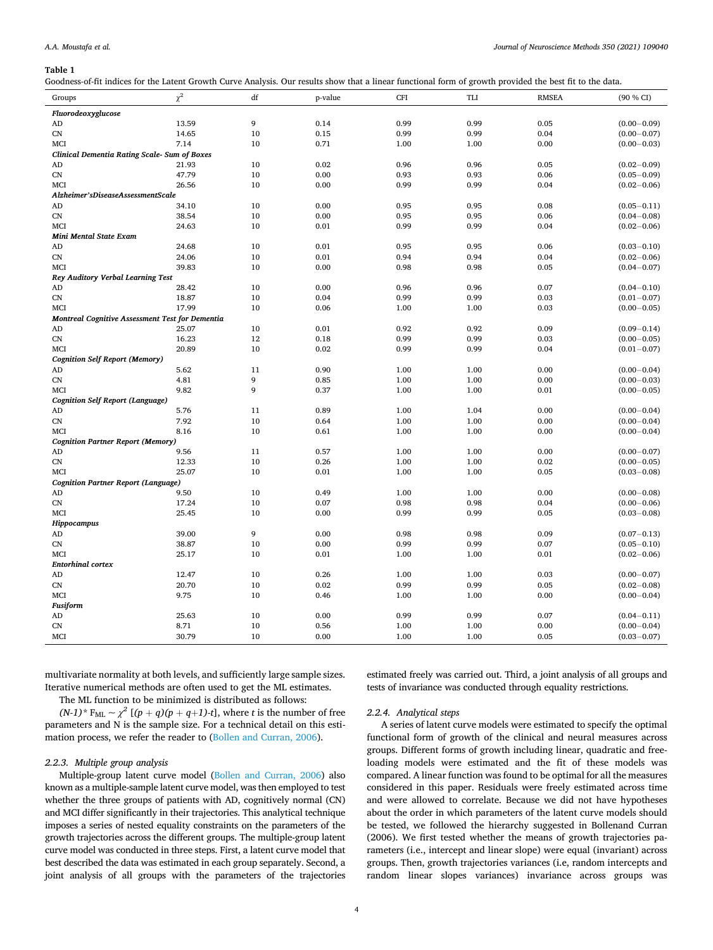#### <span id="page-3-0"></span>**Table 1**

|  | Goodness-of-fit indices for the Latent Growth Curve Analysis. Our results show that a linear functional form of growth provided the best fit to the data. |  |  |
|--|-----------------------------------------------------------------------------------------------------------------------------------------------------------|--|--|
|--|-----------------------------------------------------------------------------------------------------------------------------------------------------------|--|--|

| Groups                                          | $\chi^2$ | df | p-value | <b>CFI</b> | TLI  | <b>RMSEA</b> | (90 % CI)       |
|-------------------------------------------------|----------|----|---------|------------|------|--------------|-----------------|
| Fluorodeoxyglucose                              |          |    |         |            |      |              |                 |
| AD                                              | 13.59    | 9  | 0.14    | 0.99       | 0.99 | 0.05         | $(0.00 - 0.09)$ |
| CN                                              | 14.65    | 10 | 0.15    | 0.99       | 0.99 | 0.04         | $(0.00 - 0.07)$ |
| MCI                                             | 7.14     | 10 | 0.71    | 1.00       | 1.00 | 0.00         | $(0.00 - 0.03)$ |
| Clinical Dementia Rating Scale- Sum of Boxes    |          |    |         |            |      |              |                 |
| AD                                              | 21.93    | 10 | 0.02    | 0.96       | 0.96 | 0.05         | $(0.02 - 0.09)$ |
| ${\rm CN}$                                      | 47.79    | 10 | 0.00    | 0.93       | 0.93 | 0.06         | $(0.05 - 0.09)$ |
| MCI                                             | 26.56    | 10 | 0.00    | 0.99       | 0.99 | 0.04         | $(0.02 - 0.06)$ |
| Alzheimer'sDiseaseAssessmentScale               |          |    |         |            |      |              |                 |
| AD                                              | 34.10    | 10 | 0.00    | 0.95       | 0.95 | 0.08         | $(0.05 - 0.11)$ |
| ${\rm CN}$                                      | 38.54    | 10 | 0.00    | 0.95       | 0.95 | 0.06         | $(0.04 - 0.08)$ |
| MCI                                             | 24.63    | 10 | 0.01    | 0.99       | 0.99 | 0.04         | $(0.02 - 0.06)$ |
| <b>Mini Mental State Exam</b>                   |          |    |         |            |      |              |                 |
| AD                                              | 24.68    | 10 | 0.01    | 0.95       | 0.95 | 0.06         | $(0.03 - 0.10)$ |
| CN                                              | 24.06    | 10 | 0.01    | 0.94       | 0.94 | 0.04         | $(0.02 - 0.06)$ |
| MCI                                             | 39.83    | 10 | 0.00    | 0.98       | 0.98 | 0.05         | $(0.04 - 0.07)$ |
| Rey Auditory Verbal Learning Test               |          |    |         |            |      |              |                 |
| AD                                              | 28.42    | 10 | 0.00    | 0.96       | 0.96 | 0.07         | $(0.04 - 0.10)$ |
| CN                                              | 18.87    | 10 | 0.04    | 0.99       | 0.99 | 0.03         | $(0.01 - 0.07)$ |
| MCI                                             | 17.99    | 10 | 0.06    | 1.00       | 1.00 | 0.03         | $(0.00 - 0.05)$ |
| Montreal Cognitive Assessment Test for Dementia |          |    |         |            |      |              |                 |
| AD                                              | 25.07    | 10 | 0.01    | 0.92       | 0.92 | 0.09         | $(0.09 - 0.14)$ |
| CN                                              | 16.23    | 12 | 0.18    | 0.99       | 0.99 | 0.03         | $(0.00 - 0.05)$ |
| MCI                                             | 20.89    | 10 | 0.02    | 0.99       | 0.99 | 0.04         | $(0.01 - 0.07)$ |
| <b>Cognition Self Report (Memory)</b>           |          |    |         |            |      |              |                 |
| AD                                              | 5.62     | 11 | 0.90    | 1.00       | 1.00 | 0.00         | $(0.00 - 0.04)$ |
| CN                                              | 4.81     | 9  | 0.85    | 1.00       | 1.00 | 0.00         | $(0.00 - 0.03)$ |
| MCI                                             | 9.82     | 9  | 0.37    | 1.00       | 1.00 | 0.01         | $(0.00 - 0.05)$ |
| <b>Cognition Self Report (Language)</b>         |          |    |         |            |      |              |                 |
| AD                                              | 5.76     | 11 | 0.89    | 1.00       | 1.04 | 0.00         | $(0.00 - 0.04)$ |
| CN                                              | 7.92     | 10 | 0.64    | 1.00       | 1.00 | 0.00         | $(0.00 - 0.04)$ |
| MCI                                             | 8.16     | 10 | 0.61    | 1.00       | 1.00 | 0.00         | $(0.00 - 0.04)$ |
| <b>Cognition Partner Report (Memory)</b>        |          |    |         |            |      |              |                 |
| AD                                              | 9.56     | 11 | 0.57    | 1.00       | 1.00 | 0.00         | $(0.00 - 0.07)$ |
| CN                                              | 12.33    | 10 | 0.26    | 1.00       | 1.00 | 0.02         | $(0.00 - 0.05)$ |
| MCI                                             | 25.07    | 10 | 0.01    | 1.00       | 1.00 | 0.05         | $(0.03 - 0.08)$ |
| Cognition Partner Report (Language)             |          |    |         |            |      |              |                 |
| AD                                              | 9.50     | 10 | 0.49    | 1.00       | 1.00 | 0.00         | $(0.00 - 0.08)$ |
| CN                                              | 17.24    | 10 | 0.07    | 0.98       | 0.98 | 0.04         | $(0.00 - 0.06)$ |
| MCI                                             | 25.45    | 10 | 0.00    | 0.99       | 0.99 | 0.05         | $(0.03 - 0.08)$ |
| Hippocampus                                     |          |    |         |            |      |              |                 |
| AD                                              | 39.00    | 9  | 0.00    | 0.98       | 0.98 | 0.09         | $(0.07 - 0.13)$ |
| CN                                              | 38.87    | 10 | 0.00    | 0.99       | 0.99 | 0.07         | $(0.05 - 0.10)$ |
| MCI                                             | 25.17    | 10 | 0.01    | 1.00       | 1.00 | 0.01         | $(0.02 - 0.06)$ |
| <b>Entorhinal cortex</b>                        |          |    |         |            |      |              |                 |
| AD                                              | 12.47    | 10 | 0.26    | 1.00       | 1.00 | 0.03         | $(0.00 - 0.07)$ |
| CN                                              | 20.70    | 10 | 0.02    | 0.99       | 0.99 | 0.05         | $(0.02 - 0.08)$ |
| MCI                                             | 9.75     | 10 | 0.46    | 1.00       | 1.00 | 0.00         | $(0.00 - 0.04)$ |
| <b>Fusiform</b>                                 |          |    |         |            |      |              |                 |
| AD                                              | 25.63    | 10 | 0.00    | 0.99       | 0.99 | 0.07         | $(0.04 - 0.11)$ |
| CN                                              | 8.71     | 10 | 0.56    | 1.00       | 1.00 | 0.00         | $(0.00 - 0.04)$ |
| MCI                                             | 30.79    | 10 | 0.00    | 1.00       | 1.00 | 0.05         | $(0.03 - 0.07)$ |

multivariate normality at both levels, and sufficiently large sample sizes. Iterative numerical methods are often used to get the ML estimates.

The ML function to be minimized is distributed as follows:

 $(N-1)^*$   $F_{ML} \sim \chi^2$   $[(p+q)(p+q+1)-t]$ , where *t* is the number of free parameters and N is the sample size. For a technical detail on this estimation process, we refer the reader to ([Bollen and Curran, 2006\)](#page-21-0).

## *2.2.3. Multiple group analysis*

Multiple-group latent curve model [\(Bollen and Curran, 2006](#page-21-0)) also known as a multiple-sample latent curve model, was then employed to test whether the three groups of patients with AD, cognitively normal (CN) and MCI differ significantly in their trajectories. This analytical technique imposes a series of nested equality constraints on the parameters of the growth trajectories across the different groups. The multiple-group latent curve model was conducted in three steps. First, a latent curve model that best described the data was estimated in each group separately. Second, a joint analysis of all groups with the parameters of the trajectories

estimated freely was carried out. Third, a joint analysis of all groups and tests of invariance was conducted through equality restrictions.

## *2.2.4. Analytical steps*

A series of latent curve models were estimated to specify the optimal functional form of growth of the clinical and neural measures across groups. Different forms of growth including linear, quadratic and freeloading models were estimated and the fit of these models was compared. A linear function was found to be optimal for all the measures considered in this paper. Residuals were freely estimated across time and were allowed to correlate. Because we did not have hypotheses about the order in which parameters of the latent curve models should be tested, we followed the hierarchy suggested in Bollenand Curran (2006). We first tested whether the means of growth trajectories parameters (i.e., intercept and linear slope) were equal (invariant) across groups. Then, growth trajectories variances (i.e, random intercepts and random linear slopes variances) invariance across groups was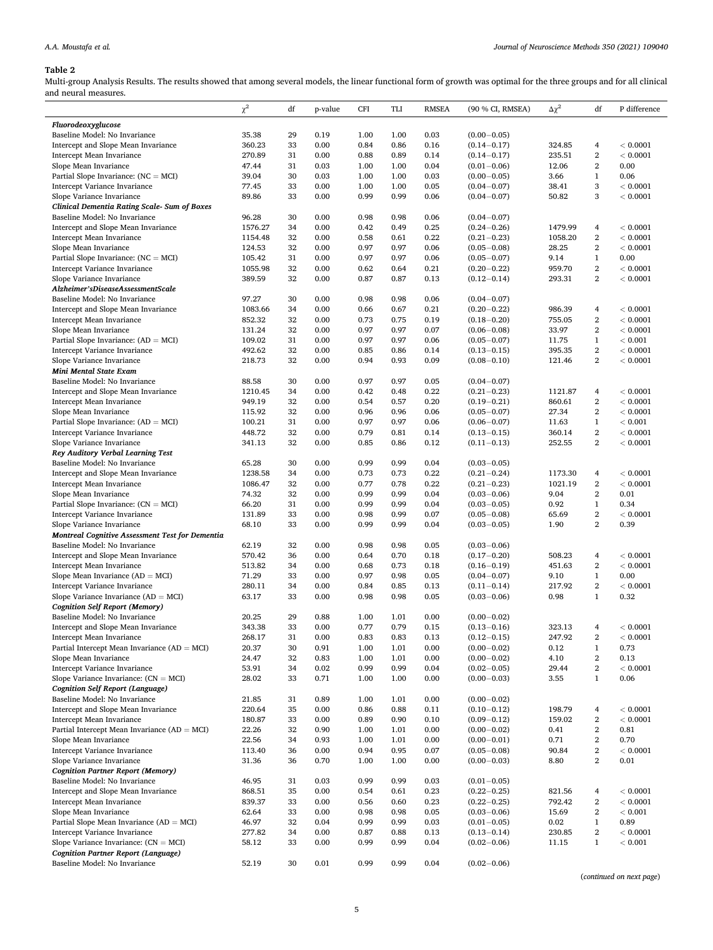# <span id="page-4-0"></span>**Table 2**

Multi-group Analysis Results. The results showed that among several models, the linear functional form of growth was optimal for the three groups and for all clinical and neural measures.  $\mathbb{R}^2$ 

|                                                                           | $\chi^2$          | df       | p-value      | <b>CFI</b>   | TLI          | <b>RMSEA</b> | (90 % CI, RMSEA)                   | $\Delta\chi^2$    | df                    | P difference         |
|---------------------------------------------------------------------------|-------------------|----------|--------------|--------------|--------------|--------------|------------------------------------|-------------------|-----------------------|----------------------|
| Fluorodeoxyglucose                                                        |                   |          |              |              |              |              |                                    |                   |                       |                      |
| Baseline Model: No Invariance                                             | 35.38             | 29       | 0.19         | 1.00         | 1.00         | 0.03         | $(0.00 - 0.05)$                    |                   |                       |                      |
| Intercept and Slope Mean Invariance                                       | 360.23            | 33       | 0.00         | 0.84         | 0.86         | 0.16         | $(0.14 - 0.17)$                    | 324.85            | 4                     | < 0.0001             |
| Intercept Mean Invariance                                                 | 270.89            | 31       | 0.00         | 0.88         | 0.89         | 0.14         | $(0.14 - 0.17)$                    | 235.51            | $\,2$                 | < 0.0001             |
| Slope Mean Invariance                                                     | 47.44             | 31       | 0.03         | 1.00         | 1.00         | 0.04         | $(0.01 - 0.06)$                    | 12.06             | $\,2$                 | 0.00                 |
| Partial Slope Invariance: $(NC = MCI)$                                    | 39.04             | 30       | 0.03         | 1.00         | 1.00<br>1.00 | 0.03         | $(0.00 - 0.05)$                    | 3.66              | $\mathbf{1}$<br>3     | 0.06                 |
| Intercept Variance Invariance<br>Slope Variance Invariance                | 77.45<br>89.86    | 33<br>33 | 0.00<br>0.00 | 1.00<br>0.99 | 0.99         | 0.05<br>0.06 | $(0.04 - 0.07)$<br>$(0.04 - 0.07)$ | 38.41<br>50.82    | 3                     | < 0.0001<br>< 0.0001 |
| Clinical Dementia Rating Scale-Sum of Boxes                               |                   |          |              |              |              |              |                                    |                   |                       |                      |
| Baseline Model: No Invariance                                             | 96.28             | 30       | 0.00         | 0.98         | 0.98         | 0.06         | $(0.04 - 0.07)$                    |                   |                       |                      |
| Intercept and Slope Mean Invariance                                       | 1576.27           | 34       | 0.00         | 0.42         | 0.49         | 0.25         | $(0.24 - 0.26)$                    | 1479.99           | 4                     | < 0.0001             |
| Intercept Mean Invariance                                                 | 1154.48           | 32       | 0.00         | 0.58         | 0.61         | 0.22         | $(0.21 - 0.23)$                    | 1058.20           | $\,2$                 | < 0.0001             |
| Slope Mean Invariance                                                     | 124.53            | 32       | 0.00         | 0.97         | 0.97         | 0.06         | $(0.05 - 0.08)$                    | 28.25             | $\mathbf{2}$          | < 0.0001             |
| Partial Slope Invariance: $(NC = MCI)$                                    | 105.42            | 31       | 0.00         | 0.97         | 0.97         | 0.06         | $(0.05 - 0.07)$                    | 9.14              | $\mathbf{1}$          | 0.00                 |
| Intercept Variance Invariance                                             | 1055.98           | 32       | 0.00         | 0.62         | 0.64         | 0.21         | $(0.20 - 0.22)$                    | 959.70            | $\,2$                 | < 0.0001             |
| Slope Variance Invariance<br>Alzheimer'sDiseaseAssessmentScale            | 389.59            | 32       | 0.00         | 0.87         | 0.87         | 0.13         | $(0.12 - 0.14)$                    | 293.31            | $\mathbf{2}$          | < 0.0001             |
| Baseline Model: No Invariance                                             | 97.27             | 30       | 0.00         | 0.98         | 0.98         | 0.06         | $(0.04 - 0.07)$                    |                   |                       |                      |
| Intercept and Slope Mean Invariance                                       | 1083.66           | 34       | 0.00         | 0.66         | 0.67         | 0.21         | $(0.20 - 0.22)$                    | 986.39            | 4                     | < 0.0001             |
| Intercept Mean Invariance                                                 | 852.32            | 32       | 0.00         | 0.73         | 0.75         | 0.19         | $(0.18 - 0.20)$                    | 755.05            | $\,2$                 | < 0.0001             |
| Slope Mean Invariance                                                     | 131.24            | 32       | 0.00         | 0.97         | 0.97         | 0.07         | $(0.06 - 0.08)$                    | 33.97             | $\,2$                 | < 0.0001             |
| Partial Slope Invariance: $(AD = MCI)$                                    | 109.02            | 31       | 0.00         | 0.97         | 0.97         | 0.06         | $(0.05 - 0.07)$                    | 11.75             | $\mathbf{1}$          | < 0.001              |
| Intercept Variance Invariance                                             | 492.62            | 32       | 0.00         | 0.85         | 0.86         | 0.14         | $(0.13 - 0.15)$                    | 395.35            | $\,2$                 | < 0.0001             |
| Slope Variance Invariance                                                 | 218.73            | 32       | 0.00         | 0.94         | 0.93         | 0.09         | $(0.08 - 0.10)$                    | 121.46            | $\,2$                 | < 0.0001             |
| Mini Mental State Exam                                                    |                   |          |              |              |              |              |                                    |                   |                       |                      |
| Baseline Model: No Invariance                                             | 88.58             | 30       | 0.00         | 0.97         | 0.97         | 0.05         | $(0.04 - 0.07)$                    |                   |                       |                      |
| Intercept and Slope Mean Invariance<br>Intercept Mean Invariance          | 1210.45<br>949.19 | 34<br>32 | 0.00<br>0.00 | 0.42<br>0.54 | 0.48<br>0.57 | 0.22<br>0.20 | $(0.21 - 0.23)$<br>$(0.19 - 0.21)$ | 1121.87<br>860.61 | 4<br>$\,2$            | < 0.0001<br>< 0.0001 |
| Slope Mean Invariance                                                     | 115.92            | 32       | 0.00         | 0.96         | 0.96         | 0.06         | $(0.05 - 0.07)$                    | 27.34             | $\,2$                 | < 0.0001             |
| Partial Slope Invariance: $(AD = MCI)$                                    | 100.21            | 31       | 0.00         | 0.97         | 0.97         | 0.06         | $(0.06 - 0.07)$                    | 11.63             | $\mathbf{1}$          | < 0.001              |
| Intercept Variance Invariance                                             | 448.72            | 32       | 0.00         | 0.79         | 0.81         | 0.14         | $(0.13 - 0.15)$                    | 360.14            | $\mathbf{2}$          | < 0.0001             |
| Slope Variance Invariance                                                 | 341.13            | 32       | 0.00         | 0.85         | 0.86         | 0.12         | $(0.11 - 0.13)$                    | 252.55            | 2                     | < 0.0001             |
| Rey Auditory Verbal Learning Test                                         |                   |          |              |              |              |              |                                    |                   |                       |                      |
| Baseline Model: No Invariance                                             | 65.28             | 30       | 0.00         | 0.99         | 0.99         | 0.04         | $(0.03 - 0.05)$                    |                   |                       |                      |
| Intercept and Slope Mean Invariance                                       | 1238.58           | 34       | 0.00         | 0.73         | 0.73         | 0.22         | $(0.21 - 0.24)$                    | 1173.30           | 4                     | < 0.0001             |
| Intercept Mean Invariance                                                 | 1086.47           | 32       | 0.00         | 0.77         | 0.78         | 0.22         | $(0.21 - 0.23)$                    | 1021.19           | $\,2$                 | < 0.0001             |
| Slope Mean Invariance                                                     | 74.32             | 32       | 0.00         | 0.99         | 0.99         | 0.04         | $(0.03 - 0.06)$                    | 9.04              | $\mathbf{2}$          | 0.01                 |
| Partial Slope Invariance: $(CN = MCI)$<br>Intercept Variance Invariance   | 66.20<br>131.89   | 31<br>33 | 0.00<br>0.00 | 0.99<br>0.98 | 0.99<br>0.99 | 0.04<br>0.07 | $(0.03 - 0.05)$<br>$(0.05 - 0.08)$ | 0.92<br>65.69     | $\mathbf{1}$<br>$\,2$ | 0.34<br>< 0.0001     |
| Slope Variance Invariance                                                 | 68.10             | 33       | 0.00         | 0.99         | 0.99         | 0.04         | $(0.03 - 0.05)$                    | 1.90              | 2                     | 0.39                 |
| <b>Montreal Cognitive Assessment Test for Dementia</b>                    |                   |          |              |              |              |              |                                    |                   |                       |                      |
| Baseline Model: No Invariance                                             | 62.19             | 32       | 0.00         | 0.98         | 0.98         | 0.05         | $(0.03 - 0.06)$                    |                   |                       |                      |
| Intercept and Slope Mean Invariance                                       | 570.42            | 36       | 0.00         | 0.64         | 0.70         | 0.18         | $(0.17 - 0.20)$                    | 508.23            | 4                     | < 0.0001             |
| Intercept Mean Invariance                                                 | 513.82            | 34       | 0.00         | 0.68         | 0.73         | 0.18         | $(0.16 - 0.19)$                    | 451.63            | $\,2$                 | < 0.0001             |
| Slope Mean Invariance $(AD = MCI)$                                        | 71.29             | 33       | 0.00         | 0.97         | 0.98         | 0.05         | $(0.04 - 0.07)$                    | 9.10              | $\mathbf{1}$          | 0.00                 |
| Intercept Variance Invariance                                             | 280.11            | 34       | 0.00         | 0.84         | 0.85         | 0.13         | $(0.11 - 0.14)$                    | 217.92            | $\,2$                 | < 0.0001             |
| Slope Variance Invariance $(AD = MCI)$                                    | 63.17             | 33       | 0.00         | 0.98         | 0.98         | 0.05         | $(0.03 - 0.06)$                    | 0.98              | $\mathbf{1}$          | 0.32                 |
| <b>Cognition Self Report (Memory)</b><br>Baseline Model: No Invariance    |                   |          |              |              |              |              | $(0.00 - 0.02)$                    |                   |                       |                      |
| Intercept and Slope Mean Invariance                                       | 20.25<br>343.38   | 29<br>33 | 0.88<br>0.00 | 1.00<br>0.77 | 1.01<br>0.79 | 0.00<br>0.15 | $(0.13 - 0.16)$                    | 323.13            | $\overline{4}$        | < 0.0001             |
| Intercept Mean Invariance                                                 | 268.17            | 31       | 0.00         | 0.83         | 0.83         | 0.13         | $(0.12 - 0.15)$                    | 247.92            | $\,2$                 | < 0.0001             |
| Partial Intercept Mean Invariance ( $AD = MCI$ )                          | 20.37             | 30       | 0.91         | 1.00         | 1.01         | 0.00         | $(0.00 - 0.02)$                    | 0.12              | $\mathbf{1}$          | 0.73                 |
| Slope Mean Invariance                                                     | 24.47             | 32       | 0.83         | 1.00         | 1.01         | 0.00         | $(0.00 - 0.02)$                    | 4.10              | $\mathbf{2}$          | 0.13                 |
| Intercept Variance Invariance                                             | 53.91             | 34       | 0.02         | 0.99         | 0.99         | 0.04         | $(0.02 - 0.05)$                    | 29.44             | $\,2$                 | < 0.0001             |
| Slope Variance Invariance: $(CN = MCI)$                                   | 28.02             | 33       | 0.71         | 1.00         | 1.00         | 0.00         | $(0.00 - 0.03)$                    | 3.55              | $\mathbf{1}$          | 0.06                 |
| <b>Cognition Self Report (Language)</b>                                   |                   |          |              |              |              |              |                                    |                   |                       |                      |
| Baseline Model: No Invariance                                             | 21.85             | 31       | 0.89         | 1.00         | 1.01         | 0.00         | $(0.00 - 0.02)$                    |                   |                       |                      |
| Intercept and Slope Mean Invariance                                       | 220.64            | 35       | 0.00         | 0.86         | 0.88         | 0.11         | $(0.10 - 0.12)$                    | 198.79            | 4                     | < 0.0001             |
| Intercept Mean Invariance                                                 | 180.87            | 33       | 0.00         | 0.89         | 0.90         | 0.10         | $(0.09 - 0.12)$                    | 159.02            | $\,2$                 | < 0.0001             |
| Partial Intercept Mean Invariance ( $AD = MCI$ )<br>Slope Mean Invariance | 22.26<br>22.56    | 32<br>34 | 0.90<br>0.93 | 1.00<br>1.00 | 1.01<br>1.01 | 0.00<br>0.00 | $(0.00 - 0.02)$<br>$(0.00 - 0.01)$ | 0.41<br>0.71      | 2<br>$\mathbf{2}$     | 0.81<br>0.70         |
| Intercept Variance Invariance                                             | 113.40            | 36       | 0.00         | 0.94         | 0.95         | 0.07         | $(0.05 - 0.08)$                    | 90.84             | $\,2$                 | < 0.0001             |
| Slope Variance Invariance                                                 | 31.36             | 36       | 0.70         | 1.00         | 1.00         | 0.00         | $(0.00 - 0.03)$                    | 8.80              | $\mathbf{2}$          | 0.01                 |
| <b>Cognition Partner Report (Memory)</b>                                  |                   |          |              |              |              |              |                                    |                   |                       |                      |
| Baseline Model: No Invariance                                             | 46.95             | 31       | 0.03         | 0.99         | 0.99         | 0.03         | $(0.01 - 0.05)$                    |                   |                       |                      |
| Intercept and Slope Mean Invariance                                       | 868.51            | 35       | 0.00         | 0.54         | 0.61         | 0.23         | $(0.22 - 0.25)$                    | 821.56            | 4                     | < 0.0001             |
| Intercept Mean Invariance                                                 | 839.37            | 33       | 0.00         | 0.56         | 0.60         | 0.23         | $(0.22 - 0.25)$                    | 792.42            | $\,2$                 | < 0.0001             |
| Slope Mean Invariance                                                     | 62.64             | 33       | 0.00         | 0.98         | 0.98         | 0.05         | $(0.03 - 0.06)$                    | 15.69             | 2                     | < 0.001              |
| Partial Slope Mean Invariance $(AD = MCI)$                                | 46.97             | 32       | 0.04         | 0.99         | 0.99         | 0.03         | $(0.01 - 0.05)$                    | 0.02              | $\mathbf{1}$          | 0.89                 |
| Intercept Variance Invariance                                             | 277.82            | 34       | 0.00         | 0.87         | 0.88         | 0.13         | $(0.13 - 0.14)$                    | 230.85            | $\mathbf{2}$          | < 0.0001             |
| Slope Variance Invariance: $(CN = MCI)$                                   | 58.12             | 33       | 0.00         | 0.99         | 0.99         | 0.04         | $(0.02 - 0.06)$                    | 11.15             | $\mathbf{1}$          | < 0.001              |
| Cognition Partner Report (Language)<br>Baseline Model: No Invariance      | 52.19             | 30       | 0.01         | 0.99         | 0.99         | 0.04         |                                    |                   |                       |                      |
|                                                                           |                   |          |              |              |              |              | $(0.02 - 0.06)$                    |                   |                       |                      |

(*continued on next page*)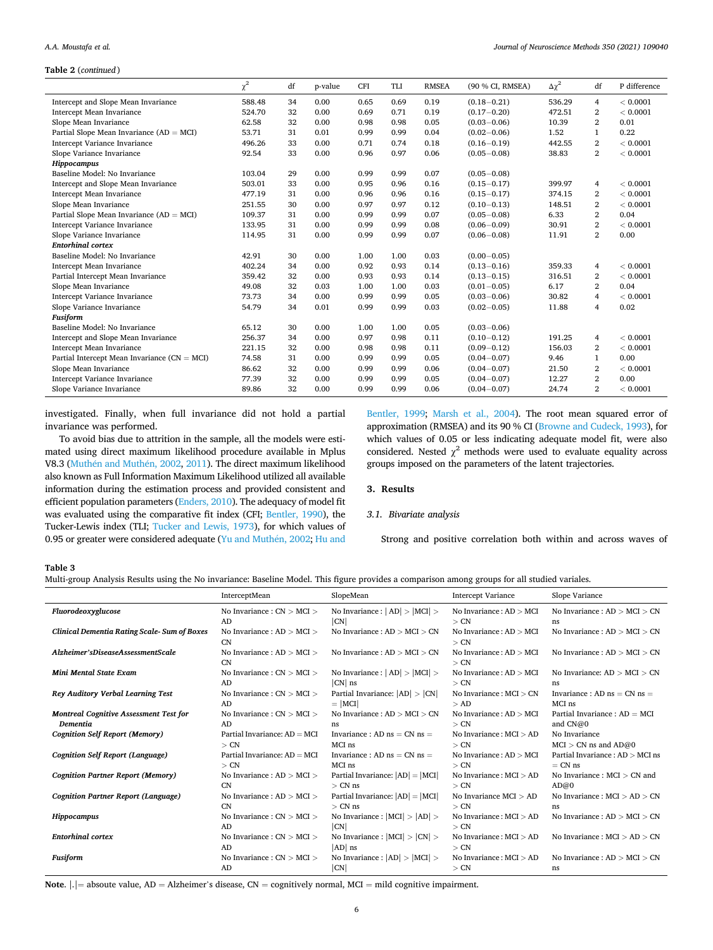# <span id="page-5-0"></span>**Table 2** (*continued* ) *A.A. Moustafa et al.*

|                                                  | $\chi^2$ | df | p-value | CFI  | TLI  | <b>RMSEA</b> | (90 % CI, RMSEA) | $\Delta \chi^2$ | df             | P difference |
|--------------------------------------------------|----------|----|---------|------|------|--------------|------------------|-----------------|----------------|--------------|
| Intercept and Slope Mean Invariance              | 588.48   | 34 | 0.00    | 0.65 | 0.69 | 0.19         | $(0.18 - 0.21)$  | 536.29          | $\overline{4}$ | < 0.0001     |
| Intercept Mean Invariance                        | 524.70   | 32 | 0.00    | 0.69 | 0.71 | 0.19         | $(0.17 - 0.20)$  | 472.51          | $\overline{2}$ | < 0.0001     |
| Slope Mean Invariance                            | 62.58    | 32 | 0.00    | 0.98 | 0.98 | 0.05         | $(0.03 - 0.06)$  | 10.39           | $\overline{2}$ | 0.01         |
| Partial Slope Mean Invariance ( $AD = MCI$ )     | 53.71    | 31 | 0.01    | 0.99 | 0.99 | 0.04         | $(0.02 - 0.06)$  | 1.52            | 1              | 0.22         |
| Intercept Variance Invariance                    | 496.26   | 33 | 0.00    | 0.71 | 0.74 | 0.18         | $(0.16 - 0.19)$  | 442.55          | $\overline{2}$ | < 0.0001     |
| Slope Variance Invariance                        | 92.54    | 33 | 0.00    | 0.96 | 0.97 | 0.06         | $(0.05 - 0.08)$  | 38.83           | $\overline{2}$ | < 0.0001     |
| Hippocampus                                      |          |    |         |      |      |              |                  |                 |                |              |
| Baseline Model: No Invariance                    | 103.04   | 29 | 0.00    | 0.99 | 0.99 | 0.07         | $(0.05 - 0.08)$  |                 |                |              |
| Intercept and Slope Mean Invariance              | 503.01   | 33 | 0.00    | 0.95 | 0.96 | 0.16         | $(0.15 - 0.17)$  | 399.97          | 4              | < 0.0001     |
| Intercept Mean Invariance                        | 477.19   | 31 | 0.00    | 0.96 | 0.96 | 0.16         | $(0.15 - 0.17)$  | 374.15          | $\overline{2}$ | < 0.0001     |
| Slope Mean Invariance                            | 251.55   | 30 | 0.00    | 0.97 | 0.97 | 0.12         | $(0.10 - 0.13)$  | 148.51          | 2              | < 0.0001     |
| Partial Slope Mean Invariance ( $AD = MCI$ )     | 109.37   | 31 | 0.00    | 0.99 | 0.99 | 0.07         | $(0.05 - 0.08)$  | 6.33            | $\overline{2}$ | 0.04         |
| Intercept Variance Invariance                    | 133.95   | 31 | 0.00    | 0.99 | 0.99 | 0.08         | $(0.06 - 0.09)$  | 30.91           | $\overline{2}$ | < 0.0001     |
| Slope Variance Invariance                        | 114.95   | 31 | 0.00    | 0.99 | 0.99 | 0.07         | $(0.06 - 0.08)$  | 11.91           | $\overline{2}$ | 0.00         |
| <b>Entorhinal cortex</b>                         |          |    |         |      |      |              |                  |                 |                |              |
| Baseline Model: No Invariance                    | 42.91    | 30 | 0.00    | 1.00 | 1.00 | 0.03         | $(0.00 - 0.05)$  |                 |                |              |
| Intercept Mean Invariance                        | 402.24   | 34 | 0.00    | 0.92 | 0.93 | 0.14         | $(0.13 - 0.16)$  | 359.33          | $\overline{4}$ | < 0.0001     |
| Partial Intercept Mean Invariance                | 359.42   | 32 | 0.00    | 0.93 | 0.93 | 0.14         | $(0.13 - 0.15)$  | 316.51          | $\overline{2}$ | < 0.0001     |
| Slope Mean Invariance                            | 49.08    | 32 | 0.03    | 1.00 | 1.00 | 0.03         | $(0.01 - 0.05)$  | 6.17            | $\overline{2}$ | 0.04         |
| Intercept Variance Invariance                    | 73.73    | 34 | 0.00    | 0.99 | 0.99 | 0.05         | $(0.03 - 0.06)$  | 30.82           | 4              | < 0.0001     |
| Slope Variance Invariance                        | 54.79    | 34 | 0.01    | 0.99 | 0.99 | 0.03         | $(0.02 - 0.05)$  | 11.88           | $\overline{4}$ | 0.02         |
| <b>Fusiform</b>                                  |          |    |         |      |      |              |                  |                 |                |              |
| Baseline Model: No Invariance                    | 65.12    | 30 | 0.00    | 1.00 | 1.00 | 0.05         | $(0.03 - 0.06)$  |                 |                |              |
| Intercept and Slope Mean Invariance              | 256.37   | 34 | 0.00    | 0.97 | 0.98 | 0.11         | $(0.10 - 0.12)$  | 191.25          | $\overline{4}$ | < 0.0001     |
| Intercept Mean Invariance                        | 221.15   | 32 | 0.00    | 0.98 | 0.98 | 0.11         | $(0.09 - 0.12)$  | 156.03          | $\overline{2}$ | < 0.0001     |
| Partial Intercept Mean Invariance ( $CN = MCI$ ) | 74.58    | 31 | 0.00    | 0.99 | 0.99 | 0.05         | $(0.04 - 0.07)$  | 9.46            | 1              | 0.00         |
| Slope Mean Invariance                            | 86.62    | 32 | 0.00    | 0.99 | 0.99 | 0.06         | $(0.04 - 0.07)$  | 21.50           | 2              | < 0.0001     |
| Intercept Variance Invariance                    | 77.39    | 32 | 0.00    | 0.99 | 0.99 | 0.05         | $(0.04 - 0.07)$  | 12.27           | $\overline{2}$ | 0.00         |
| Slope Variance Invariance                        | 89.86    | 32 | 0.00    | 0.99 | 0.99 | 0.06         | $(0.04 - 0.07)$  | 24.74           | $\overline{2}$ | < 0.0001     |

investigated. Finally, when full invariance did not hold a partial invariance was performed.

To avoid bias due to attrition in the sample, all the models were estimated using direct maximum likelihood procedure available in Mplus V8.3 (Muthén and Muthén, 2002, [2011](#page-22-0)). The direct maximum likelihood also known as Full Information Maximum Likelihood utilized all available information during the estimation process and provided consistent and efficient population parameters [\(Enders, 2010\)](#page-21-0). The adequacy of model fit was evaluated using the comparative fit index (CFI; [Bentler, 1990\)](#page-21-0), the Tucker-Lewis index (TLI; [Tucker and Lewis, 1973](#page-22-0)), for which values of 0.95 or greater were considered adequate ([Yu and Muth](#page-22-0)én, 2002; Hu and

[Bentler, 1999](#page-21-0); [Marsh et al., 2004](#page-21-0)). The root mean squared error of approximation (RMSEA) and its 90 % CI [\(Browne and Cudeck, 1993\)](#page-21-0), for which values of 0.05 or less indicating adequate model fit, were also considered. Nested  $\chi^2$  methods were used to evaluate equality across groups imposed on the parameters of the latent trajectories.

#### **3. Results**

#### *3.1. Bivariate analysis*

Strong and positive correlation both within and across waves of

#### **Table 3**

Multi-group Analysis Results using the No invariance: Baseline Model. This figure provides a comparison among groups for all studied variales.

|                                                    | InterceptMean                      | SlopeMean                                     | <b>Intercept Variance</b>            | Slope Variance                    |
|----------------------------------------------------|------------------------------------|-----------------------------------------------|--------------------------------------|-----------------------------------|
| Fluorodeoxyglucose                                 | No Invariance : $CN > MCI >$       | No Invariance : $ AD $ > $ MCI $ >            | No Invariance : $AD > MCI$           | No Invariance : $AD > MCI > CN$   |
|                                                    | AD                                 | CN                                            | $>$ CN                               | ns                                |
| <b>Clinical Dementia Rating Scale-Sum of Boxes</b> | No Invariance : $AD > MCI >$<br>CN | No Invariance : $AD > MCI > CN$               | No Invariance : $AD > MCI$<br>$>$ CN | No Invariance : $AD > MCI > CN$   |
| Alzheimer'sDiseaseAssessmentScale                  | No Invariance : $AD > MCI >$<br>CN | No Invariance : $AD > MCI > CN$               | No Invariance : $AD > MCI$<br>$>$ CN | No Invariance : $AD > MCI > CN$   |
| Mini Mental State Exam                             | No Invariance : $CN > MCI >$       | No Invariance : $ AD $ > $ MCI $ >            | No Invariance : $AD > MCI$           | No Invariance: $AD > MCI > CN$    |
|                                                    | AD                                 | $ CN $ ns                                     | $>$ CN                               | ns                                |
| <b>Rey Auditory Verbal Learning Test</b>           | No Invariance : $CN > MCI >$       | Partial Invariance: $ AD  >  CN $             | No Invariance : $MCI > CN$           | Invariance : $AD$ ns = $CN$ ns =  |
|                                                    | AD                                 | $=$  MCI                                      | >AD                                  | MCI ns                            |
| <b>Montreal Cognitive Assessment Test for</b>      | No Invariance : $CN > MCI >$       | No Invariance : $AD > MCI > CN$               | No Invariance : $AD > MCI$           | Partial Invariance : $AD = MCI$   |
| <b>Dementia</b>                                    | AD                                 | ns                                            | $>$ CN                               | and $CN@0$                        |
| <b>Cognition Self Report (Memory)</b>              | Partial Invariance: AD = MCI       | Invariance : AD $ns = CN$ $ns =$              | No Invariance: $MCI > AD$            | No Invariance                     |
|                                                    | $>$ CN                             | MCI ns                                        | $>$ CN                               | $MCI > CN$ ns and $AD@0$          |
| <b>Cognition Self Report (Language)</b>            | Partial Invariance: AD = MCI       | Invariance : $AD$ ns = $CN$ ns =              | No Invariance : $AD > MCI$           | Partial Invariance: $AD > MCI$ ns |
|                                                    | $>$ CN                             | MCI ns                                        | $>$ CN                               | $= CN$ ns                         |
| <b>Cognition Partner Report (Memory)</b>           | No Invariance : $AD > MCI >$       | Partial Invariance: $ AD  =  MCI $            | No Invariance : $MCI > AD$           | No Invariance : $MCI > CN$ and    |
|                                                    | CN                                 | $>$ CN ns                                     | $>$ CN                               | AD@0                              |
| <b>Cognition Partner Report (Language)</b>         | No Invariance : $AD > MCI >$       | Partial Invariance: $ AD  =  MCI $            | No Invariance $MCI > AD$             | No Invariance : $MCI > AD > CN$   |
|                                                    | CN                                 | $>$ CN ns                                     | $>$ CN                               | ns                                |
| Hippocampus                                        | No Invariance : $CN > MCI >$<br>AD | No Invariance : $ MCI  >  AD  >$<br> CN       | No Invariance : $MCI > AD$<br>$>$ CN | No Invariance : $AD > MCI > CN$   |
| <b>Entorhinal cortex</b>                           | No Invariance : $CN > MCI >$<br>AD | No Invariance : $ MCI  >  CN  >$<br>$ AD $ ns | No Invariance : $MCI > AD$<br>$>$ CN | No Invariance : $MCI > AD > CN$   |
| <b>Fusiform</b>                                    | No Invariance : $CN > MCI >$       | No Invariance : $ AD $ > $ MCI $ >            | No Invariance : $MCI > AD$           | No Invariance : $AD > MCI > CN$   |
|                                                    | AD                                 | CN                                            | $>$ CN                               | ns                                |

Note.  $|.|$  = absoute value, AD = Alzheimer's disease, CN = cognitively normal, MCI = mild cognitive impairment.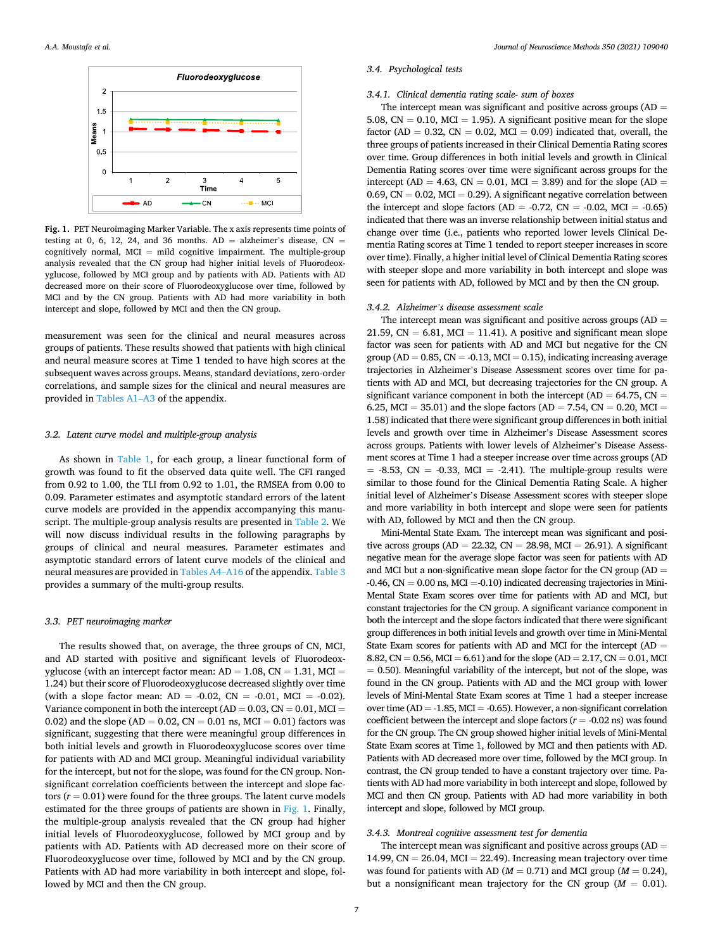

**Fig. 1.** PET Neuroimaging Marker Variable. The x axis represents time points of testing at 0, 6, 12, 24, and 36 months.  $AD = alk$  alzheimer's disease, CN = cognitively normal,  $MCI = mild$  cognitive impairment. The multiple-group analysis revealed that the CN group had higher initial levels of Fluorodeoxyglucose, followed by MCI group and by patients with AD. Patients with AD decreased more on their score of Fluorodeoxyglucose over time, followed by MCI and by the CN group. Patients with AD had more variability in both intercept and slope, followed by MCI and then the CN group.

measurement was seen for the clinical and neural measures across groups of patients. These results showed that patients with high clinical and neural measure scores at Time 1 tended to have high scores at the subsequent waves across groups. Means, standard deviations, zero-order correlations, and sample sizes for the clinical and neural measures are provided in [Tables A1](#page-12-0)–A3 of the appendix.

# *3.2. Latent curve model and multiple-group analysis*

As shown in [Table 1,](#page-3-0) for each group, a linear functional form of growth was found to fit the observed data quite well. The CFI ranged from 0.92 to 1.00, the TLI from 0.92 to 1.01, the RMSEA from 0.00 to 0.09. Parameter estimates and asymptotic standard errors of the latent curve models are provided in the appendix accompanying this manuscript. The multiple-group analysis results are presented in [Table 2.](#page-4-0) We will now discuss individual results in the following paragraphs by groups of clinical and neural measures. Parameter estimates and asymptotic standard errors of latent curve models of the clinical and neural measures are provided in [Tables A4](#page-15-0)–A16 of the appendix. [Table 3](#page-5-0)  provides a summary of the multi-group results.

## *3.3. PET neuroimaging marker*

The results showed that, on average, the three groups of CN, MCI, and AD started with positive and significant levels of Fluorodeoxyglucose (with an intercept factor mean:  $AD = 1.08$ ,  $CN = 1.31$ ,  $MCI =$ 1.24) but their score of Fluorodeoxyglucose decreased slightly over time (with a slope factor mean:  $AD = -0.02$ ,  $CN = -0.01$ ,  $MCI = -0.02$ ). Variance component in both the intercept (AD =  $0.03$ , CN =  $0.01$ , MCI = 0.02) and the slope (AD = 0.02, CN = 0.01 ns, MCI = 0.01) factors was significant, suggesting that there were meaningful group differences in both initial levels and growth in Fluorodeoxyglucose scores over time for patients with AD and MCI group. Meaningful individual variability for the intercept, but not for the slope, was found for the CN group. Nonsignificant correlation coefficients between the intercept and slope factors  $(r = 0.01)$  were found for the three groups. The latent curve models estimated for the three groups of patients are shown in Fig. 1. Finally, the multiple-group analysis revealed that the CN group had higher initial levels of Fluorodeoxyglucose, followed by MCI group and by patients with AD. Patients with AD decreased more on their score of Fluorodeoxyglucose over time, followed by MCI and by the CN group. Patients with AD had more variability in both intercept and slope, followed by MCI and then the CN group.

#### *3.4. Psychological tests*

## *3.4.1. Clinical dementia rating scale- sum of boxes*

The intercept mean was significant and positive across groups  $(AD =$ 5.08,  $CN = 0.10$ ,  $MCI = 1.95$ ). A significant positive mean for the slope factor (AD =  $0.32$ , CN =  $0.02$ , MCI =  $0.09$ ) indicated that, overall, the three groups of patients increased in their Clinical Dementia Rating scores over time. Group differences in both initial levels and growth in Clinical Dementia Rating scores over time were significant across groups for the intercept (AD = 4.63, CN = 0.01, MCI = 3.89) and for the slope (AD = 0.69,  $CN = 0.02$ ,  $MCI = 0.29$ . A significant negative correlation between the intercept and slope factors (AD =  $-0.72$ , CN =  $-0.02$ , MCI =  $-0.65$ ) indicated that there was an inverse relationship between initial status and change over time (i.e., patients who reported lower levels Clinical Dementia Rating scores at Time 1 tended to report steeper increases in score over time). Finally, a higher initial level of Clinical Dementia Rating scores with steeper slope and more variability in both intercept and slope was seen for patients with AD, followed by MCI and by then the CN group.

## *3.4.2. Alzheimer's disease assessment scale*

The intercept mean was significant and positive across groups  $(AD =$ 21.59,  $CN = 6.81$ ,  $MCI = 11.41$ ). A positive and significant mean slope factor was seen for patients with AD and MCI but negative for the CN group ( $AD = 0.85$ ,  $CN = -0.13$ ,  $MCI = 0.15$ ), indicating increasing average trajectories in Alzheimer's Disease Assessment scores over time for patients with AD and MCI, but decreasing trajectories for the CN group. A significant variance component in both the intercept (AD =  $64.75$ , CN = 6.25, MCI = 35.01) and the slope factors (AD = 7.54, CN = 0.20, MCI = 1.58) indicated that there were significant group differences in both initial levels and growth over time in Alzheimer's Disease Assessment scores across groups. Patients with lower levels of Alzheimer's Disease Assessment scores at Time 1 had a steeper increase over time across groups (AD  $= -8.53$ , CN  $= -0.33$ , MCI  $= -2.41$ ). The multiple-group results were similar to those found for the Clinical Dementia Rating Scale. A higher initial level of Alzheimer's Disease Assessment scores with steeper slope and more variability in both intercept and slope were seen for patients with AD, followed by MCI and then the CN group.

Mini-Mental State Exam. The intercept mean was significant and positive across groups (AD = 22.32, CN = 28.98, MCI = 26.91). A significant negative mean for the average slope factor was seen for patients with AD and MCI but a non-significative mean slope factor for the CN group ( $AD =$  $-0.46$ ,  $CN = 0.00$  ns,  $MCI = 0.10$ ) indicated decreasing trajectories in Mini-Mental State Exam scores over time for patients with AD and MCI, but constant trajectories for the CN group. A significant variance component in both the intercept and the slope factors indicated that there were significant group differences in both initial levels and growth over time in Mini-Mental State Exam scores for patients with AD and MCI for the intercept (AD = 8.82, CN = 0.56, MCI = 6.61) and for the slope (AD = 2.17, CN = 0.01, MCI  $= 0.50$ ). Meaningful variability of the intercept, but not of the slope, was found in the CN group. Patients with AD and the MCI group with lower levels of Mini-Mental State Exam scores at Time 1 had a steeper increase over time ( $AD = -1.85$ , MCI =  $-0.65$ ). However, a non-significant correlation coefficient between the intercept and slope factors  $(r = -0.02 \text{ ns})$  was found for the CN group. The CN group showed higher initial levels of Mini-Mental State Exam scores at Time 1, followed by MCI and then patients with AD. Patients with AD decreased more over time, followed by the MCI group. In contrast, the CN group tended to have a constant trajectory over time. Patients with AD had more variability in both intercept and slope, followed by MCI and then CN group. Patients with AD had more variability in both intercept and slope, followed by MCI group.

# *3.4.3. Montreal cognitive assessment test for dementia*

The intercept mean was significant and positive across groups  $(AD =$ 14.99,  $CN = 26.04$ ,  $MCI = 22.49$ ). Increasing mean trajectory over time was found for patients with AD ( $M = 0.71$ ) and MCI group ( $M = 0.24$ ), but a nonsignificant mean trajectory for the CN group ( $M = 0.01$ ).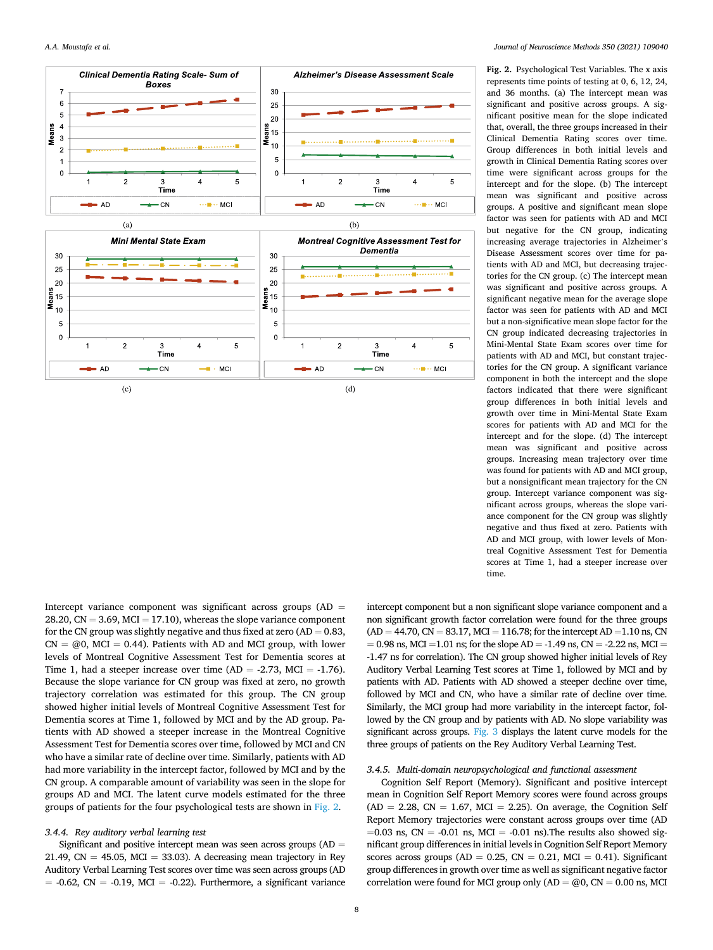

**Fig. 2.** Psychological Test Variables. The x axis represents time points of testing at 0, 6, 12, 24, and 36 months. (a) The intercept mean was significant and positive across groups. A significant positive mean for the slope indicated that, overall, the three groups increased in their Clinical Dementia Rating scores over time. Group differences in both initial levels and growth in Clinical Dementia Rating scores over time were significant across groups for the intercept and for the slope. (b) The intercept mean was significant and positive across groups. A positive and significant mean slope factor was seen for patients with AD and MCI but negative for the CN group, indicating increasing average trajectories in Alzheimer's Disease Assessment scores over time for patients with AD and MCI, but decreasing trajectories for the CN group. (c) The intercept mean was significant and positive across groups. A significant negative mean for the average slope factor was seen for patients with AD and MCI but a non-significative mean slope factor for the CN group indicated decreasing trajectories in Mini-Mental State Exam scores over time for patients with AD and MCI, but constant trajectories for the CN group. A significant variance component in both the intercept and the slope factors indicated that there were significant group differences in both initial levels and growth over time in Mini-Mental State Exam scores for patients with AD and MCI for the intercept and for the slope. (d) The intercept mean was significant and positive across groups. Increasing mean trajectory over time was found for patients with AD and MCI group, but a nonsignificant mean trajectory for the CN group. Intercept variance component was significant across groups, whereas the slope variance component for the CN group was slightly negative and thus fixed at zero. Patients with AD and MCI group, with lower levels of Montreal Cognitive Assessment Test for Dementia scores at Time 1, had a steeper increase over time.

Intercept variance component was significant across groups  $(AD =$ 28.20,  $CN = 3.69$ ,  $MCI = 17.10$ ), whereas the slope variance component for the CN group was slightly negative and thus fixed at zero  $(AD = 0.83,$  $CN = \omega_0$ , MCI = 0.44). Patients with AD and MCI group, with lower levels of Montreal Cognitive Assessment Test for Dementia scores at Time 1, had a steeper increase over time  $(AD = -2.73, MCI = -1.76)$ . Because the slope variance for CN group was fixed at zero, no growth trajectory correlation was estimated for this group. The CN group showed higher initial levels of Montreal Cognitive Assessment Test for Dementia scores at Time 1, followed by MCI and by the AD group. Patients with AD showed a steeper increase in the Montreal Cognitive Assessment Test for Dementia scores over time, followed by MCI and CN who have a similar rate of decline over time. Similarly, patients with AD had more variability in the intercept factor, followed by MCI and by the CN group. A comparable amount of variability was seen in the slope for groups AD and MCI. The latent curve models estimated for the three groups of patients for the four psychological tests are shown in Fig. 2.

#### *3.4.4. Rey auditory verbal learning test*

Significant and positive intercept mean was seen across groups  $(AD =$ 21.49,  $CN = 45.05$ ,  $MCI = 33.03$ ). A decreasing mean trajectory in Rey Auditory Verbal Learning Test scores over time was seen across groups (AD  $= -0.62$ , CN  $= -0.19$ , MCI  $= -0.22$ ). Furthermore, a significant variance intercept component but a non significant slope variance component and a non significant growth factor correlation were found for the three groups  $(AD = 44.70, CN = 83.17, MCI = 116.78; for the intercept AD = 1.10 ns, CN$  $= 0.98$  ns, MCI = 1.01 ns; for the slope AD = -1.49 ns, CN = -2.22 ns, MCI = -1.47 ns for correlation). The CN group showed higher initial levels of Rey Auditory Verbal Learning Test scores at Time 1, followed by MCI and by patients with AD. Patients with AD showed a steeper decline over time, followed by MCI and CN, who have a similar rate of decline over time. Similarly, the MCI group had more variability in the intercept factor, followed by the CN group and by patients with AD. No slope variability was significant across groups. [Fig. 3](#page-8-0) displays the latent curve models for the three groups of patients on the Rey Auditory Verbal Learning Test.

# *3.4.5. Multi-domain neuropsychological and functional assessment*

Cognition Self Report (Memory). Significant and positive intercept mean in Cognition Self Report Memory scores were found across groups  $(AD = 2.28, CN = 1.67, MCI = 2.25)$ . On average, the Cognition Self Report Memory trajectories were constant across groups over time (AD  $=0.03$  ns,  $CN = -0.01$  ns,  $MCI = -0.01$  ns). The results also showed significant group differences in initial levels in Cognition Self Report Memory scores across groups (AD =  $0.25$ , CN =  $0.21$ , MCI = 0.41). Significant group differences in growth over time as well as significant negative factor correlation were found for MCI group only  $(AD = \textcircled{00}, CN = 0.00 \text{ ns}, MCI$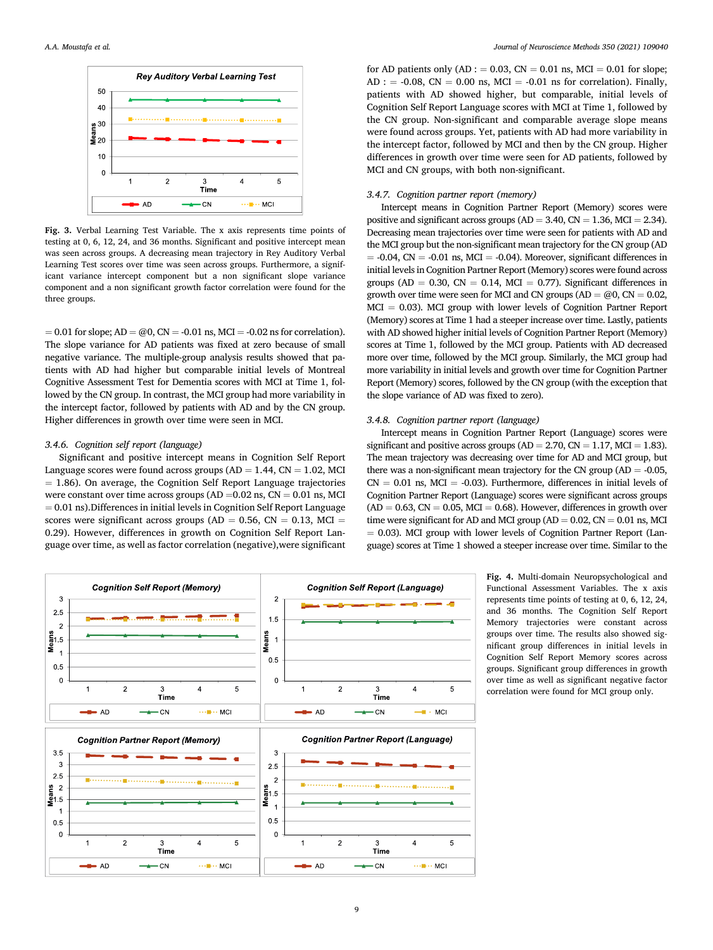<span id="page-8-0"></span>

**Fig. 3.** Verbal Learning Test Variable. The x axis represents time points of testing at 0, 6, 12, 24, and 36 months. Significant and positive intercept mean was seen across groups. A decreasing mean trajectory in Rey Auditory Verbal Learning Test scores over time was seen across groups. Furthermore, a significant variance intercept component but a non significant slope variance component and a non significant growth factor correlation were found for the three groups.

 $= 0.01$  for slope; AD  $= \omega$ , CN  $= -0.01$  ns, MCI  $= -0.02$  ns for correlation). The slope variance for AD patients was fixed at zero because of small negative variance. The multiple-group analysis results showed that patients with AD had higher but comparable initial levels of Montreal Cognitive Assessment Test for Dementia scores with MCI at Time 1, followed by the CN group. In contrast, the MCI group had more variability in the intercept factor, followed by patients with AD and by the CN group. Higher differences in growth over time were seen in MCI.

#### *3.4.6. Cognition self report (language)*

Significant and positive intercept means in Cognition Self Report Language scores were found across groups ( $AD = 1.44$ ,  $CN = 1.02$ , MCI  $= 1.86$ ). On average, the Cognition Self Report Language trajectories were constant over time across groups (AD = $0.02$  ns, CN =  $0.01$  ns, MCI  $= 0.01$  ns). Differences in initial levels in Cognition Self Report Language scores were significant across groups ( $AD = 0.56$ ,  $CN = 0.13$ ,  $MCI =$ 0.29). However, differences in growth on Cognition Self Report Language over time, as well as factor correlation (negative),were significant for AD patients only (AD :  $= 0.03$ , CN  $= 0.01$  ns, MCI  $= 0.01$  for slope;  $AD: = -0.08$ ,  $CN = 0.00$  ns,  $MCI = -0.01$  ns for correlation). Finally, patients with AD showed higher, but comparable, initial levels of Cognition Self Report Language scores with MCI at Time 1, followed by the CN group. Non-significant and comparable average slope means were found across groups. Yet, patients with AD had more variability in the intercept factor, followed by MCI and then by the CN group. Higher differences in growth over time were seen for AD patients, followed by MCI and CN groups, with both non-significant.

## *3.4.7. Cognition partner report (memory)*

Intercept means in Cognition Partner Report (Memory) scores were positive and significant across groups  $(AD = 3.40, CN = 1.36, MCI = 2.34)$ . Decreasing mean trajectories over time were seen for patients with AD and the MCI group but the non-significant mean trajectory for the CN group (AD  $= -0.04$ , CN  $= -0.01$  ns, MCI  $= -0.04$ ). Moreover, significant differences in initial levels in Cognition Partner Report (Memory) scores were found across groups (AD = 0.30, CN = 0.14, MCI = 0.77). Significant differences in growth over time were seen for MCI and CN groups (AD =  $@0$ , CN = 0.02,  $MCI = 0.03$ ). MCI group with lower levels of Cognition Partner Report (Memory) scores at Time 1 had a steeper increase over time. Lastly, patients with AD showed higher initial levels of Cognition Partner Report (Memory) scores at Time 1, followed by the MCI group. Patients with AD decreased more over time, followed by the MCI group. Similarly, the MCI group had more variability in initial levels and growth over time for Cognition Partner Report (Memory) scores, followed by the CN group (with the exception that the slope variance of AD was fixed to zero).

#### *3.4.8. Cognition partner report (language)*

Intercept means in Cognition Partner Report (Language) scores were significant and positive across groups  $(AD = 2.70, CN = 1.17, MCI = 1.83)$ . The mean trajectory was decreasing over time for AD and MCI group, but there was a non-significant mean trajectory for the CN group ( $AD = -0.05$ ,  $CN = 0.01$  ns,  $MCI = -0.03$ ). Furthermore, differences in initial levels of Cognition Partner Report (Language) scores were significant across groups  $(AD = 0.63, CN = 0.05, MCI = 0.68)$ . However, differences in growth over time were significant for AD and MCI group ( $AD = 0.02$ ,  $CN = 0.01$  ns, MCI = 0.03). MCI group with lower levels of Cognition Partner Report (Language) scores at Time 1 showed a steeper increase over time. Similar to the



**Fig. 4.** Multi-domain Neuropsychological and Functional Assessment Variables. The x axis represents time points of testing at 0, 6, 12, 24, and 36 months. The Cognition Self Report Memory trajectories were constant across groups over time. The results also showed significant group differences in initial levels in Cognition Self Report Memory scores across groups. Significant group differences in growth over time as well as significant negative factor correlation were found for MCI group only.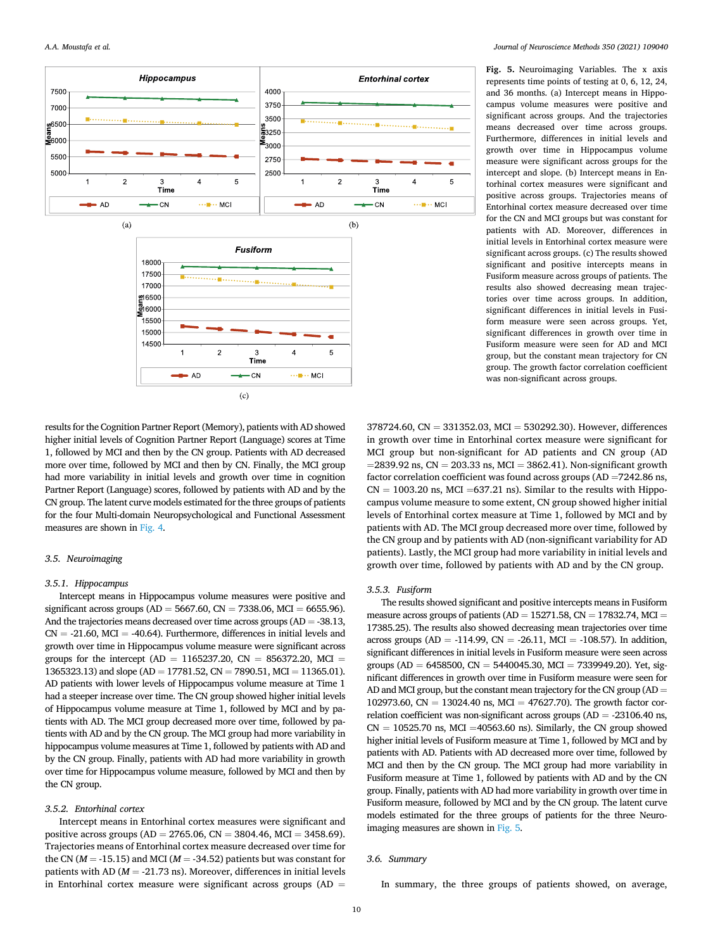

**Fig. 5.** Neuroimaging Variables. The x axis represents time points of testing at 0, 6, 12, 24, and 36 months. (a) Intercept means in Hippocampus volume measures were positive and significant across groups. And the trajectories means decreased over time across groups. Furthermore, differences in initial levels and growth over time in Hippocampus volume measure were significant across groups for the intercept and slope. (b) Intercept means in Entorhinal cortex measures were significant and positive across groups. Trajectories means of Entorhinal cortex measure decreased over time for the CN and MCI groups but was constant for patients with AD. Moreover, differences in initial levels in Entorhinal cortex measure were significant across groups. (c) The results showed significant and positive intercepts means in Fusiform measure across groups of patients. The results also showed decreasing mean trajectories over time across groups. In addition, significant differences in initial levels in Fusiform measure were seen across groups. Yet, significant differences in growth over time in Fusiform measure were seen for AD and MCI group, but the constant mean trajectory for CN group. The growth factor correlation coefficient was non-significant across groups.

results for the Cognition Partner Report (Memory), patients with AD showed higher initial levels of Cognition Partner Report (Language) scores at Time 1, followed by MCI and then by the CN group. Patients with AD decreased more over time, followed by MCI and then by CN. Finally, the MCI group had more variability in initial levels and growth over time in cognition Partner Report (Language) scores, followed by patients with AD and by the CN group. The latent curve models estimated for the three groups of patients for the four Multi-domain Neuropsychological and Functional Assessment measures are shown in [Fig. 4](#page-8-0).

# *3.5. Neuroimaging*

#### *3.5.1. Hippocampus*

Intercept means in Hippocampus volume measures were positive and significant across groups (AD = 5667.60, CN = 7338.06, MCI = 6655.96). And the trajectories means decreased over time across groups  $(AD = -38.13,$  $CN = -21.60$ ,  $MCI = -40.64$ ). Furthermore, differences in initial levels and growth over time in Hippocampus volume measure were significant across groups for the intercept (AD = 1165237.20, CN = 856372.20, MCI = 1365323.13) and slope (AD = 17781.52, CN = 7890.51, MCI = 11365.01). AD patients with lower levels of Hippocampus volume measure at Time 1 had a steeper increase over time. The CN group showed higher initial levels of Hippocampus volume measure at Time 1, followed by MCI and by patients with AD. The MCI group decreased more over time, followed by patients with AD and by the CN group. The MCI group had more variability in hippocampus volume measures at Time 1, followed by patients with AD and by the CN group. Finally, patients with AD had more variability in growth over time for Hippocampus volume measure, followed by MCI and then by the CN group.

#### *3.5.2. Entorhinal cortex*

Intercept means in Entorhinal cortex measures were significant and positive across groups (AD = 2765.06, CN = 3804.46, MCI = 3458.69). Trajectories means of Entorhinal cortex measure decreased over time for the CN ( $M = -15.15$ ) and MCI ( $M = -34.52$ ) patients but was constant for patients with AD ( $M = -21.73$  ns). Moreover, differences in initial levels in Entorhinal cortex measure were significant across groups (AD  $=$ 

378724.60, CN = 331352.03, MCI = 530292.30). However, differences in growth over time in Entorhinal cortex measure were significant for MCI group but non-significant for AD patients and CN group (AD  $=$  2839.92 ns, CN = 203.33 ns, MCI = 3862.41). Non-significant growth factor correlation coefficient was found across groups (AD =7242.86 ns,  $CN = 1003.20$  ns, MCI = 637.21 ns). Similar to the results with Hippocampus volume measure to some extent, CN group showed higher initial levels of Entorhinal cortex measure at Time 1, followed by MCI and by patients with AD. The MCI group decreased more over time, followed by the CN group and by patients with AD (non-significant variability for AD patients). Lastly, the MCI group had more variability in initial levels and growth over time, followed by patients with AD and by the CN group.

#### *3.5.3. Fusiform*

The results showed significant and positive intercepts means in Fusiform measure across groups of patients ( $AD = 15271.58$ ,  $CN = 17832.74$ ,  $MCI =$ 17385.25). The results also showed decreasing mean trajectories over time across groups (AD = -114.99, CN = -26.11, MCI = -108.57). In addition, significant differences in initial levels in Fusiform measure were seen across groups (AD = 6458500, CN = 5440045.30, MCI = 7339949.20). Yet, significant differences in growth over time in Fusiform measure were seen for AD and MCI group, but the constant mean trajectory for the CN group ( $AD =$ 102973.60, CN = 13024.40 ns, MCI = 47627.70). The growth factor correlation coefficient was non-significant across groups (AD = -23106.40 ns,  $CN = 10525.70$  ns, MCI = 40563.60 ns). Similarly, the CN group showed higher initial levels of Fusiform measure at Time 1, followed by MCI and by patients with AD. Patients with AD decreased more over time, followed by MCI and then by the CN group. The MCI group had more variability in Fusiform measure at Time 1, followed by patients with AD and by the CN group. Finally, patients with AD had more variability in growth over time in Fusiform measure, followed by MCI and by the CN group. The latent curve models estimated for the three groups of patients for the three Neuroimaging measures are shown in Fig. 5.

#### *3.6. Summary*

In summary, the three groups of patients showed, on average,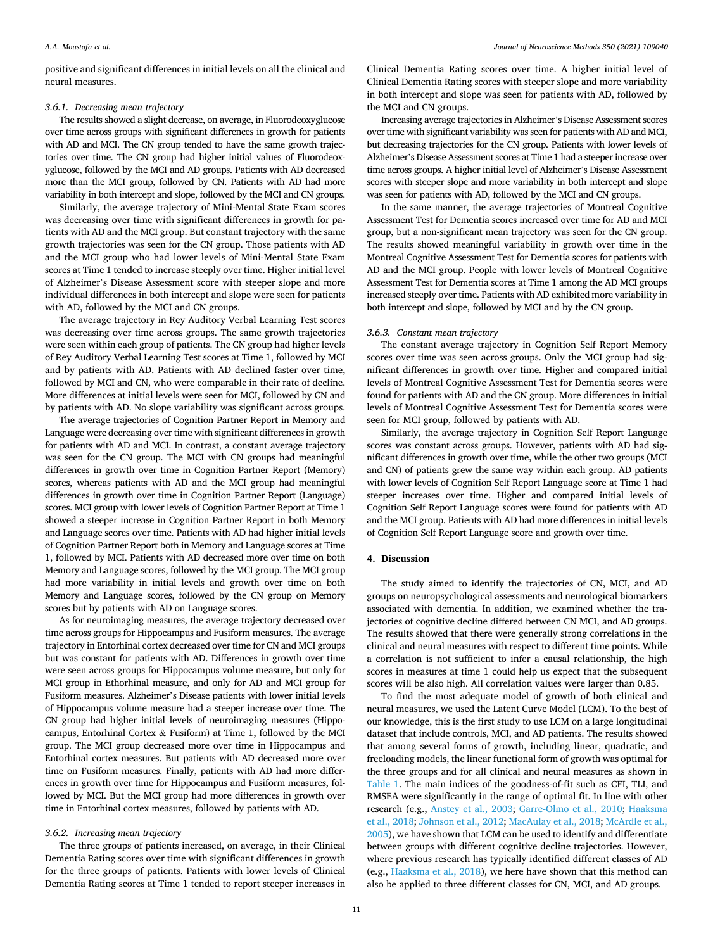#### *A.A. Moustafa et al.*

positive and significant differences in initial levels on all the clinical and neural measures.

## *3.6.1. Decreasing mean trajectory*

The results showed a slight decrease, on average, in Fluorodeoxyglucose over time across groups with significant differences in growth for patients with AD and MCI. The CN group tended to have the same growth trajectories over time. The CN group had higher initial values of Fluorodeoxyglucose, followed by the MCI and AD groups. Patients with AD decreased more than the MCI group, followed by CN. Patients with AD had more variability in both intercept and slope, followed by the MCI and CN groups.

Similarly, the average trajectory of Mini-Mental State Exam scores was decreasing over time with significant differences in growth for patients with AD and the MCI group. But constant trajectory with the same growth trajectories was seen for the CN group. Those patients with AD and the MCI group who had lower levels of Mini-Mental State Exam scores at Time 1 tended to increase steeply over time. Higher initial level of Alzheimer's Disease Assessment score with steeper slope and more individual differences in both intercept and slope were seen for patients with AD, followed by the MCI and CN groups.

The average trajectory in Rey Auditory Verbal Learning Test scores was decreasing over time across groups. The same growth trajectories were seen within each group of patients. The CN group had higher levels of Rey Auditory Verbal Learning Test scores at Time 1, followed by MCI and by patients with AD. Patients with AD declined faster over time, followed by MCI and CN, who were comparable in their rate of decline. More differences at initial levels were seen for MCI, followed by CN and by patients with AD. No slope variability was significant across groups.

The average trajectories of Cognition Partner Report in Memory and Language were decreasing over time with significant differences in growth for patients with AD and MCI. In contrast, a constant average trajectory was seen for the CN group. The MCI with CN groups had meaningful differences in growth over time in Cognition Partner Report (Memory) scores, whereas patients with AD and the MCI group had meaningful differences in growth over time in Cognition Partner Report (Language) scores. MCI group with lower levels of Cognition Partner Report at Time 1 showed a steeper increase in Cognition Partner Report in both Memory and Language scores over time. Patients with AD had higher initial levels of Cognition Partner Report both in Memory and Language scores at Time 1, followed by MCI. Patients with AD decreased more over time on both Memory and Language scores, followed by the MCI group. The MCI group had more variability in initial levels and growth over time on both Memory and Language scores, followed by the CN group on Memory scores but by patients with AD on Language scores.

As for neuroimaging measures, the average trajectory decreased over time across groups for Hippocampus and Fusiform measures. The average trajectory in Entorhinal cortex decreased over time for CN and MCI groups but was constant for patients with AD. Differences in growth over time were seen across groups for Hippocampus volume measure, but only for MCI group in Ethorhinal measure, and only for AD and MCI group for Fusiform measures. Alzheimer's Disease patients with lower initial levels of Hippocampus volume measure had a steeper increase over time. The CN group had higher initial levels of neuroimaging measures (Hippocampus, Entorhinal Cortex & Fusiform) at Time 1, followed by the MCI group. The MCI group decreased more over time in Hippocampus and Entorhinal cortex measures. But patients with AD decreased more over time on Fusiform measures. Finally, patients with AD had more differences in growth over time for Hippocampus and Fusiform measures, followed by MCI. But the MCI group had more differences in growth over time in Entorhinal cortex measures, followed by patients with AD.

# *3.6.2. Increasing mean trajectory*

The three groups of patients increased, on average, in their Clinical Dementia Rating scores over time with significant differences in growth for the three groups of patients. Patients with lower levels of Clinical Dementia Rating scores at Time 1 tended to report steeper increases in

Clinical Dementia Rating scores over time. A higher initial level of Clinical Dementia Rating scores with steeper slope and more variability in both intercept and slope was seen for patients with AD, followed by the MCI and CN groups.

Increasing average trajectories in Alzheimer's Disease Assessment scores over time with significant variability was seen for patients with AD and MCI, but decreasing trajectories for the CN group. Patients with lower levels of Alzheimer's Disease Assessment scores at Time 1 had a steeper increase over time across groups. A higher initial level of Alzheimer's Disease Assessment scores with steeper slope and more variability in both intercept and slope was seen for patients with AD, followed by the MCI and CN groups.

In the same manner, the average trajectories of Montreal Cognitive Assessment Test for Dementia scores increased over time for AD and MCI group, but a non-significant mean trajectory was seen for the CN group. The results showed meaningful variability in growth over time in the Montreal Cognitive Assessment Test for Dementia scores for patients with AD and the MCI group. People with lower levels of Montreal Cognitive Assessment Test for Dementia scores at Time 1 among the AD MCI groups increased steeply over time. Patients with AD exhibited more variability in both intercept and slope, followed by MCI and by the CN group.

#### *3.6.3. Constant mean trajectory*

The constant average trajectory in Cognition Self Report Memory scores over time was seen across groups. Only the MCI group had significant differences in growth over time. Higher and compared initial levels of Montreal Cognitive Assessment Test for Dementia scores were found for patients with AD and the CN group. More differences in initial levels of Montreal Cognitive Assessment Test for Dementia scores were seen for MCI group, followed by patients with AD.

Similarly, the average trajectory in Cognition Self Report Language scores was constant across groups. However, patients with AD had significant differences in growth over time, while the other two groups (MCI and CN) of patients grew the same way within each group. AD patients with lower levels of Cognition Self Report Language score at Time 1 had steeper increases over time. Higher and compared initial levels of Cognition Self Report Language scores were found for patients with AD and the MCI group. Patients with AD had more differences in initial levels of Cognition Self Report Language score and growth over time.

## **4. Discussion**

The study aimed to identify the trajectories of CN, MCI, and AD groups on neuropsychological assessments and neurological biomarkers associated with dementia. In addition, we examined whether the trajectories of cognitive decline differed between CN MCI, and AD groups. The results showed that there were generally strong correlations in the clinical and neural measures with respect to different time points. While a correlation is not sufficient to infer a causal relationship, the high scores in measures at time 1 could help us expect that the subsequent scores will be also high. All correlation values were larger than 0.85.

To find the most adequate model of growth of both clinical and neural measures, we used the Latent Curve Model (LCM). To the best of our knowledge, this is the first study to use LCM on a large longitudinal dataset that include controls, MCI, and AD patients. The results showed that among several forms of growth, including linear, quadratic, and freeloading models, the linear functional form of growth was optimal for the three groups and for all clinical and neural measures as shown in [Table 1.](#page-3-0) The main indices of the goodness-of-fit such as CFI, TLI, and RMSEA were significantly in the range of optimal fit. In line with other research (e.g., [Anstey et al., 2003;](#page-21-0) [Garre-Olmo et al., 2010](#page-21-0); [Haaksma](#page-21-0)  [et al., 2018](#page-21-0); [Johnson et al., 2012](#page-21-0); [MacAulay et al., 2018;](#page-21-0) [McArdle et al.,](#page-22-0)  [2005\)](#page-22-0), we have shown that LCM can be used to identify and differentiate between groups with different cognitive decline trajectories. However, where previous research has typically identified different classes of AD (e.g., [Haaksma et al., 2018\)](#page-21-0), we here have shown that this method can also be applied to three different classes for CN, MCI, and AD groups.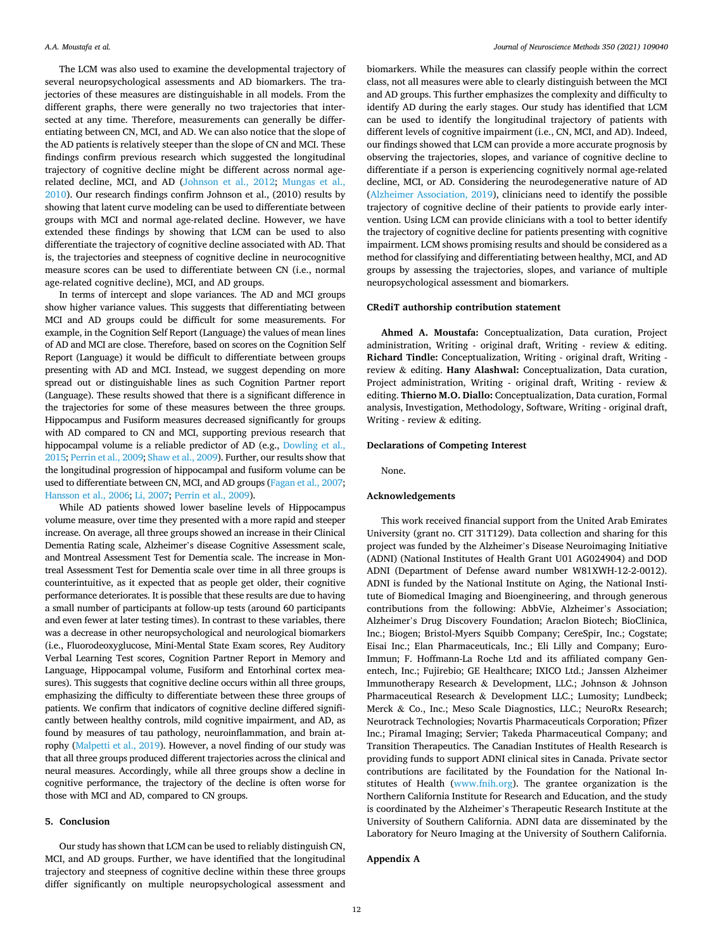The LCM was also used to examine the developmental trajectory of several neuropsychological assessments and AD biomarkers. The trajectories of these measures are distinguishable in all models. From the different graphs, there were generally no two trajectories that intersected at any time. Therefore, measurements can generally be differentiating between CN, MCI, and AD. We can also notice that the slope of the AD patients is relatively steeper than the slope of CN and MCI. These findings confirm previous research which suggested the longitudinal trajectory of cognitive decline might be different across normal agerelated decline, MCI, and AD [\(Johnson et al., 2012;](#page-21-0) [Mungas et al.,](#page-22-0)  [2010\)](#page-22-0). Our research findings confirm Johnson et al., (2010) results by showing that latent curve modeling can be used to differentiate between groups with MCI and normal age-related decline. However, we have extended these findings by showing that LCM can be used to also differentiate the trajectory of cognitive decline associated with AD. That is, the trajectories and steepness of cognitive decline in neurocognitive measure scores can be used to differentiate between CN (i.e., normal age-related cognitive decline), MCI, and AD groups.

In terms of intercept and slope variances. The AD and MCI groups show higher variance values. This suggests that differentiating between MCI and AD groups could be difficult for some measurements. For example, in the Cognition Self Report (Language) the values of mean lines of AD and MCI are close. Therefore, based on scores on the Cognition Self Report (Language) it would be difficult to differentiate between groups presenting with AD and MCI. Instead, we suggest depending on more spread out or distinguishable lines as such Cognition Partner report (Language). These results showed that there is a significant difference in the trajectories for some of these measures between the three groups. Hippocampus and Fusiform measures decreased significantly for groups with AD compared to CN and MCI, supporting previous research that hippocampal volume is a reliable predictor of AD (e.g., [Dowling et al.,](#page-21-0)  [2015](#page-21-0); [Perrin et al., 2009; Shaw et al., 2009\)](#page-22-0). Further, our results show that the longitudinal progression of hippocampal and fusiform volume can be used to differentiate between CN, MCI, and AD groups [\(Fagan et al., 2007](#page-21-0); [Hansson et al., 2006](#page-21-0); [Li, 2007](#page-21-0); [Perrin et al., 2009\)](#page-22-0).

While AD patients showed lower baseline levels of Hippocampus volume measure, over time they presented with a more rapid and steeper increase. On average, all three groups showed an increase in their Clinical Dementia Rating scale, Alzheimer's disease Cognitive Assessment scale, and Montreal Assessment Test for Dementia scale. The increase in Montreal Assessment Test for Dementia scale over time in all three groups is counterintuitive, as it expected that as people get older, their cognitive performance deteriorates. It is possible that these results are due to having a small number of participants at follow-up tests (around 60 participants and even fewer at later testing times). In contrast to these variables, there was a decrease in other neuropsychological and neurological biomarkers (i.e., Fluorodeoxyglucose, Mini-Mental State Exam scores, Rey Auditory Verbal Learning Test scores, Cognition Partner Report in Memory and Language, Hippocampal volume, Fusiform and Entorhinal cortex measures). This suggests that cognitive decline occurs within all three groups, emphasizing the difficulty to differentiate between these three groups of patients. We confirm that indicators of cognitive decline differed significantly between healthy controls, mild cognitive impairment, and AD, as found by measures of tau pathology, neuroinflammation, and brain atrophy [\(Malpetti et al., 2019\)](#page-21-0). However, a novel finding of our study was that all three groups produced different trajectories across the clinical and neural measures. Accordingly, while all three groups show a decline in cognitive performance, the trajectory of the decline is often worse for those with MCI and AD, compared to CN groups.

# **5. Conclusion**

Our study has shown that LCM can be used to reliably distinguish CN, MCI, and AD groups. Further, we have identified that the longitudinal trajectory and steepness of cognitive decline within these three groups differ significantly on multiple neuropsychological assessment and

biomarkers. While the measures can classify people within the correct class, not all measures were able to clearly distinguish between the MCI and AD groups. This further emphasizes the complexity and difficulty to identify AD during the early stages. Our study has identified that LCM can be used to identify the longitudinal trajectory of patients with different levels of cognitive impairment (i.e., CN, MCI, and AD). Indeed, our findings showed that LCM can provide a more accurate prognosis by observing the trajectories, slopes, and variance of cognitive decline to differentiate if a person is experiencing cognitively normal age-related decline, MCI, or AD. Considering the neurodegenerative nature of AD ([Alzheimer Association, 2019\)](#page-21-0), clinicians need to identify the possible trajectory of cognitive decline of their patients to provide early intervention. Using LCM can provide clinicians with a tool to better identify the trajectory of cognitive decline for patients presenting with cognitive impairment. LCM shows promising results and should be considered as a method for classifying and differentiating between healthy, MCI, and AD groups by assessing the trajectories, slopes, and variance of multiple neuropsychological assessment and biomarkers.

## **CRediT authorship contribution statement**

**Ahmed A. Moustafa:** Conceptualization, Data curation, Project administration, Writing - original draft, Writing - review & editing. **Richard Tindle:** Conceptualization, Writing - original draft, Writing review & editing. **Hany Alashwal:** Conceptualization, Data curation, Project administration, Writing - original draft, Writing - review & editing. **Thierno M.O. Diallo:** Conceptualization, Data curation, Formal analysis, Investigation, Methodology, Software, Writing - original draft, Writing - review & editing.

## **Declarations of Competing Interest**

None.

#### **Acknowledgements**

This work received financial support from the United Arab Emirates University (grant no. CIT 31T129). Data collection and sharing for this project was funded by the Alzheimer's Disease Neuroimaging Initiative (ADNI) (National Institutes of Health Grant U01 AG024904) and DOD ADNI (Department of Defense award number W81XWH-12-2-0012). ADNI is funded by the National Institute on Aging, the National Institute of Biomedical Imaging and Bioengineering, and through generous contributions from the following: AbbVie, Alzheimer's Association; Alzheimer's Drug Discovery Foundation; Araclon Biotech; BioClinica, Inc.; Biogen; Bristol-Myers Squibb Company; CereSpir, Inc.; Cogstate; Eisai Inc.; Elan Pharmaceuticals, Inc.; Eli Lilly and Company; Euro-Immun; F. Hoffmann-La Roche Ltd and its affiliated company Genentech, Inc.; Fujirebio; GE Healthcare; IXICO Ltd.; Janssen Alzheimer Immunotherapy Research & Development, LLC.; Johnson & Johnson Pharmaceutical Research & Development LLC.; Lumosity; Lundbeck; Merck & Co., Inc.; Meso Scale Diagnostics, LLC.; NeuroRx Research; Neurotrack Technologies; Novartis Pharmaceuticals Corporation; Pfizer Inc.; Piramal Imaging; Servier; Takeda Pharmaceutical Company; and Transition Therapeutics. The Canadian Institutes of Health Research is providing funds to support ADNI clinical sites in Canada. Private sector contributions are facilitated by the Foundation for the National Institutes of Health [\(www.fnih.org](http://www.fnih.org)). The grantee organization is the Northern California Institute for Research and Education, and the study is coordinated by the Alzheimer's Therapeutic Research Institute at the University of Southern California. ADNI data are disseminated by the Laboratory for Neuro Imaging at the University of Southern California.

# **Appendix A**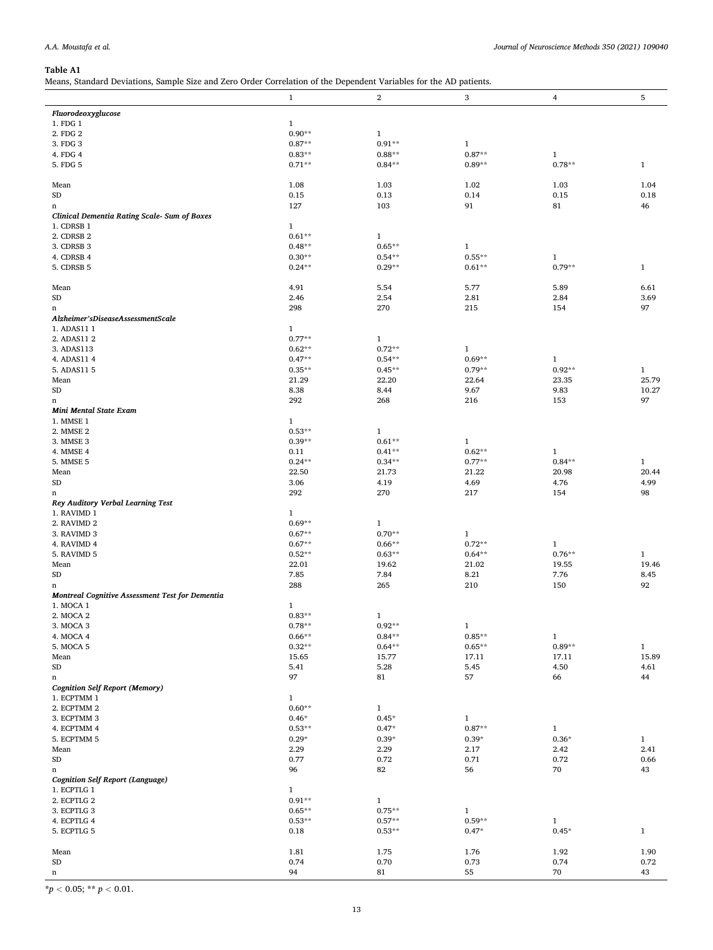<span id="page-12-0"></span>Means, Standard Deviations, Sample Size and Zero Order Correlation of the Dependent Variables for the AD patients.

|                                                              | $\mathbf{1}$ | $\mathbf{2}$ | 3            | 4            | 5            |
|--------------------------------------------------------------|--------------|--------------|--------------|--------------|--------------|
| Fluorodeoxyglucose                                           |              |              |              |              |              |
| 1. FDG 1                                                     | $\mathbf{1}$ |              |              |              |              |
| 2. FDG 2                                                     | $0.90**$     | $\mathbf{1}$ |              |              |              |
| 3. FDG 3                                                     | $0.87**$     | $0.91**$     | $\mathbf{1}$ |              |              |
| 4. FDG 4                                                     | $0.83**$     | $0.88**$     | $0.87**$     | $\mathbf{1}$ |              |
| 5. FDG 5                                                     | $0.71**$     | $0.84**$     | $0.89**$     | $0.78**$     | $1\,$        |
| Mean                                                         | 1.08         | 1.03         | 1.02         | 1.03         | 1.04         |
| ${\rm SD}$                                                   | 0.15         | 0.13         | 0.14         | 0.15         | 0.18         |
| n                                                            | 127          | 103          | 91           | 81           | 46           |
| Clinical Dementia Rating Scale- Sum of Boxes                 |              |              |              |              |              |
| 1. CDRSB 1                                                   | $\mathbf{1}$ |              |              |              |              |
| 2. CDRSB 2                                                   | $0.61**$     | $\mathbf{1}$ |              |              |              |
| 3. CDRSB 3                                                   | $0.48**$     | $0.65**$     | $\mathbf{1}$ |              |              |
| 4. CDRSB 4                                                   | $0.30**$     | $0.54**$     | $0.55**$     | $\mathbf{1}$ |              |
| 5. CDRSB 5                                                   | $0.24**$     | $0.29**$     | $0.61**$     | $0.79**$     | $\mathbf 1$  |
| Mean                                                         | 4.91         | 5.54         | 5.77         | 5.89         | 6.61         |
| <b>SD</b>                                                    | 2.46         | 2.54         | 2.81         | 2.84         | 3.69         |
| n                                                            | 298          | 270          | 215          | 154          | 97           |
| Alzheimer'sDiseaseAssessmentScale<br>1. ADAS11 1             | $\mathbf{1}$ |              |              |              |              |
| 2. ADAS11 2                                                  | $0.77**$     | $\mathbf{1}$ |              |              |              |
| 3. ADAS113                                                   | $0.62**$     | $0.72**$     | $\mathbf{1}$ |              |              |
| 4. ADAS11 4                                                  | $0.47**$     | $0.54**$     | $0.69**$     | $\mathbf{1}$ |              |
| 5. ADAS11 5                                                  | $0.35**$     | $0.45**$     | $0.79**$     | $0.92**$     | $\mathbf 1$  |
| Mean                                                         | 21.29        | 22.20        | 22.64        | 23.35        | 25.79        |
| ${\rm SD}$                                                   | 8.38         | 8.44         | 9.67         | 9.83         | 10.27        |
| n                                                            | 292          | 268          | 216          | 153          | 97           |
| Mini Mental State Exam                                       |              |              |              |              |              |
| 1. MMSE 1                                                    | $\mathbf{1}$ |              |              |              |              |
| 2. MMSE 2                                                    | $0.53**$     | $\mathbf{1}$ |              |              |              |
| 3. MMSE 3                                                    | $0.39**$     | $0.61**$     | $\mathbf{1}$ |              |              |
| 4. MMSE 4                                                    | 0.11         | $0.41**$     | $0.62**$     | $\mathbf{1}$ |              |
| 5. MMSE 5                                                    | $0.24**$     | $0.34**$     | $0.77**$     | $0.84***$    | $\mathbf{1}$ |
| Mean                                                         | 22.50        | 21.73        | 21.22        | 20.98        | 20.44        |
| ${\rm SD}$                                                   | 3.06         | 4.19         | 4.69         | 4.76         | 4.99         |
|                                                              | 292          | 270          | 217          | 154          | 98           |
| n<br>Rey Auditory Verbal Learning Test                       |              |              |              |              |              |
| 1. RAVIMD 1                                                  | 1            |              |              |              |              |
| 2. RAVIMD 2                                                  | $0.69**$     | $\mathbf{1}$ |              |              |              |
| 3. RAVIMD 3                                                  | $0.67**$     | $0.70**$     | $\mathbf{1}$ |              |              |
| 4. RAVIMD 4                                                  | $0.67**$     | $0.66**$     | $0.72**$     | $\mathbf{1}$ |              |
| 5. RAVIMD 5                                                  | $0.52**$     | $0.63**$     | $0.64**$     | $0.76**$     | $\mathbf{1}$ |
| Mean                                                         | 22.01        | 19.62        | 21.02        | 19.55        | 19.46        |
| ${\rm SD}$                                                   | 7.85         | 7.84         | 8.21         | 7.76         | 8.45         |
| n                                                            | 288          | 265          | 210          | 150          | 92           |
| Montreal Cognitive Assessment Test for Dementia<br>1. MOCA 1 | $\mathbf{1}$ |              |              |              |              |
| 2. MOCA 2                                                    | $0.83**$     | $\mathbf{1}$ |              |              |              |
| 3. MOCA 3                                                    | $0.78**$     | $0.92**$     | $\mathbf{1}$ |              |              |
| 4. MOCA 4                                                    | $0.66**$     | $0.84**$     | $0.85**$     | $\mathbf{1}$ |              |
| 5. MOCA 5                                                    | $0.32**$     | $0.64**$     | $0.65**$     | $0.89**$     | $\mathbf 1$  |
| Mean                                                         | 15.65        | 15.77        | 17.11        | 17.11        | 15.89        |
| ${\rm SD}$                                                   | 5.41         | 5.28         | 5.45         | 4.50         | 4.61         |
| $\mathbf n$                                                  | 97           | 81           | 57           | 66           | 44           |
| <b>Cognition Self Report (Memory)</b>                        |              |              |              |              |              |
| 1. ECPTMM 1                                                  | $\mathbf{1}$ |              |              |              |              |
| 2. ECPTMM 2                                                  | $0.60**$     | $\mathbf{1}$ |              |              |              |
| 3. ECPTMM 3                                                  | $0.46*$      | $0.45*$      | $\mathbf{1}$ |              |              |
| 4. ECPTMM 4                                                  | $0.53**$     | $0.47*$      | $0.87**$     | $\mathbf 1$  |              |
| 5. ECPTMM 5                                                  | $0.29*$      | $0.39*$      | $0.39*$      | $0.36*$      | $\mathbf{1}$ |
| Mean                                                         | 2.29         | 2.29         | 2.17         | 2.42         | 2.41         |
| ${\rm SD}$                                                   | 0.77         | 0.72         | 0.71         | 0.72         | 0.66         |
| n                                                            | 96           | 82           | 56           | 70           | 43           |
| <b>Cognition Self Report (Language)</b>                      |              |              |              |              |              |
| 1. ECPTLG 1                                                  | $\mathbf{1}$ |              |              |              |              |
| 2. ECPTLG 2                                                  | $0.91**$     | $\mathbf{1}$ |              |              |              |
| 3. ECPTLG 3                                                  | $0.65**$     | $0.75**$     | $\mathbf{1}$ |              |              |
| 4. ECPTLG 4                                                  | $0.53**$     | $0.57**$     | $0.59**$     | $\mathbf{1}$ |              |
| 5. ECPTLG 5                                                  | 0.18         | $0.53**$     | $0.47*$      | $0.45*$      | $\,1$        |
| Mean                                                         | 1.81         | 1.75         | 1.76         | 1.92         | 1.90         |
| ${\rm SD}$                                                   | 0.74         | 0.70         | 0.73         | 0.74         | 0.72         |
| n                                                            | 94           | 81           | 55           | 70           | 43           |
|                                                              |              |              |              |              |              |

 $\frac{p}{p} < 0.05$ ; \*\*  $p < 0.01$ .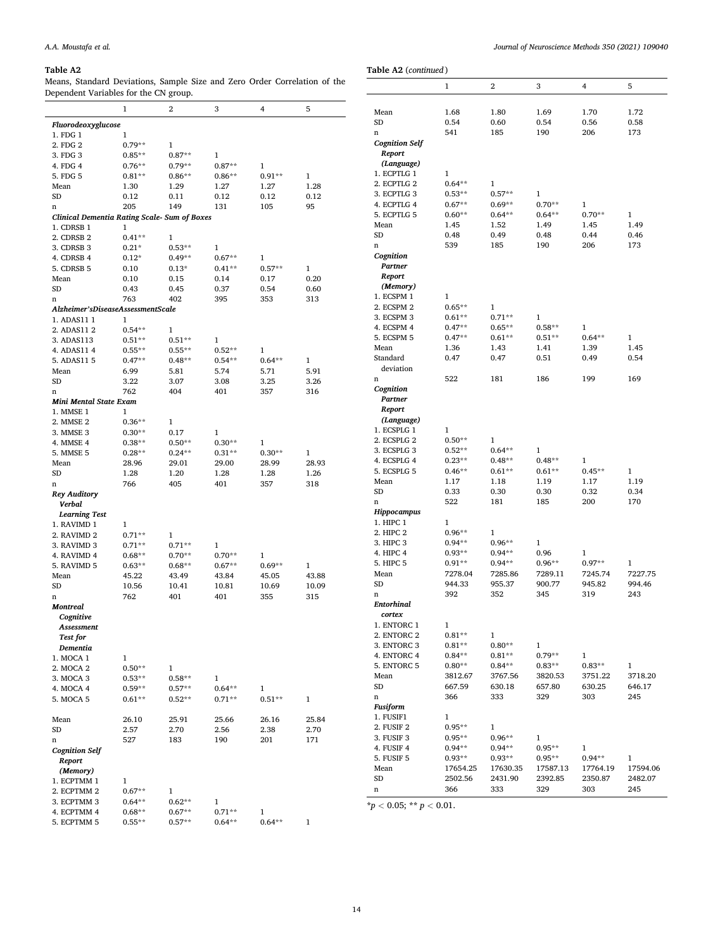*Fluorodeoxyglucose*  1. FDG 1  $1$ <br>2. FDG 2  $0.79**$ 

1. CDRSB 1  $1$ <br>2. CDRSB 2  $0.41**$ 

*Mini Mental State Exam*  1. MMSE 1  $1$ <br>2. MMSE 2  $0.36**$ 2. MMSE 2  $0.36**$  1<br>3. MMSE 3  $0.30**$  0.17

*Rey Auditory Verbal Learning Test*  1. RAVIMD 1 1<br>2. RAVIMD 2 0.71\*\*

*Montreal Cognitive Assessment Test for Dementia* 

*Cognition Self Report (Memory)* 

1. MOCA 1 1<br>2. MOCA 2 0.50\*\*

1. ECPTMM 1  $1$ <br>2. ECPTMM 2  $0.67**$ 

 $\begin{tabular}{ll} 2. ECPTMM 2 & 0.67^{**} & 1 \\ 3. ECPTMM 3 & 0.64^{**} & 0.62^{**} \\ \end{tabular}$ 

 $\begin{tabular}{lcccc} 3. ECPTMM & 3 & 0.64^{**} & 0.62^{**} & 1 \\ 4. ECPTMM & 4 & 0.68^{**} & 0.67^{**} & 0.71^{**} \\ \end{tabular}$  $\begin{tabular}{llllll} 4. ECPTMM & 4 & 0.68^{**} & 0.67^{**} & 0.71^{**} & 1 \\ 5. ECPTMM & 5 & 0.55^{**} & 0.57^{**} & 0.64^{**} & 0 \\ \end{tabular}$ 5. ECPTMM 5 0.55\*\* 0.57\*\* 0.64\*\* 0.64\*\* 1

2. MOCA 2  $0.50^{**}$  1<br>3. MOCA 3  $0.53^{**}$  0.58\*\* 3. MOCA 3  $0.53**$   $0.58**$  1<br>4. MOCA 4  $0.59**$   $0.57**$  0.

2. FDG 2  $0.79**$  1<br>3. FDG 3  $0.85**$  0.87\*\*

*Clinical Dementia Rating Scale- Sum of Boxes* 

2. CDRSB 2  $0.41**$  1<br>3. CDRSB 3  $0.21*$  0.53\*\*

*Alzheimer'sDiseaseAssessmentScale*  1. ADAS11 1 1<br>2. ADAS11 2 0.54\*\*

2. ADAS11 2  $0.54**$  1<br>3. ADAS113  $0.51**$  0.51\*\* 3. ADAS113 0.51\*\* 0.51\*\* 1

2. RAVIMD 2  $0.71**$  1<br>3. RAVIMD 3  $0.71**$  0.71\*\*

3. FDG 3  $0.85**$   $0.87**$  1<br>4. FDG 4  $0.76**$   $0.79**$   $0.87**$ 4. FDG 4 0.76\*\* 0.79\*\* 0.87\*\* 1

3. CDRSB 3  $0.21^*$   $0.53^{**}$  1<br>4. CDRSB 4  $0.12^*$   $0.49^{**}$   $0.67^{**}$ 

3. MMSE 3  $0.30^{**}$   $0.17$  1<br>4. MMSE 4  $0.38^{**}$   $0.50^{**}$   $0.30^{**}$ 

3. RAVIMD 3  $0.71^{**}$   $0.71^{**}$  1<br>4. RAVIMD 4  $0.68^{**}$   $0.70^{**}$   $0.70^{**}$  $\begin{array}{cccccc} \text{4. RAVIMD 4} & & & 0.68^{**} & & 0.70^{**} & & 0.70^{**} & & 1 \\ \text{5. RAVIMD 5} & & & 0.63^{**} & & 0.68^{**} & & 0.67^{**} & & 0 \\ \end{array}$ 

4. CDRSB 4  $0.12^*$   $0.49^{**}$   $0.67^{**}$  1<br>5. CDRSB 5  $0.10$   $0.13^*$   $0.41^{**}$   $0.57^{**}$  $\begin{tabular}{lcccccc} 5. CDRSB & 5 & 0.10 & 0.13^* & 0.41^{**} & 0.57^{**} & 1 \\ Mean & 0.10 & 0.15 & 0.14 & 0.17 & 0 \\ \end{tabular}$ Mean 0.10 0.15 0.14 0.17 0.20 SD 0.43 0.45 0.37 0.54 0.60 n 763 402 395 353 313

4. ADAS11 4 0.55\*\* 0.55\*\* 0.52\*\* 1<br>5. ADAS11 5 0.47\*\* 0.48\*\* 0.54\*\* 0.64\*\*  $\begin{array}{cccccccccc} 5. \text{ADAS} & 11 & 5 & 0.47^{**} & 0.48^{**} & 0.54^{**} & 0.64^{**} & 1 \\ \text{Mean} & 6.99 & 5.81 & 5.74 & 5.71 & 5.91 \end{array}$ Mean 6.99 5.81 5.74 5.71 5.91 SD 3.22 3.07 3.08 3.25 3.26 n 762 404 401 357 316

4. MMSE 4 0.38\*\* 0.50\*\* 0.30\*\* 1<br>5. MMSE 5 0.28\*\* 0.24\*\* 0.31\*\* 0.30\*\* 5. MMSE 5  $0.28^{**}$   $0.24^{**}$   $0.31^{**}$   $0.30^{**}$  1<br>
Mean  $28.96$   $29.01$   $29.00$   $28.99$   $28.93$ Mean 28.96 29.01 29.00 28.99 28.93 SD 1.28 1.20 1.28 1.28 1.26 n 766 405 401 357 318

5. RAVIMD 5  $0.63^{**}$   $0.68^{**}$   $0.67^{**}$   $0.69^{**}$  1<br>Mean  $45.22$   $43.49$   $43.84$   $45.05$   $43.88$ Mean 45.22 43.49 43.84 45.05 43.88 SD 10.56 10.41 10.81 10.69 10.09 n 762 401 401 355 315

4. MOCA 4  $0.59**$   $0.57**$   $0.64**$  1<br>5. MOCA 5  $0.61**$   $0.52**$   $0.71**$   $0.51**$ 5. MOCA 5 0.61\*\* 0.52\*\* 0.71\*\* 0.51\*\* 1 Mean 26.10 25.91 25.66 26.16 25.84 SD 2.57 2.70 2.56 2.38 2.70 n 527 183 190 201 171

#### **Table A2**

Means, Standard Deviations, Sample Size and Zero Order Correlation of the Dependent Variables for the CN group.

5. FDG 5 0.81\*\* 0.86\*\* 0.86\*\* 0.91\*\* 1 Mean 1.30 1.29 1.27 1.27 1.28 SD 0.12 0.11 0.12 0.12 0.12 n 205 149 131 105 95

1 2 3 4 5

**Table A2** (*continued* ) 1 2 3 4 5 Mean 1.68 1.80 1.69 1.70 1.72 SD 0.54 0.60 0.54 0.56 0.58 n 541 185 190 206 173 *Cognition Self Report (Language)*  1. ECPTLG 1 1<br>2. ECPTLG 2 0.64\*\* 2. ECPTLG 2  $0.64**$  1<br>3. ECPTLG 3  $0.53**$  0.57\*\* 3. ECPTLG 3  $0.53**$   $0.57**$  1<br>4. ECPTLG 4  $0.67**$   $0.69**$  0.70\*\* 4. ECPTLG 4  $0.67**$   $0.69**$   $0.70**$  1<br>5. ECPTLG 5  $0.60**$   $0.64**$   $0.64**$  0.70\* 5. ECPTLG 5 0.60\*\* 0.64\*\* 0.64\*\* 0.70\*\* 1 Mean 1.45 1.52 1.49 1.45 1.49 SD 0.48 0.49 0.48 0.44 0.46 n 539 185 190 206 173 *Cognition Partner Report (Memory)*  1. ECSPM 1  $1$ <br>2. ECSPM 2  $0.65**$ 2. ECSPM 2  $0.65**$  1<br>3. ECSPM 3  $0.61**$  0.71\*\*  $\begin{array}{lllllll} 3. \; \mathrm{ECSPM} \; 3 & \qquad & 0.61^{*\ast} & \qquad & 0.71^{*\ast} & \qquad & 1 \\ 4. \; \mathrm{ECSPM} \; 4 & \qquad & 0.47^{*\ast} & \qquad & 0.65^{*\ast} & \qquad & 0.58^{*\ast} \\ \end{array}$  $\begin{array}{cccc} \text{4. ECSPM 4} & \text{0.47}^{**} & \text{0.65}^{**} & \text{0.58}^{**} & \text{1} \\ \text{5. ECSPM 5} & \text{0.47}^{**} & \text{0.61}^{**} & \text{0.51}^{**} & \text{0.} \end{array}$ 5. ECSPM 5 0.47\*\* 0.61\*\* 0.51\*\* 0.64\*\* 1 Mean 1.36 1.43 1.41 1.39 1.45 Standard deviation 0.47 0.47 0.51 0.49 0.54 n 522 181 186 199 169 *Cognition Partner Report (Language)*   $\begin{tabular}{ll} 1. ECSPLG 1 & 1 \\ 2. ECSPLG 2 & 0.50^{**} \\ \end{tabular}$  $\begin{tabular}{llll} 2. ECSPLG & 2 & 0.50^{**} & 1 \\ 3. ECSPLG & 3 & 0.52^{**} & 0.64^{**} \\ \end{tabular}$ 3. ECSPLG 3  $0.52^{**}$   $0.64^{**}$  1<br>4 ECSPLG 4  $0.23^{**}$  0.48\*\* 0  $\begin{array}{cccc} \text{4. ECSPLG 4} & \text{0.23}^{**} & \text{0.48}^{**} & \text{0.48}^{**} & \text{1} \\ \text{5. ECSPLG 5} & \text{0.46}^{**} & \text{0.61}^{**} & \text{0.61}^{**} & \text{0.45}^{**} \\ \end{array}$ 5. ECSPLG 5 0.46\*\* 0.61\*\* 0.61\*\* 0.45\*\* 1 Mean 1.17 1.18 1.19 1.17 1.19 SD 0.33 0.30 0.30 0.32 0.34 n 522 181 185 200 170 *Hippocampus*  1. HIPC 1 1<br>2. HIPC 2 0.96\*\* 2. HIPC 2  $0.96**$  1<br>3. HIPC 3  $0.94**$  0.96\*\* 3. HIPC 3 0.94\*\* 0.96\*\* 1 4. HIPC 4  $0.93^{**}$   $0.94^{**}$   $0.96$  1<br>5. HIPC 5  $0.91^{**}$   $0.94^{**}$   $0.96^{**}$   $0.97^{**}$  $\begin{array}{lcccccc} 5. \text{ HIPC 5} & 0.91^{**} & 0.94^{**} & 0.96^{**} & 0.97^{**} & 1 \\ \text{Mean} & 7278.04 & 7285.86 & 7289.11 & 7245.74 & 7227.75 \end{array}$ Mean 7278.04 7285.86 7289.11 7245.74 7227.75 SD 944.33 955.37 900.77 945.82 994.46 n 392 352 345 319 243 *Entorhinal cortex*  1. ENTORC 1 1<br>2. ENTORC 2 0.81\*\*  $\begin{tabular}{llll} 2. ENTORC 2 & 0.81^{**} & 1 \\ 3. ENTORC 3 & 0.81^{**} & 0.80^{**} \\ \end{tabular}$  $\begin{array}{lllllll} 3. \; \mathrm{ENTORC}\;3 \qquad & 0.81^{**} & 0.80^{**} & 1 \\ 4. \; \mathrm{ENTORC}\;4 \qquad & 0.84^{**} & 0.81^{**} & 0.79^{**} \end{array}$ 4. ENTORC 4  $0.84^{**}$   $0.81^{**}$   $0.79^{**}$  1<br>5. ENTORC 5  $0.80^{**}$   $0.84^{**}$   $0.83^{**}$   $0.83^{**}$ 5. ENTORC 5 0.80\*\* 0.84\*\* 0.83\*\* 0.83\*\* 1 Mean 3812.67 3767.56 3820.53 3751.22 3718.20 SD 667.59 630.18 657.80 630.25 646.17 n 366 333 329 303 245 *Fusiform*  1. FUSIF1 1<br>2. FUSIF 2 0.95\*\* 2. FUSIF 2 0.95<sup>\*\*</sup> 1<br>3. FUSIF 3 0.95<sup>\*\*</sup> 0.96<sup>\*\*</sup> 3. FUSIF 3  $0.95**$   $0.96**$  1<br>4. FUSIF 4  $0.94**$   $0.94**$   $0.95**$ 4. FUSIF 4  $0.94^{***}$   $0.94^{**}$   $0.95^{**}$  1<br>5. FUSIF 5  $0.93^{**}$   $0.93^{**}$   $0.95^{**}$   $0.94^{**}$ 5. FUSIF 5 0.93\*\* 0.93\*\* 0.95\*\* 0.94\*\* 1 Mean 17654.25 17630.35 17587.13 17764.19 17594.06<br>SD 2502.56 2431.90 2392.85 2350.87 2482.07 SD 2502.56 2431.90 2392.85 2350.87 2482.07 n 366 333 329 303 245

 $*$ *p*  $<$  0.05; \*\* *p*  $<$  0.01.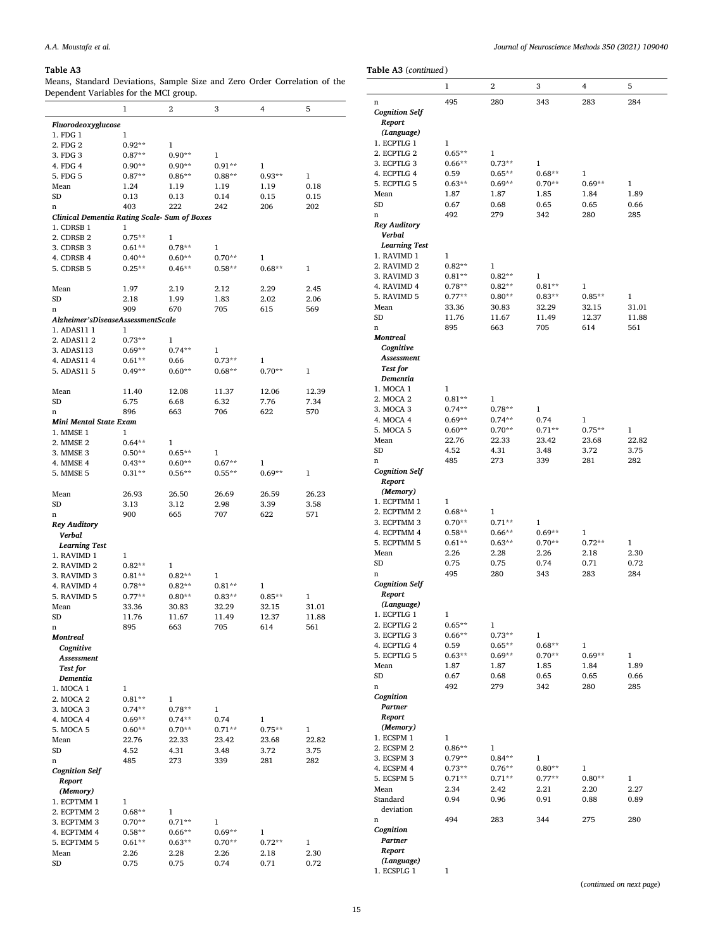*Fluorodeoxyglucose*  1. FDG 1  $1$ <br>2. FDG 2  $0.92**$ 

1. CDRSB 1  $1$ <br>2. CDRSB 2  $0.75**$ 

2. FDG 2  $0.92**$  1<br>3. FDG 3  $0.87**$  0.90\*\*

*Clinical Dementia Rating Scale- Sum of Boxes* 

2. CDRSB 2  $0.75**$  1<br>3. CDRSB 3  $0.61**$  0.78\*\*

*Alzheimer'sDiseaseAssessmentScale*  1. ADAS11 1 1<br>2. ADAS11 2 0.73\*

*Mini Mental State Exam*  1. MMSE 1  $1$ <br>2. MMSE 2  $0.64**$ 

*Rey Auditory Verbal Learning Test*  1. RAVIMD 1 1

*Montreal Cognitive Assessment Test for Dementia* 

*Cognition Self Report (Memory)* 

1. MOCA 1 1<br>2. MOCA 2 0.81\*\*

1. ECPTMM  $1 \t 1$ <br>2. ECPTMM 2 0.68\*\*

 $\begin{array}{ccc} \text{2. MOCA 2} & \text{0.81}^{**} & \text{1} \\ \text{3. MOCA 3} & \text{0.74}^{**} & \text{0.78}^{**} \end{array}$ 3. MOCA 3  $0.74***$   $0.78***$  1<br>4. MOCA 4  $0.69***$  0.74\*\* 0.74 4. MOCA 4 0.69\*\* 0.74\*\* 0.74 1<br>5. MOCA 5 0.60\*\* 0.70\*\* 0.71\*\* 0.

 $\begin{tabular}{ll} 2. ECPTMM 2 & \quad \ \, 0.68^{**} & \quad \ \, 1 \\ 3. ECPTMM 3 & \quad \ \ 0.70^{**} & \quad \ \ 0.71^{**} \end{tabular}$ 3. ECPTMM 3 0.70\*\* 0.71\*\* 1

2. ADAS11 2 0.73\*\* 1<br>3. ADAS113 0.69\*\* 0.74\*\*

 $\begin{tabular}{llll} 2. MMSE 2 & 0.64^{**} & 1 \\ 3. MMSE 3 & 0.50^{**} & 0.65^{**} \\ \end{tabular}$ 

2. RAVIMD 2  $0.82^{**}$  1<br>3. RAVIMD 3  $0.81^{**}$  0.82\*\*

3. FDG 3  $0.87**$   $0.90**$  1<br>4. FDG 4  $0.90**$   $0.90**$   $0.91**$ 

 $\begin{array}{lllllll} 3. \text{ CDRSB } 3 & 0.61^{**} & 0.78^{**} & 1 \\ 4. \text{ CDRSB } 4 & 0.40^{**} & 0.60^{**} & 0.70^{**} \end{array}$ 

3. ADAS113  $0.69^{**}$   $0.74^{**}$  1<br>4. ADAS11 4  $0.61^{**}$  0.66  $0.73^{**}$ 

3. MMSE 3  $0.50^{**}$   $0.65^{**}$  1<br>4. MMSE 4  $0.43^{**}$   $0.60^{**}$   $0.67^{**}$ 

 $\begin{array}{lllllll} 3. & {\rm RAVIMD} & 3 & 0.81^{**} & 0.82^{**} & 1 \\ 4. & {\rm RAVIMD} & 4 & 0.78^{**} & 0.82^{**} & 0.81^{**} \end{array}$ 

4. RAVIMD 4  $0.78^{**}$   $0.82^{**}$   $0.81^{**}$  1<br>5. RAVIMD 5  $0.77^{**}$   $0.80^{**}$   $0.83^{**}$   $0.85^{**}$ 

4. FDG 4  $0.90^{**}$   $0.90^{**}$   $0.91^{**}$  1<br>5. FDG 5  $0.87^{**}$   $0.86^{**}$   $0.88^{**}$   $0.93^{**}$ 5. FDG 5 0.87\*\* 0.86\*\* 0.88\*\* 0.93\*\* 1 Mean 1.24 1.19 1.19 1.19 0.18 SD 0.13 0.13 0.14 0.15 0.15 n 403 222 242 206 202

 $\begin{array}{cccc} \text{4. CDRSB 4} & \text{0.40^{**}} & \text{0.60^{**}} & \text{0.70^{**}} & \text{1} \\ \text{5. CDRSB 5} & \text{0.25^{**}} & \text{0.46^{**}} & \text{0.58^{**}} & \text{0.68^{**}} \end{array}$ 5. CDRSB 5 0.25\*\* 0.46\*\* 0.58\*\* 0.68\*\* 1 Mean 1.97 2.19 2.12 2.29 2.45 SD 2.18 1.99 1.83 2.02 2.06 n 909 670 705 615 569

4. ADAS11 4 0.61\*\* 0.66 0.73\*\* 1<br>5. ADAS11 5 0.49\*\* 0.60\*\* 0.68\*\* 0.70\*\* 5. ADAS11 5 0.49\*\* 0.60\*\* 0.68\*\* 0.70\*\* 1

 $\begin{array}{lllllll} \textbf{4. MMSE} & \textbf{4.} & \textbf{0.43}^{***} & \textbf{0.60}^{**} & \textbf{0.67}^{**} & \textbf{1} \\ \textbf{5. MMSE} & \textbf{5.} & \textbf{0.31}^{**} & \textbf{0.56}^{**} & \textbf{0.55}^{**} & \textbf{0.69}^{**} \\ \end{array}$ 5. MMSE 5 0.31\*\* 0.56\*\* 0.55\*\* 0.69\*\* 1

Mean 11.40 12.08 11.37 12.06 12.39 SD 6.75 6.68 6.32 7.76 7.34 n 896 663 706 622 570

Mean 26.93 26.50 26.69 26.59 26.23 SD 3.13 3.12 2.98 3.39 3.58 n 900 665 707 622 571

 $\begin{array}{cccccccccc} 5. & \text{RAVIMD} & 5 & 0.77^{**} & 0.80^{**} & 0.83^{**} & 0.85^{**} & 1 \\ \text{Mean} & 33.36 & 30.83 & 32.29 & 32.15 & 31.01 \end{array}$ Mean 33.36 30.83 32.29 32.15 31.01 SD 11.76 11.67 11.49 12.37 11.88 n 895 663 705 614 561

 $\begin{array}{cccccccccc} 5. \; \text{MOCA} \; 5 \; & 0.60^{**} \; & 0.70^{**} \; & 0.71^{**} \; & 0.75^{**} \; & 1 \\ \text{Mean} & 22.76 \; & 22.33 \; & 23.42 \; & 23.68 \; & 22.82 \end{array}$ Mean 22.76 22.33 23.42 23.68 22.82 SD 4.52 4.31 3.48 3.72 3.75 n 485 273 339 281 282

 $\begin{tabular}{llllll} 4. ECPTMM & 4 & 0.58^{**} & 0.66^{**} & 0.69^{**} & 1 \\ 5. ECPTMM & 5 & 0.61^{**} & 0.63^{**} & 0.70^{**} & 0.72^{**} \\ \end{tabular}$ 5. ECPTMM 5  $0.61^{**}$   $0.63^{**}$   $0.70^{**}$   $0.72^{**}$  1<br>
Mean 2.26 2.28 2.26 2.18 2 Mean 2.26 2.28 2.26 2.18 2.30 SD 0.75 0.75 0.74 0.71 0.72

#### **Table A3**

Means, Standard Deviations, Sample Size and Zero Order Correlation of the Dependent Variables for the MCI group.

1 2 3 4 5

|                                  | 1        | 2         | 3        | 4        | 5     |
|----------------------------------|----------|-----------|----------|----------|-------|
| n                                | 495      | 280       | 343      | 283      | 284   |
| <b>Cognition Self</b><br>Report  |          |           |          |          |       |
| (Language)                       |          |           |          |          |       |
| 1. ECPTLG 1                      | 1        |           |          |          |       |
| 2. ECPTLG 2                      | $0.65**$ | 1         |          |          |       |
| 3. ECPTLG 3                      | $0.66**$ | $0.73**$  | 1        |          |       |
| 4. ECPTLG 4                      | 0.59     | $0.65**$  | $0.68**$ | 1        |       |
|                                  |          |           |          |          |       |
| 5. ECPTLG 5                      | $0.63**$ | $0.69**$  | $0.70**$ | $0.69**$ | 1     |
| Mean                             | 1.87     | 1.87      | 1.85     | 1.84     | 1.89  |
| SD                               | 0.67     | 0.68      | 0.65     | 0.65     | 0.66  |
| n                                | 492      | 279       | 342      | 280      | 285   |
| Rey Auditory<br>Verbal           |          |           |          |          |       |
| <b>Learning Test</b>             |          |           |          |          |       |
| 1. RAVIMD 1                      | 1        |           |          |          |       |
| 2. RAVIMD 2                      | $0.82**$ | 1         |          |          |       |
| 3. RAVIMD 3                      | $0.81**$ | $0.82**$  | 1        |          |       |
| 4. RAVIMD 4                      | $0.78**$ | $0.82**$  | $0.81**$ | 1        |       |
| 5. RAVIMD 5                      | $0.77**$ | $0.80**$  | $0.83**$ | $0.85**$ | 1     |
| Mean                             | 33.36    | 30.83     | 32.29    | 32.15    | 31.01 |
| SD                               | 11.76    | 11.67     | 11.49    | 12.37    | 11.88 |
| n                                | 895      | 663       | 705      | 614      | 561   |
| Montreal                         |          |           |          |          |       |
| Cognitive<br>Assessment          |          |           |          |          |       |
| <b>Test for</b>                  |          |           |          |          |       |
| Dementia                         |          |           |          |          |       |
| 1. MOCA 1                        | 1        |           |          |          |       |
| 2. MOCA 2                        | $0.81**$ | 1         |          |          |       |
| 3. MOCA 3                        | $0.74**$ | $0.78**$  | 1        |          |       |
| 4. MOCA 4                        | $0.69**$ | $0.74***$ | 0.74     | 1        |       |
| 5. MOCA 5                        | $0.60**$ | $0.70**$  | $0.71**$ | $0.75**$ | 1     |
| Mean                             | 22.76    | 22.33     | 23.42    | 23.68    | 22.82 |
| SD                               | 4.52     | 4.31      | 3.48     | 3.72     | 3.75  |
| n                                | 485      | 273       | 339      | 281      | 282   |
| <b>Cognition Self</b>            |          |           |          |          |       |
| Report                           |          |           |          |          |       |
| (Memory)                         |          |           |          |          |       |
| 1. ECPTMM 1                      | 1        |           |          |          |       |
| 2. ECPTMM 2                      | $0.68**$ | 1         |          |          |       |
| 3. ECPTMM 3                      | $0.70**$ | $0.71**$  | 1        |          |       |
| 4. ECPTMM 4                      | $0.58**$ | $0.66**$  | $0.69**$ | 1        |       |
| 5. ECPTMM 5                      | $0.61**$ | $0.63**$  | $0.70**$ | $0.72**$ | 1     |
| Mean                             | 2.26     | 2.28      | 2.26     | 2.18     | 2.30  |
|                                  |          |           |          | 0.71     | 0.72  |
| SD                               | 0.75     | 0.75      | 0.74     |          |       |
| n                                | 495      | 280       | 343      | 283      | 284   |
| <b>Cognition Self</b><br>Report  |          |           |          |          |       |
| (Language)                       |          |           |          |          |       |
| 1. ECPTLG 1                      | 1        |           |          |          |       |
| 2. ECPTLG 2                      | $0.65**$ | 1         |          |          |       |
| 3. ECPTLG 3                      | $0.66**$ | $0.73**$  | 1        |          |       |
| 4. ECPTLG 4                      | 0.59     | $0.65**$  | $0.68**$ | 1        |       |
| 5. ECPTLG 5                      | $0.63**$ | $0.69**$  | $0.70**$ | $0.69**$ | 1     |
| Mean                             | 1.87     | 1.87      | 1.85     | 1.84     | 1.89  |
| SD                               | 0.67     | 0.68      | 0.65     | 0.65     | 0.66  |
| n                                | 492      | 279       | 342      | 280      | 285   |
| Cognition<br>Partner             |          |           |          |          |       |
| Report<br>(Memory)<br>1. ECSPM 1 | 1        |           |          |          |       |
|                                  |          |           |          |          |       |
| 2. ECSPM 2                       | $0.86**$ | 1         |          |          |       |
| 3. ECSPM 3                       | $0.79**$ | $0.84**$  | 1        |          |       |
| 4. ECSPM 4                       | $0.73**$ | $0.76**$  | $0.80**$ | 1        |       |
| 5. ECSPM 5                       | $0.71**$ | $0.71**$  | $0.77**$ | $0.80**$ | 1     |
| Mean                             | 2.34     | 2.42      | 2.21     | 2.20     | 2.27  |
| Standard                         | 0.94     | 0.96      | 0.91     | 0.88     | 0.89  |
| deviation                        |          |           |          |          |       |
| n                                | 494      | 283       | 344      | 275      | 280   |
| Cognition<br>Partner             |          |           |          |          |       |

*(Language)*  1. ECSPLG 1 1

(*continued on next page*)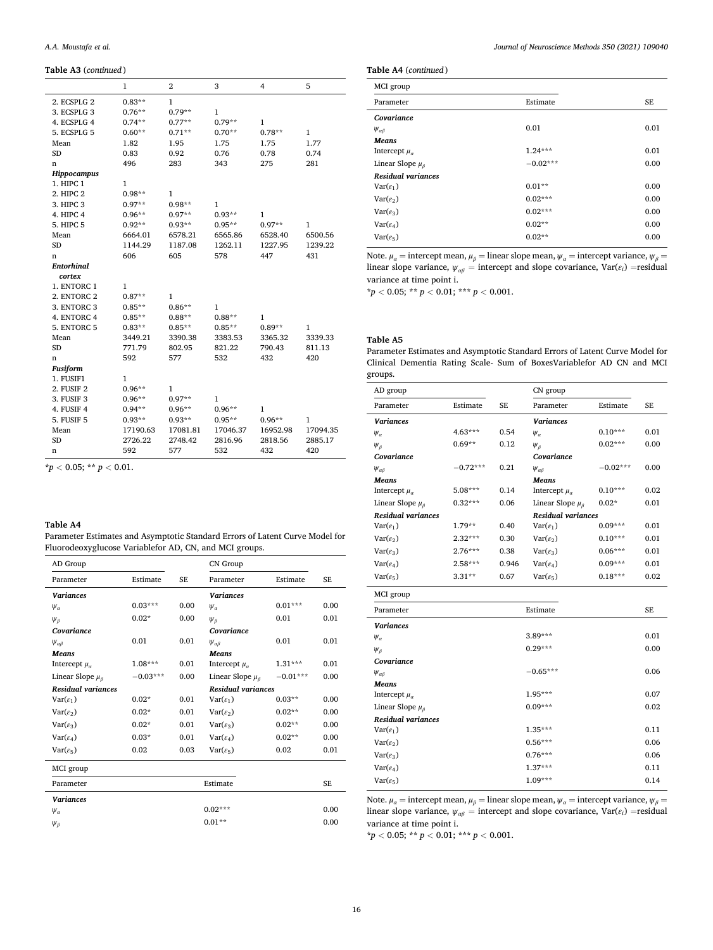<span id="page-15-0"></span>**Table A3** (*continued* )

|                   | 1        | $\overline{2}$ | 3        | 4            | 5        |
|-------------------|----------|----------------|----------|--------------|----------|
| 2. ECSPLG 2       | $0.83**$ | $\mathbf{1}$   |          |              |          |
| 3. ECSPLG 3       | $0.76**$ | $0.79**$       | 1        |              |          |
| 4. ECSPLG 4       | $0.74**$ | $0.77**$       | $0.79**$ | 1            |          |
| 5. ECSPLG 5       | $0.60**$ | $0.71**$       | $0.70**$ | $0.78**$     | 1        |
| Mean              | 1.82     | 1.95           | 1.75     | 1.75         | 1.77     |
| SD                | 0.83     | 0.92           | 0.76     | 0.78         | 0.74     |
| n                 | 496      | 283            | 343      | 275          | 281      |
| Hippocampus       |          |                |          |              |          |
| 1. HIPC 1         | 1        |                |          |              |          |
| 2. HIPC 2         | $0.98**$ | 1              |          |              |          |
| 3. HIPC 3         | $0.97**$ | $0.98**$       | 1        |              |          |
| 4. HIPC 4         | $0.96**$ | $0.97**$       | $0.93**$ | $\mathbf{1}$ |          |
| 5. HIPC 5         | $0.92**$ | $0.93**$       | $0.95**$ | $0.97**$     | 1        |
| Mean              | 6664.01  | 6578.21        | 6565.86  | 6528.40      | 6500.56  |
| <b>SD</b>         | 1144.29  | 1187.08        | 1262.11  | 1227.95      | 1239.22  |
| n                 | 606      | 605            | 578      | 447          | 431      |
| <b>Entorhinal</b> |          |                |          |              |          |
| cortex            |          |                |          |              |          |
| 1. ENTORC 1       | 1        |                |          |              |          |
| 2. ENTORC 2       | $0.87**$ | 1              |          |              |          |
| 3. ENTORC 3       | $0.85**$ | $0.86**$       | 1        |              |          |
| 4. ENTORC 4       | $0.85**$ | $0.88**$       | $0.88**$ | $\mathbf{1}$ |          |
| 5. ENTORC 5       | $0.83**$ | $0.85**$       | $0.85**$ | $0.89**$     | 1        |
| Mean              | 3449.21  | 3390.38        | 3383.53  | 3365.32      | 3339.33  |
| <b>SD</b>         | 771.79   | 802.95         | 821.22   | 790.43       | 811.13   |
| n                 | 592      | 577            | 532      | 432          | 420      |
| <b>Fusiform</b>   |          |                |          |              |          |
| 1. FUSIF1         | 1        |                |          |              |          |
| 2. FUSIF 2        | $0.96**$ | $\mathbf{1}$   |          |              |          |
| 3. FUSIF 3        | $0.96**$ | $0.97**$       | 1        |              |          |
| 4. FUSIF 4        | $0.94**$ | $0.96**$       | $0.96**$ | $\mathbf{1}$ |          |
| 5. FUSIF 5        | $0.93**$ | $0.93**$       | $0.95**$ | $0.96**$     | 1        |
| Mean              | 17190.63 | 17081.81       | 17046.37 | 16952.98     | 17094.35 |
| <b>SD</b>         | 2726.22  | 2748.42        | 2816.96  | 2818.56      | 2885.17  |
| n                 | 592      | 577            | 532      | 432          | 420      |

**Table A4** 

Parameter Estimates and Asymptotic Standard Errors of Latent Curve Model for Fluorodeoxyglucose Variablefor AD, CN, and MCI groups.

| AD Group                   |            |           | CN Group                   |            |           |
|----------------------------|------------|-----------|----------------------------|------------|-----------|
| Parameter                  | Estimate   | <b>SE</b> | Parameter                  | Estimate   | <b>SE</b> |
| <b>Variances</b>           |            |           | <b>Variances</b>           |            |           |
| $\Psi_{\alpha}$            | $0.03***$  | 0.00      | $\Psi_a$                   | $0.01***$  | 0.00      |
| $\Psi_{\beta}$             | $0.02*$    | 0.00      | $\Psi_{\beta}$             | 0.01       | 0.01      |
| Covariance                 |            |           | Covariance                 |            |           |
| $\Psi_{\alpha\beta}$       | 0.01       | 0.01      | $\Psi_{\alpha\beta}$       | 0.01       | 0.01      |
| <b>Means</b>               |            |           | <b>Means</b>               |            |           |
| Intercept $\mu_{\alpha}$   | $1.08***$  | 0.01      | Intercept $\mu_{\alpha}$   | $1.31***$  | 0.01      |
| Linear Slope $\mu_{\beta}$ | $-0.03***$ | 0.00      | Linear Slope $\mu_{\beta}$ | $-0.01***$ | 0.00      |
| <b>Residual variances</b>  |            |           | <b>Residual variances</b>  |            |           |
| $Var(\varepsilon_1)$       | $0.02*$    | 0.01      | $Var(\varepsilon_1)$       | $0.03**$   | 0.00      |
| $Var(\varepsilon_2)$       | $0.02*$    | 0.01      | $Var(\varepsilon_2)$       | $0.02**$   | 0.00      |
| $Var(\varepsilon_3)$       | $0.02*$    | 0.01      | $Var(\varepsilon_3)$       | $0.02**$   | 0.00      |
| $Var(\varepsilon_4)$       | $0.03*$    | 0.01      | $Var(\varepsilon_4)$       | $0.02**$   | 0.00      |
| $Var(\varepsilon_5)$       | 0.02       | 0.03      | $Var(\varepsilon_5)$       | 0.02       | 0.01      |
| MCI group                  |            |           |                            |            |           |
| Parameter                  |            |           | Estimate                   |            | <b>SE</b> |
| <b>Variances</b>           |            |           |                            |            |           |
| $\Psi_{\alpha}$            |            |           | $0.02***$                  |            | 0.00      |
| $\Psi_{\beta}$             |            |           | $0.01**$                   |            | 0.00      |

*Journal of Neuroscience Methods 350 (2021) 109040*

**Table A4** (*continued* )

| MCI group                  |            |           |
|----------------------------|------------|-----------|
| Parameter                  | Estimate   | <b>SE</b> |
| Covariance                 |            |           |
| $\Psi_{\alpha\beta}$       | 0.01       | 0.01      |
| Means                      |            |           |
| Intercept $\mu_a$          | $1.24***$  | 0.01      |
| Linear Slope $\mu_{\beta}$ | $-0.02***$ | 0.00      |
| <b>Residual variances</b>  |            |           |
| $Var(\varepsilon_1)$       | $0.01**$   | 0.00      |
| $Var(\varepsilon_2)$       | $0.02***$  | 0.00      |
| $Var(\varepsilon_3)$       | $0.02***$  | 0.00      |
| $Var(\varepsilon_4)$       | $0.02**$   | 0.00      |
| $Var(\varepsilon_5)$       | $0.02**$   | 0.00      |

Note.  $\mu_a$  = intercept mean,  $\mu_\beta$  = linear slope mean,  $\psi_a$  = intercept variance,  $\psi_\beta$  = linear slope variance,  $\psi_{\alpha\beta}$  = intercept and slope covariance, Var( $\varepsilon_i$ ) =residual variance at time point i.

 $* p < 0.05$ ;  $** p < 0.01$ ;  $*** p < 0.001$ .

# **Table A5**

 $\mathbf{r}$ 

Parameter Estimates and Asymptotic Standard Errors of Latent Curve Model for Clinical Dementia Rating Scale- Sum of BoxesVariablefor AD CN and MCI groups.

| AD group                   |            |           | CN group                   |            |      |
|----------------------------|------------|-----------|----------------------------|------------|------|
| Parameter                  | Estimate   | <b>SE</b> | Parameter                  | Estimate   | SE   |
| <b>Variances</b>           |            |           | <b>Variances</b>           |            |      |
| $\Psi_{\alpha}$            | 4.63***    | 0.54      | $\Psi_{\alpha}$            | $0.10***$  | 0.01 |
| $\Psi_{\beta}$             | $0.69**$   | 0.12      | $\Psi_{\beta}$             | $0.02***$  | 0.00 |
| Covariance                 |            |           | Covariance                 |            |      |
| $\Psi_{\alpha\beta}$       | $-0.72***$ | 0.21      | $\Psi_{\alpha\beta}$       | $-0.02***$ | 0.00 |
| Means                      |            |           | <b>Means</b>               |            |      |
| Intercept $\mu_a$          | 5.08***    | 0.14      | Intercept $\mu_a$          | $0.10***$  | 0.02 |
| Linear Slope $\mu_{\beta}$ | $0.32***$  | 0.06      | Linear Slope $\mu_{\beta}$ | $0.02*$    | 0.01 |
| <b>Residual variances</b>  |            |           | <b>Residual variances</b>  |            |      |
| $Var(\varepsilon_1)$       | $1.79**$   | 0.40      | $Var(\varepsilon_1)$       | $0.09***$  | 0.01 |
| $Var(\varepsilon_2)$       | $2.32***$  | 0.30      | $Var(\varepsilon_2)$       | $0.10***$  | 0.01 |
| $Var(\varepsilon_3)$       | $2.76***$  | 0.38      | $Var(\varepsilon_3)$       | $0.06***$  | 0.01 |
| $Var(\varepsilon_4)$       | $2.58***$  | 0.946     | $Var(\varepsilon_4)$       | $0.09***$  | 0.01 |
| $Var(\varepsilon_5)$       | $3.31**$   | 0.67      | $Var(\varepsilon_5)$       | $0.18***$  | 0.02 |
| MCI group                  |            |           |                            |            |      |
| Parameter                  |            |           | Estimate                   |            | SE   |
| <b>Variances</b>           |            |           |                            |            |      |
| $\Psi_{\alpha}$            |            |           | 3.89***                    |            | 0.01 |
| $\Psi_{\beta}$             |            |           | $0.29***$                  |            | 0.00 |
| Covariance                 |            |           |                            |            |      |
| $\psi_{\alpha\beta}$       |            |           | $-0.65***$                 |            | 0.06 |
| <b>Means</b>               |            |           |                            |            |      |
| Intercept $\mu_a$          |            |           | 1.95***                    |            | 0.07 |
| Linear Slope $\mu_{\beta}$ |            |           | $0.09***$                  |            | 0.02 |
| <b>Residual variances</b>  |            |           |                            |            |      |
| $Var(\varepsilon_1)$       |            |           | 1.35***                    |            | 0.11 |
| $Var(\varepsilon_2)$       |            |           | $0.56***$                  |            | 0.06 |
| $Var(\varepsilon_3)$       |            |           | $0.76***$                  |            | 0.06 |
| $Var(\varepsilon_4)$       |            |           | $1.37***$                  |            | 0.11 |
| $Var(\varepsilon_5)$       |            |           | $1.09***$                  |            | 0.14 |

Note.  $\mu_a$  = intercept mean,  $\mu_\beta$  = linear slope mean,  $\psi_a$  = intercept variance,  $\psi_\beta$  = linear slope variance,  $\psi_{\alpha\beta}$  = intercept and slope covariance, Var( $\varepsilon_i$ ) =residual variance at time point i.

 $* p < 0.05; ** p < 0.01;*** p < 0.001.$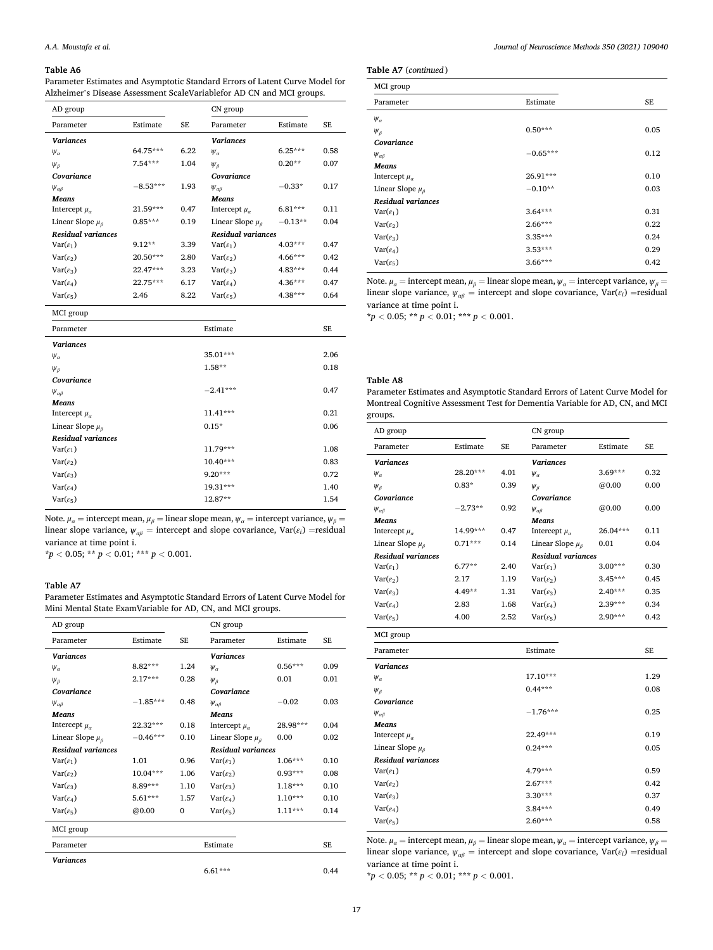Parameter Estimates and Asymptotic Standard Errors of Latent Curve Model for Alzheimer's Disease Assessment ScaleVariablefor AD CN and MCI groups.

| AD group                   |            |           | CN group                   |           |           |
|----------------------------|------------|-----------|----------------------------|-----------|-----------|
| Parameter                  | Estimate   | <b>SE</b> | Parameter                  | Estimate  | <b>SE</b> |
| <b>Variances</b>           |            |           | <b>Variances</b>           |           |           |
| $\Psi_{\alpha}$            | 64.75***   | 6.22      | $\Psi_{\alpha}$            | $6.25***$ | 0.58      |
| $\Psi_{\beta}$             | $7.54***$  | 1.04      | $\Psi_B$                   | $0.20**$  | 0.07      |
| Covariance                 |            |           | Covariance                 |           |           |
| $\Psi_{\alpha\beta}$       | $-8.53***$ | 1.93      | $\Psi_{\alpha\beta}$       | $-0.33*$  | 0.17      |
| <b>Means</b>               |            |           | <b>Means</b>               |           |           |
| Intercept $\mu_{\alpha}$   | 21.59***   | 0.47      | Intercept $\mu_{\alpha}$   | $6.81***$ | 0.11      |
| Linear Slope $\mu_{\beta}$ | $0.85***$  | 0.19      | Linear Slope $\mu_{\beta}$ | $-0.13**$ | 0.04      |
| <b>Residual variances</b>  |            |           | <b>Residual variances</b>  |           |           |
| $Var(\varepsilon_1)$       | $9.12**$   | 3.39      | $Var(\epsilon_1)$          | $4.03***$ | 0.47      |
| $Var(\varepsilon_2)$       | 20.50***   | 2.80      | $Var(\varepsilon_2)$       | $4.66***$ | 0.42      |
| $Var(\varepsilon_3)$       | 22.47***   | 3.23      | $Var(\varepsilon_3)$       | $4.83***$ | 0.44      |
| $Var(\varepsilon_4)$       | 22.75***   | 6.17      | $Var(\varepsilon_4)$       | $4.36***$ | 0.47      |
| $Var(\varepsilon_5)$       | 2.46       | 8.22      | $Var(\varepsilon_5)$       | 4.38***   | 0.64      |
|                            |            |           |                            |           |           |

| MCI group                  |            |      |
|----------------------------|------------|------|
| Parameter                  | Estimate   | SE.  |
| <b>Variances</b>           |            |      |
| $\Psi_{\alpha}$            | 35.01***   | 2.06 |
| $\Psi_{\beta}$             | $1.58**$   | 0.18 |
| Covariance                 |            |      |
| $\Psi_{\alpha\beta}$       | $-2.41***$ | 0.47 |
| <b>Means</b>               |            |      |
| Intercept $\mu_{\alpha}$   | 11.41***   | 0.21 |
| Linear Slope $\mu_{\beta}$ | $0.15*$    | 0.06 |
| <b>Residual variances</b>  |            |      |
| $Var(\varepsilon_1)$       | 11.79***   | 1.08 |
| $Var(\varepsilon_2)$       | 10.40***   | 0.83 |
| $Var(\varepsilon_3)$       | $9.20***$  | 0.72 |
| $Var(\varepsilon_4)$       | 19.31***   | 1.40 |
| $Var(\varepsilon_5)$       | 12.87**    | 1.54 |
|                            |            |      |

Note.  $\mu_a$  = intercept mean,  $\mu_b$  = linear slope mean,  $\psi_a$  = intercept variance,  $\psi_b$  = linear slope variance,  $\psi_{\alpha\beta}$  = intercept and slope covariance, Var( $\varepsilon_i$ ) =residual variance at time point i.

 $* p < 0.05$ ;  $* p < 0.01$ ;  $* * p < 0.001$ .

# **Table A7**

Parameter Estimates and Asymptotic Standard Errors of Latent Curve Model for Mini Mental State ExamVariable for AD, CN, and MCI groups.

| AD group                   |            |              | CN group                   |           |           |
|----------------------------|------------|--------------|----------------------------|-----------|-----------|
| Parameter                  | Estimate   | <b>SE</b>    | Parameter                  | Estimate  | <b>SE</b> |
| <b>Variances</b>           |            |              | <b>Variances</b>           |           |           |
| $\Psi_{\alpha}$            | $8.82***$  | 1.24         | $\Psi_a$                   | $0.56***$ | 0.09      |
| $\Psi_{\beta}$             | $2.17***$  | 0.28         | $\Psi_{\beta}$             | 0.01      | 0.01      |
| Covariance                 |            |              | Covariance                 |           |           |
| $\Psi_{\alpha\beta}$       | $-1.85***$ | 0.48         | $\Psi_{\alpha\beta}$       | $-0.02$   | 0.03      |
| <b>Means</b>               |            |              | <b>Means</b>               |           |           |
| Intercept $\mu_a$          | 22.32***   | 0.18         | Intercept $\mu_a$          | 28.98***  | 0.04      |
| Linear Slope $\mu_{\beta}$ | $-0.46***$ | 0.10         | Linear Slope $\mu_{\beta}$ | 0.00      | 0.02      |
| <b>Residual variances</b>  |            |              | <b>Residual variances</b>  |           |           |
| $Var(\varepsilon_1)$       | 1.01       | 0.96         | $Var(\varepsilon_1)$       | $1.06***$ | 0.10      |
| $Var(\varepsilon_2)$       | $10.04***$ | 1.06         | $Var(\varepsilon_2)$       | $0.93***$ | 0.08      |
| $Var(\varepsilon_3)$       | $8.89***$  | 1.10         | $Var(\varepsilon_3)$       | $1.18***$ | 0.10      |
| $Var(\varepsilon_4)$       | 5.61***    | 1.57         | $Var(\varepsilon_4)$       | $1.10***$ | 0.10      |
| $Var(\varepsilon_5)$       | @0.00      | $\mathbf{0}$ | $Var(\varepsilon_5)$       | $1.11***$ | 0.14      |
| MCI group                  |            |              |                            |           |           |
| Parameter                  |            |              | Estimate                   |           | <b>SE</b> |
| <b>Variances</b>           |            |              |                            |           |           |
|                            |            |              | $6.61***$                  |           | 0.44      |

*Journal of Neuroscience Methods 350 (2021) 109040*

**Table A7** (*continued* )

| MCI group                  |            |           |
|----------------------------|------------|-----------|
| Parameter                  | Estimate   | <b>SE</b> |
| $\Psi_{\alpha}$            |            |           |
| $\Psi_{\beta}$             | $0.50***$  | 0.05      |
| Covariance                 |            |           |
| $\Psi_{\alpha\beta}$       | $-0.65***$ | 0.12      |
| <b>Means</b>               |            |           |
| Intercept $\mu_{\alpha}$   | 26.91***   | 0.10      |
| Linear Slope $\mu_{\beta}$ | $-0.10**$  | 0.03      |
| <b>Residual variances</b>  |            |           |
| $Var(\varepsilon_1)$       | $3.64***$  | 0.31      |
| $Var(\varepsilon_2)$       | $2.66***$  | 0.22      |
| $Var(\varepsilon_3)$       | $3.35***$  | 0.24      |
| $Var(\varepsilon_4)$       | $3.53***$  | 0.29      |
| $Var(\varepsilon_5)$       | $3.66***$  | 0.42      |
|                            |            |           |

Note.  $\mu_a$  = intercept mean,  $\mu_b$  = linear slope mean,  $\psi_a$  = intercept variance,  $\psi_b$  = linear slope variance,  $\psi_{\alpha\beta}$  = intercept and slope covariance, Var( $\varepsilon_i$ ) = residual variance at time point i.

 $* p < 0.05; ** p < 0.01; ** p < 0.001.$ 

# **Table A8**

Parameter Estimates and Asymptotic Standard Errors of Latent Curve Model for Montreal Cognitive Assessment Test for Dementia Variable for AD, CN, and MCI groups.

| AD group                   |           |           | CN group                   |           |      |
|----------------------------|-----------|-----------|----------------------------|-----------|------|
| Parameter                  | Estimate  | <b>SE</b> | Parameter                  | Estimate  | SE   |
| <b>Variances</b>           |           |           | <b>Variances</b>           |           |      |
| $\Psi_{\alpha}$            | 28.20***  | 4.01      | $\Psi_{\alpha}$            | $3.69***$ | 0.32 |
| $\Psi_{\beta}$             | $0.83*$   | 0.39      | $\Psi_{\beta}$             | @0.00     | 0.00 |
| Covariance                 |           |           | Covariance                 |           |      |
| $\Psi_{\alpha\beta}$       | $-2.73**$ | 0.92      | $\Psi_{\alpha\beta}$       | @0.00     | 0.00 |
| <b>Means</b>               |           |           | <b>Means</b>               |           |      |
| Intercept $\mu_{\alpha}$   | 14.99***  | 0.47      | Intercept $\mu_{\alpha}$   | 26.04***  | 0.11 |
| Linear Slope $\mu_{\beta}$ | $0.71***$ | 0.14      | Linear Slope $\mu_{\beta}$ | 0.01      | 0.04 |
| <b>Residual variances</b>  |           |           | <b>Residual variances</b>  |           |      |
| $Var(\varepsilon_1)$       | $6.77**$  | 2.40      | $Var(\varepsilon_1)$       | $3.00***$ | 0.30 |
| $Var(\varepsilon_2)$       | 2.17      | 1.19      | $Var(\varepsilon_2)$       | $3.45***$ | 0.45 |
| $Var(\varepsilon_3)$       | $4.49**$  | 1.31      | $Var(\varepsilon_3)$       | $2.40***$ | 0.35 |
| $Var(\varepsilon_4)$       | 2.83      | 1.68      | $Var(\varepsilon_4)$       | 2.39***   | 0.34 |
| $Var(\varepsilon_5)$       | 4.00      | 2.52      | $Var(\varepsilon_5)$       | $2.90***$ | 0.42 |
| MCI group                  |           |           |                            |           |      |

| $m$ u sivup                |            |      |
|----------------------------|------------|------|
| Parameter                  | Estimate   | SE   |
| <b>Variances</b>           |            |      |
| $\Psi_{\alpha}$            | $17.10***$ | 1.29 |
| $\Psi_{\beta}$             | $0.44***$  | 0.08 |
| Covariance                 |            |      |
| $\Psi_{\alpha\beta}$       | $-1.76***$ | 0.25 |
| Means                      |            |      |
| Intercept $\mu_{\alpha}$   | 22.49***   | 0.19 |
| Linear Slope $\mu_{\beta}$ | $0.24***$  | 0.05 |
| <b>Residual variances</b>  |            |      |
| $Var(\varepsilon_1)$       | 4.79***    | 0.59 |
| $Var(\varepsilon_2)$       | $2.67***$  | 0.42 |
| $Var(\varepsilon_3)$       | $3.30***$  | 0.37 |
| $Var(\varepsilon_4)$       | $3.84***$  | 0.49 |
| $Var(\varepsilon_5)$       | $2.60***$  | 0.58 |

Note.  $\mu_a$  = intercept mean,  $\mu_\beta$  = linear slope mean,  $\psi_a$  = intercept variance,  $\psi_\beta$  = linear slope variance,  $\psi_{\alpha\beta}$  = intercept and slope covariance, Var( $\varepsilon_i$ ) =residual variance at time point i.

 $* p < 0.05; ** p < 0.01; ** * p < 0.001.$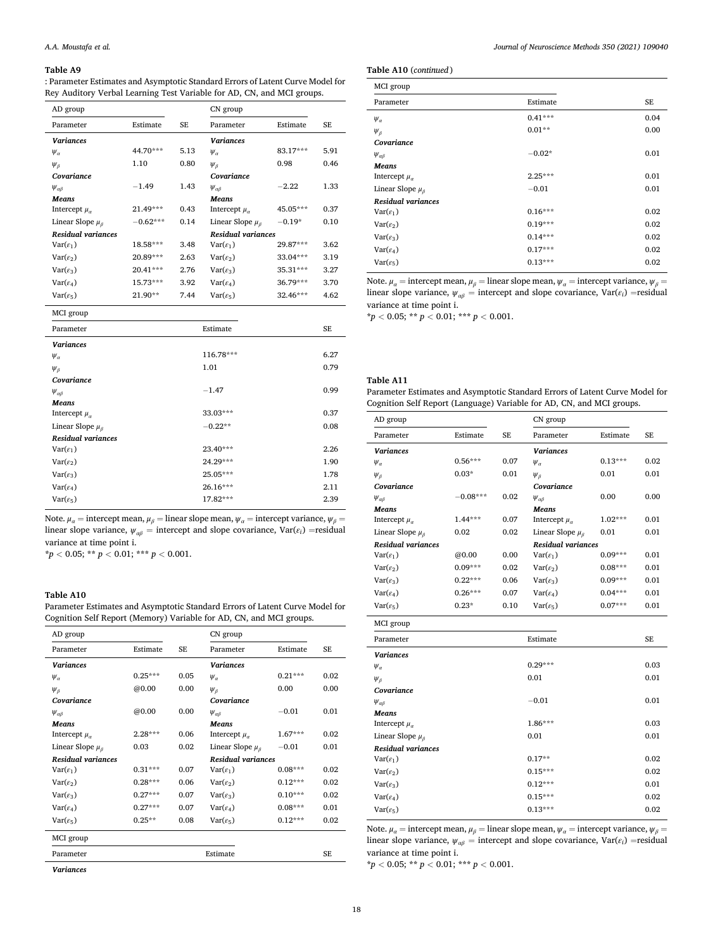: Parameter Estimates and Asymptotic Standard Errors of Latent Curve Model for Rey Auditory Verbal Learning Test Variable for AD, CN, and MCI groups.

| AD group                   |            |           | CN group                   |            |           |
|----------------------------|------------|-----------|----------------------------|------------|-----------|
| Parameter                  | Estimate   | <b>SE</b> | Parameter                  | Estimate   | <b>SE</b> |
| <b>Variances</b>           |            |           | <b>Variances</b>           |            |           |
| $\Psi_{\alpha}$            | 44.70***   | 5.13      | $\Psi_{\alpha}$            | 83.17***   | 5.91      |
| $\Psi_{\beta}$             | 1.10       | 0.80      | $\Psi_{\beta}$             | 0.98       | 0.46      |
| Covariance                 |            |           | Covariance                 |            |           |
| $\Psi_{\alpha\beta}$       | $-1.49$    | 1.43      | $\Psi_{\alpha\beta}$       | $-2.22$    | 1.33      |
| <b>Means</b>               |            |           | <b>Means</b>               |            |           |
| Intercept $\mu_a$          | 21.49***   | 0.43      | Intercept $\mu_{\alpha}$   | 45.05***   | 0.37      |
| Linear Slope $\mu_{\beta}$ | $-0.62***$ | 0.14      | Linear Slope $\mu_{\beta}$ | $-0.19*$   | 0.10      |
| <b>Residual variances</b>  |            |           | <b>Residual variances</b>  |            |           |
| $Var(\varepsilon_1)$       | 18.58***   | 3.48      | $Var(\varepsilon_1)$       | $29.87***$ | 3.62      |
| $Var(\varepsilon_2)$       | 20.89***   | 2.63      | $Var(\varepsilon_2)$       | 33.04***   | 3.19      |
| $Var(\varepsilon_3)$       | 20.41***   | 2.76      | $Var(\varepsilon_3)$       | 35.31***   | 3.27      |
| $Var(\varepsilon_4)$       | 15.73***   | 3.92      | $Var(\varepsilon_4)$       | 36.79***   | 3.70      |
| $Var(\varepsilon_5)$       | $21.90**$  | 7.44      | $Var(\varepsilon_5)$       | 32.46***   | 4.62      |
| $MCT$ $CCT$                |            |           |                            |            |           |

| MUI group                  |           |           |
|----------------------------|-----------|-----------|
| Parameter                  | Estimate  | <b>SE</b> |
| <b>Variances</b>           |           |           |
| $\Psi_{\alpha}$            | 116.78*** | 6.27      |
| $\Psi_{\beta}$             | 1.01      | 0.79      |
| Covariance                 |           |           |
| $\Psi_{\alpha\beta}$       | $-1.47$   | 0.99      |
| Means                      |           |           |
| Intercept $\mu_{\alpha}$   | 33.03***  | 0.37      |
| Linear Slope $\mu_{\beta}$ | $-0.22**$ | 0.08      |
| <b>Residual variances</b>  |           |           |
| $Var(\varepsilon_1)$       | 23.40***  | 2.26      |
| $Var(\varepsilon_2)$       | 24.29***  | 1.90      |
| $Var(\varepsilon_3)$       | 25.05***  | 1.78      |
| $Var(\varepsilon_4)$       | 26.16***  | 2.11      |
| $Var(\varepsilon_5)$       | 17.82***  | 2.39      |
|                            |           |           |

Note.  $\mu_a$  = intercept mean,  $\mu_b$  = linear slope mean,  $\psi_a$  = intercept variance,  $\psi_b$  = linear slope variance,  $\psi_{\alpha\beta}$  = intercept and slope covariance, Var( $\varepsilon_i$ ) =residual variance at time point i.

 $* p < 0.05$ ;  $* p < 0.01$ ;  $* * p < 0.001$ .

## **Table A10**

Parameter Estimates and Asymptotic Standard Errors of Latent Curve Model for Cognition Self Report (Memory) Variable for AD, CN, and MCI groups.

| AD group                   |           |           | CN group                   |           |           |
|----------------------------|-----------|-----------|----------------------------|-----------|-----------|
| Parameter                  | Estimate  | <b>SE</b> | Parameter                  | Estimate  | <b>SE</b> |
| <b>Variances</b>           |           |           | <b>Variances</b>           |           |           |
| $\Psi_{\alpha}$            | $0.25***$ | 0.05      | $\Psi_{\alpha}$            | $0.21***$ | 0.02      |
| $\Psi_{\beta}$             | @0.00     | 0.00      | $\psi_{\beta}$             | 0.00      | 0.00      |
| Covariance                 |           |           | Covariance                 |           |           |
| $\Psi_{\alpha\beta}$       | @0.00     | 0.00      | $\Psi_{\alpha\beta}$       | $-0.01$   | 0.01      |
| <b>Means</b>               |           |           | <b>Means</b>               |           |           |
| Intercept $\mu_a$          | $2.28***$ | 0.06      | Intercept $\mu_a$          | $1.67***$ | 0.02      |
| Linear Slope $\mu_{\beta}$ | 0.03      | 0.02      | Linear Slope $\mu_{\beta}$ | $-0.01$   | 0.01      |
| <b>Residual variances</b>  |           |           | <b>Residual variances</b>  |           |           |
| $Var(\varepsilon_1)$       | $0.31***$ | 0.07      | $Var(\varepsilon_1)$       | $0.08***$ | 0.02      |
| $Var(\varepsilon_2)$       | $0.28***$ | 0.06      | $Var(\varepsilon_2)$       | $0.12***$ | 0.02      |
| $Var(\varepsilon_3)$       | $0.27***$ | 0.07      | $Var(\varepsilon_3)$       | $0.10***$ | 0.02      |
| $Var(\varepsilon_4)$       | $0.27***$ | 0.07      | $Var(\varepsilon_4)$       | $0.08***$ | 0.01      |
| $Var(\varepsilon_5)$       | $0.25**$  | 0.08      | $Var(\varepsilon_5)$       | $0.12***$ | 0.02      |
| MCI group                  |           |           |                            |           |           |
| Parameter                  |           |           | Estimate                   |           | <b>SE</b> |
| $\cdots$                   |           |           |                            |           |           |

*Variances* 

**Table A10** (*continued* )

| MCI group                  |           |      |
|----------------------------|-----------|------|
| Parameter                  | Estimate  | SE   |
| $\Psi_{\alpha}$            | $0.41***$ | 0.04 |
| $\Psi_{\beta}$             | $0.01**$  | 0.00 |
| Covariance                 |           |      |
| $\Psi_{\alpha\beta}$       | $-0.02*$  | 0.01 |
| <b>Means</b>               |           |      |
| Intercept $\mu_{\alpha}$   | $2.25***$ | 0.01 |
| Linear Slope $\mu_{\beta}$ | $-0.01$   | 0.01 |
| <b>Residual variances</b>  |           |      |
| $Var(\varepsilon_1)$       | $0.16***$ | 0.02 |
| $Var(\varepsilon_2)$       | $0.19***$ | 0.02 |
| $Var(\varepsilon_3)$       | $0.14***$ | 0.02 |
| $Var(\varepsilon_4)$       | $0.17***$ | 0.02 |
| $Var(\varepsilon_5)$       | $0.13***$ | 0.02 |
|                            |           |      |

Note.  $\mu_a$  = intercept mean,  $\mu_b$  = linear slope mean,  $\psi_a$  = intercept variance,  $\psi_b$  = linear slope variance,  $\psi_{\alpha\beta}$  = intercept and slope covariance, Var( $\varepsilon_i$ ) =residual variance at time point i.

 $* p < 0.05; ** p < 0.01; ** p < 0.001.$ 

# **Table A11**

Parameter Estimates and Asymptotic Standard Errors of Latent Curve Model for Cognition Self Report (Language) Variable for AD, CN, and MCI groups.

| AD group                   |            |           | CN group                   |           |           |
|----------------------------|------------|-----------|----------------------------|-----------|-----------|
| Parameter                  | Estimate   | <b>SE</b> | Parameter                  | Estimate  | <b>SE</b> |
| <b>Variances</b>           |            |           | <b>Variances</b>           |           |           |
| $\Psi_{\alpha}$            | $0.56***$  | 0.07      | $\Psi_{\alpha}$            | $0.13***$ | 0.02      |
| $\Psi_{\beta}$             | $0.03*$    | 0.01      | $\Psi_{\beta}$             | 0.01      | 0.01      |
| Covariance                 |            |           | Covariance                 |           |           |
| $\Psi_{\alpha\beta}$       | $-0.08***$ | 0.02      | $\Psi_{\alpha\beta}$       | 0.00      | 0.00      |
| <b>Means</b>               |            |           | <b>Means</b>               |           |           |
| Intercept $\mu_{\alpha}$   | $1.44***$  | 0.07      | Intercept $\mu_{\alpha}$   | $1.02***$ | 0.01      |
| Linear Slope $\mu_{\beta}$ | 0.02       | 0.02      | Linear Slope $\mu_{\beta}$ | 0.01      | 0.01      |
| <b>Residual variances</b>  |            |           | <b>Residual variances</b>  |           |           |
| $Var(\varepsilon_1)$       | @0.00      | 0.00      | $Var(\varepsilon_1)$       | $0.09***$ | 0.01      |
| $Var(\varepsilon_2)$       | $0.09***$  | 0.02      | $Var(\varepsilon_2)$       | $0.08***$ | 0.01      |
| $Var(\varepsilon_3)$       | $0.22***$  | 0.06      | $Var(\varepsilon_3)$       | $0.09***$ | 0.01      |
| $Var(\varepsilon_4)$       | $0.26***$  | 0.07      | $Var(\varepsilon_4)$       | $0.04***$ | 0.01      |
| $Var(\varepsilon_5)$       | $0.23*$    | 0.10      | $Var(\varepsilon_5)$       | $0.07***$ | 0.01      |
| MCI group                  |            |           |                            |           |           |
| Parameter                  |            |           | Estimate                   |           | <b>SE</b> |
| <b>Variances</b>           |            |           |                            |           |           |

|                            |           | --   |
|----------------------------|-----------|------|
| <b>Variances</b>           |           |      |
| $\Psi_{\alpha}$            | $0.29***$ | 0.03 |
| $\Psi_{\beta}$             | 0.01      | 0.01 |
| Covariance                 |           |      |
| $\Psi_{\alpha\beta}$       | $-0.01$   | 0.01 |
| Means                      |           |      |
| Intercept $\mu_{\alpha}$   | 1.86***   | 0.03 |
| Linear Slope $\mu_{\beta}$ | 0.01      | 0.01 |
| <b>Residual variances</b>  |           |      |
| $Var(\varepsilon_1)$       | $0.17**$  | 0.02 |
| $Var(\varepsilon_2)$       | $0.15***$ | 0.02 |
| $Var(\varepsilon_3)$       | $0.12***$ | 0.01 |
| $Var(\varepsilon_4)$       | $0.15***$ | 0.02 |
| $Var(\varepsilon_5)$       | $0.13***$ | 0.02 |

Note.  $\mu_a$  = intercept mean,  $\mu_\beta$  = linear slope mean,  $\psi_a$  = intercept variance,  $\psi_\beta$  = linear slope variance,  $\psi_{\alpha\beta}$  = intercept and slope covariance, Var( $\varepsilon_i$ ) =residual variance at time point i.

**\****p <* 0.05; **\*\*** *p <* 0.01; **\*\*\*** *p <* 0.001.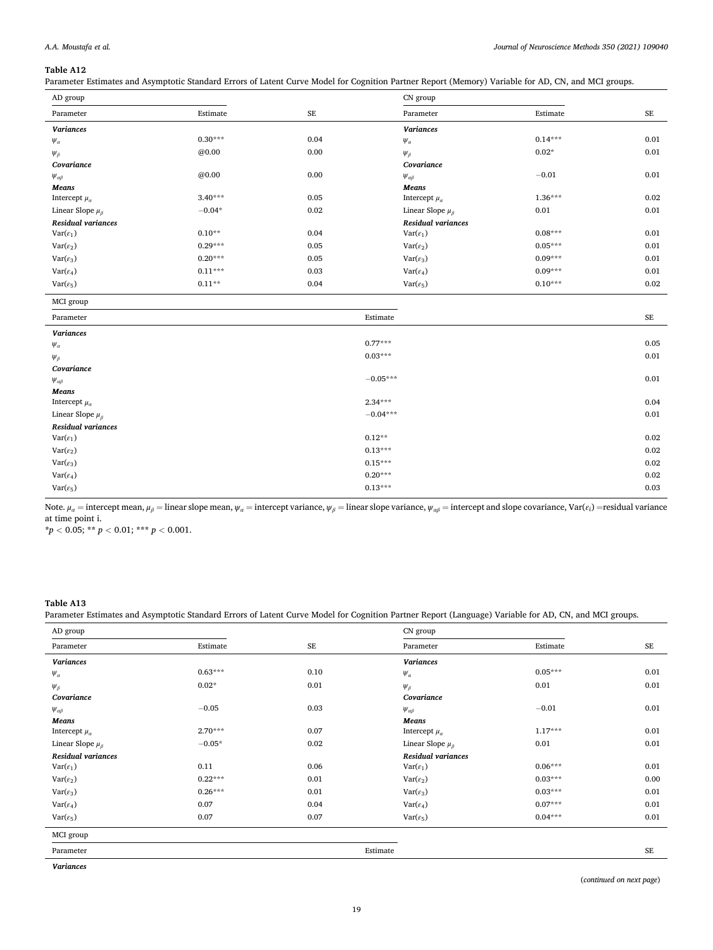Parameter Estimates and Asymptotic Standard Errors of Latent Curve Model for Cognition Partner Report (Memory) Variable for AD, CN, and MCI groups.

| AD group                  |           |           | CN group                   |           |           |
|---------------------------|-----------|-----------|----------------------------|-----------|-----------|
| Parameter                 | Estimate  | <b>SE</b> | Parameter                  | Estimate  | <b>SE</b> |
| <b>Variances</b>          |           |           | <b>Variances</b>           |           |           |
| $\psi_{\alpha}$           | $0.30***$ | 0.04      | $\psi_{\alpha}$            | $0.14***$ | 0.01      |
| $\Psi_{\beta}$            | @0.00     | 0.00      | $\Psi_{\beta}$             | $0.02*$   | 0.01      |
| Covariance                |           |           | Covariance                 |           |           |
| $\Psi_{\alpha\beta}$      | @0.00     | 0.00      | $\Psi_{\alpha\beta}$       | $-0.01$   | 0.01      |
| Means                     |           |           | Means                      |           |           |
| Intercept $\mu_a$         | $3.40***$ | 0.05      | Intercept $\mu_{\alpha}$   | $1.36***$ | 0.02      |
| Linear Slope $\mu_\beta$  | $-0.04*$  | 0.02      | Linear Slope $\mu_{\beta}$ | 0.01      | 0.01      |
| <b>Residual variances</b> |           |           | <b>Residual variances</b>  |           |           |
| $Var(\varepsilon_1)$      | $0.10**$  | 0.04      | $Var(\varepsilon_1)$       | $0.08***$ | 0.01      |
| $Var(\varepsilon_2)$      | $0.29***$ | 0.05      | $Var(\varepsilon_2)$       | $0.05***$ | 0.01      |
| $Var(\varepsilon_3)$      | $0.20***$ | 0.05      | $Var(\varepsilon_3)$       | $0.09***$ | 0.01      |
| $Var(\varepsilon_4)$      | $0.11***$ | 0.03      | $Var(\varepsilon_4)$       | $0.09***$ | 0.01      |
| $Var(\varepsilon_5)$      | $0.11**$  | 0.04      | $Var(\varepsilon_5)$       | $0.10***$ | 0.02      |

MCI group

| - 0 - r                  |            |          |
|--------------------------|------------|----------|
| Parameter                | Estimate   | $\rm SE$ |
| <b>Variances</b>         |            |          |
| $\psi_{\alpha}$          | $0.77***$  | 0.05     |
| $\Psi_{\beta}$           | $0.03***$  | 0.01     |
| Covariance               |            |          |
| $\Psi_{\alpha\beta}$     | $-0.05***$ | 0.01     |
| Means                    |            |          |
| Intercept $\mu_a$        | $2.34***$  | 0.04     |
| Linear Slope $\mu_\beta$ | $-0.04***$ | 0.01     |
| Residual variances       |            |          |
| $Var(\varepsilon_1)$     | $0.12**$   | 0.02     |
| $Var(\varepsilon_2)$     | $0.13***$  | 0.02     |
| $Var(\varepsilon_3)$     | $0.15***$  | 0.02     |
| $Var(\varepsilon_4)$     | $0.20***$  | 0.02     |
| $Var(\varepsilon_5)$     | $0.13***$  | 0.03     |
|                          |            |          |

Note.  $\mu_a$  = intercept mean,  $\mu_{\beta}$  = linear slope mean,  $\psi_a$  = intercept variance,  $\psi_{\beta}$  = linear slope variance,  $\psi_{\alpha\beta}$  = intercept and slope covariance, Var( $\varepsilon_i$ ) = residual variance at time point i.

 $* p < 0.05; ** p < 0.01; ** p < 0.001.$ 

# **Table A13**

Parameter Estimates and Asymptotic Standard Errors of Latent Curve Model for Cognition Partner Report (Language) Variable for AD, CN, and MCI groups.

| AD group                   |           |          | CN group                   |           |      |
|----------------------------|-----------|----------|----------------------------|-----------|------|
| Parameter                  | Estimate  | $\rm SE$ | Parameter                  | Estimate  | SE   |
| <b>Variances</b>           |           |          | <b>Variances</b>           |           |      |
| $\Psi_{\alpha}$            | $0.63***$ | 0.10     | $\psi_\alpha$              | $0.05***$ | 0.01 |
| $\Psi_{\beta}$             | $0.02*$   | 0.01     | $\Psi_{\beta}$             | 0.01      | 0.01 |
| Covariance                 |           |          | Covariance                 |           |      |
| $\Psi_{\alpha\beta}$       | $-0.05$   | 0.03     | $\Psi_{\alpha\beta}$       | $-0.01$   | 0.01 |
| Means                      |           |          | Means                      |           |      |
| Intercept $\mu_a$          | $2.70***$ | 0.07     | Intercept $\mu_{\alpha}$   | $1.17***$ | 0.01 |
| Linear Slope $\mu_{\beta}$ | $-0.05*$  | 0.02     | Linear Slope $\mu_{\beta}$ | 0.01      | 0.01 |
| <b>Residual variances</b>  |           |          | Residual variances         |           |      |
| $Var(\varepsilon_1)$       | 0.11      | 0.06     | $Var(\varepsilon_1)$       | $0.06***$ | 0.01 |
| $Var(\varepsilon_2)$       | $0.22***$ | 0.01     | $Var(\varepsilon_2)$       | $0.03***$ | 0.00 |
| $Var(\varepsilon_3)$       | $0.26***$ | 0.01     | $Var(\varepsilon_3)$       | $0.03***$ | 0.01 |
| $Var(\varepsilon_4)$       | 0.07      | 0.04     | $Var(\varepsilon_4)$       | $0.07***$ | 0.01 |
| $Var(\varepsilon_5)$       | 0.07      | 0.07     | $Var(\varepsilon_5)$       | $0.04***$ | 0.01 |
| MCI group                  |           |          |                            |           |      |
| Parameter                  |           |          | Estimate                   |           | SE   |
| <b>Variances</b>           |           |          |                            |           |      |

(*continued on next page*)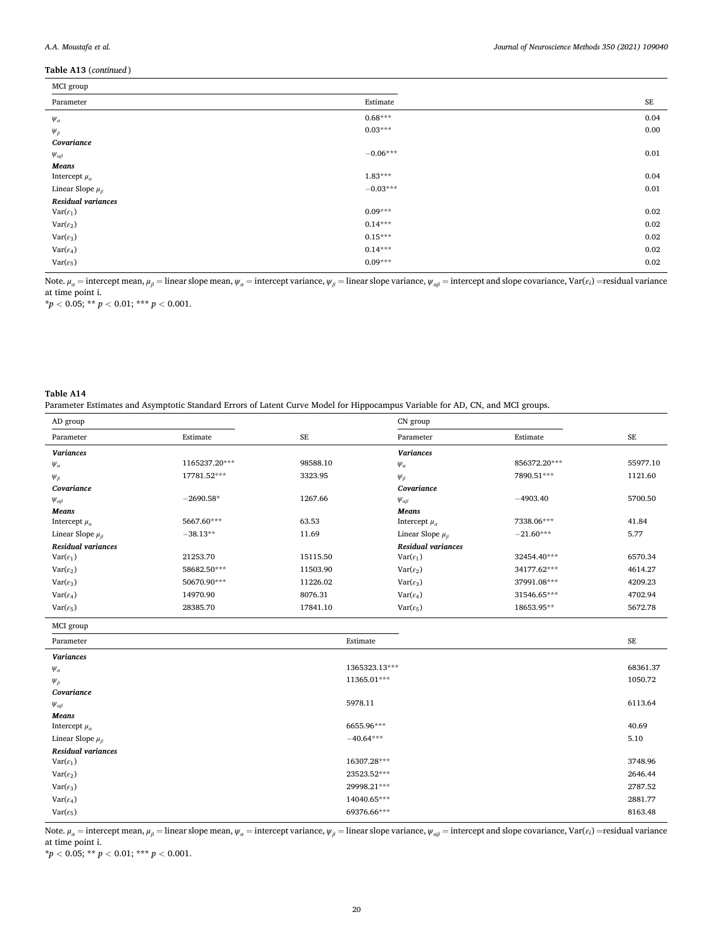j.

# **Table A13** (*continued* )

| MCI group                  |            |          |  |  |  |
|----------------------------|------------|----------|--|--|--|
| Parameter                  | Estimate   | $\rm SE$ |  |  |  |
| $\psi_{\alpha}$            | $0.68***$  | 0.04     |  |  |  |
| $\Psi_{\beta}$             | $0.03***$  | 0.00     |  |  |  |
| Covariance                 |            |          |  |  |  |
| $\Psi_{\alpha\beta}$       | $-0.06***$ | 0.01     |  |  |  |
| Means                      |            |          |  |  |  |
| Intercept $\mu_a$          | $1.83***$  | 0.04     |  |  |  |
| Linear Slope $\mu_{\beta}$ | $-0.03***$ | 0.01     |  |  |  |
| Residual variances         |            |          |  |  |  |
| $Var(\varepsilon_1)$       | $0.09***$  | 0.02     |  |  |  |
| $Var(\varepsilon_2)$       | $0.14***$  | 0.02     |  |  |  |
| $Var(\varepsilon_3)$       | $0.15***$  | 0.02     |  |  |  |
| $Var(\varepsilon_4)$       | $0.14***$  | 0.02     |  |  |  |
| $Var(\varepsilon_5)$       | $0.09***$  | 0.02     |  |  |  |
|                            |            |          |  |  |  |

Note.  $\mu_a$  = intercept mean,  $\mu_\beta$  = linear slope mean,  $\psi_a$  = intercept variance,  $\psi_\beta$  = linear slope variance,  $\psi_{\alpha\beta}$  = intercept and slope covariance, Var( $\varepsilon_i$ ) = residual variance at time point i.

 $* p < 0.05; ** p < 0.01; ** * p < 0.001.$ 

#### **Table A14**

Parameter Estimates and Asymptotic Standard Errors of Latent Curve Model for Hippocampus Variable for AD, CN, and MCI groups.

| AD group                   |               |           | CN group                   |              |          |
|----------------------------|---------------|-----------|----------------------------|--------------|----------|
| Parameter                  | Estimate      | <b>SE</b> | Parameter                  | Estimate     | SE       |
| <b>Variances</b>           |               |           | <b>Variances</b>           |              |          |
| $\psi_{\alpha}$            | 1165237.20*** | 98588.10  | $\Psi_{\alpha}$            | 856372.20*** | 55977.10 |
| $\Psi_{\beta}$             | 17781.52***   | 3323.95   | $\Psi_{\beta}$             | 7890.51***   | 1121.60  |
| Covariance                 |               |           | Covariance                 |              |          |
| $\Psi_{\alpha\beta}$       | $-2690.58*$   | 1267.66   | $\Psi_{\alpha\beta}$       | $-4903.40$   | 5700.50  |
| Means                      |               |           | <b>Means</b>               |              |          |
| Intercept $\mu_a$          | 5667.60***    | 63.53     | Intercept $\mu_a$          | 7338.06***   | 41.84    |
| Linear Slope $\mu_{\beta}$ | $-38.13**$    | 11.69     | Linear Slope $\mu_{\beta}$ | $-21.60***$  | 5.77     |
| <b>Residual variances</b>  |               |           | <b>Residual variances</b>  |              |          |
| $Var(\varepsilon_1)$       | 21253.70      | 15115.50  | $Var(\varepsilon_1)$       | 32454.40***  | 6570.34  |
| $Var(\varepsilon_2)$       | 58682.50***   | 11503.90  | $Var(\varepsilon_2)$       | 34177.62***  | 4614.27  |
| $Var(\varepsilon_3)$       | 50670.90***   | 11226.02  | $Var(\varepsilon_3)$       | 37991.08***  | 4209.23  |
| $Var(\varepsilon_4)$       | 14970.90      | 8076.31   | $Var(\varepsilon_4)$       | 31546.65***  | 4702.94  |
| $Var(\varepsilon_5)$       | 28385.70      | 17841.10  | $Var(\varepsilon_5)$       | 18653.95**   | 5672.78  |

| MCI group                  |               |          |
|----------------------------|---------------|----------|
| Parameter                  | Estimate      | $\rm SE$ |
| <b>Variances</b>           |               |          |
| $\psi_{\alpha}$            | 1365323.13*** | 68361.37 |
| $\Psi_{\beta}$             | 11365.01***   | 1050.72  |
| Covariance                 |               |          |
| $\Psi_{\alpha\beta}$       | 5978.11       | 6113.64  |
| Means                      |               |          |
| Intercept $\mu_a$          | 6655.96***    | 40.69    |
| Linear Slope $\mu_{\beta}$ | $-40.64***$   | 5.10     |
| Residual variances         |               |          |
| $Var(\varepsilon_1)$       | 16307.28***   | 3748.96  |
| $Var(\varepsilon_2)$       | 23523.52***   | 2646.44  |
| $Var(\varepsilon_3)$       | 29998.21***   | 2787.52  |
| $Var(\varepsilon_4)$       | 14040.65***   | 2881.77  |
| $Var(\varepsilon_5)$       | 69376.66***   | 8163.48  |
|                            |               |          |

Note.  $\mu_a$  = intercept mean,  $\mu_\beta$  = linear slope mean,  $\psi_a$  = intercept variance,  $\psi_\beta$  = linear slope variance,  $\psi_{\alpha\beta}$  = intercept and slope covariance, Var( $\epsilon_i$ ) = residual variance at time point i.

 $* p < 0.05; ** p < 0.01; ** p < 0.001.$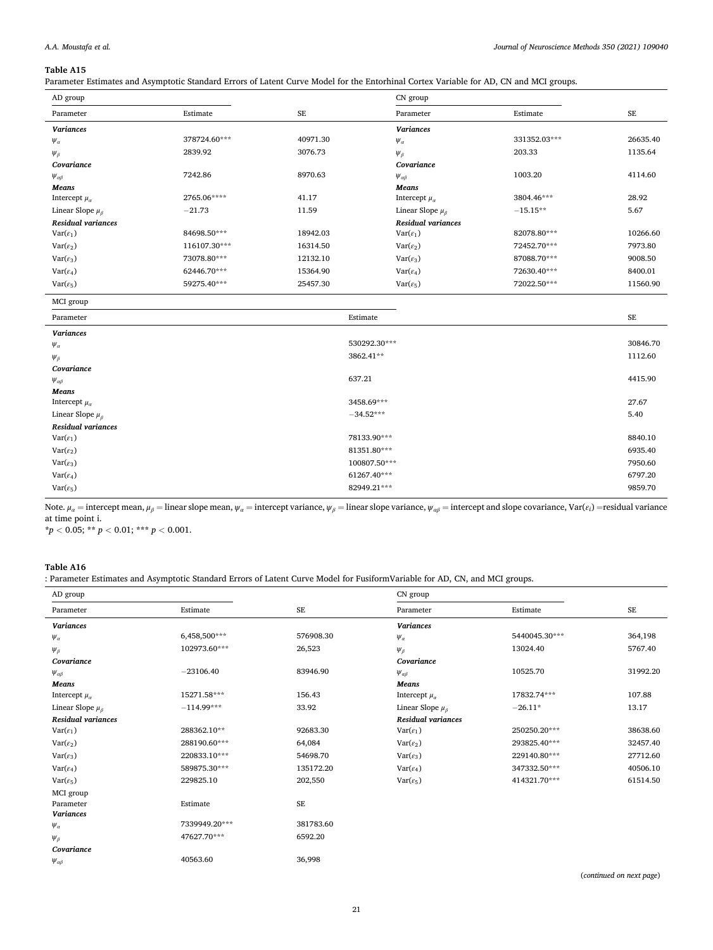# *A.A. Moustafa et al.*

## **Table A15**

Parameter Estimates and Asymptotic Standard Errors of Latent Curve Model for the Entorhinal Cortex Variable for AD, CN and MCI groups.

| AD group                   |              |           | CN group                   |              |           |
|----------------------------|--------------|-----------|----------------------------|--------------|-----------|
| Parameter                  | Estimate     | <b>SE</b> | Parameter                  | Estimate     | <b>SE</b> |
| <b>Variances</b>           |              |           | <b>Variances</b>           |              |           |
| $\Psi_{\alpha}$            | 378724.60*** | 40971.30  | $\Psi_{\alpha}$            | 331352.03*** | 26635.40  |
| $\Psi_{\beta}$             | 2839.92      | 3076.73   | $\Psi_{\beta}$             | 203.33       | 1135.64   |
| Covariance                 |              |           | Covariance                 |              |           |
| $\Psi_{\alpha\beta}$       | 7242.86      | 8970.63   | $\Psi_{\alpha\beta}$       | 1003.20      | 4114.60   |
| Means                      |              |           | Means                      |              |           |
| Intercept $\mu_a$          | 2765.06****  | 41.17     | Intercept $\mu_a$          | 3804.46***   | 28.92     |
| Linear Slope $\mu_{\beta}$ | $-21.73$     | 11.59     | Linear Slope $\mu_{\beta}$ | $-15.15**$   | 5.67      |
| <b>Residual variances</b>  |              |           | <b>Residual variances</b>  |              |           |
| $Var(\varepsilon_1)$       | 84698.50***  | 18942.03  | $Var(\varepsilon_1)$       | 82078.80***  | 10266.60  |
| $Var(\varepsilon_2)$       | 116107.30*** | 16314.50  | $Var(\varepsilon_2)$       | 72452.70***  | 7973.80   |
| $Var(\varepsilon_3)$       | 73078.80***  | 12132.10  | $Var(\varepsilon_3)$       | 87088.70***  | 9008.50   |
| $Var(\varepsilon_4)$       | 62446.70***  | 15364.90  | $Var(\varepsilon_4)$       | 72630.40***  | 8400.01   |
| $Var(\varepsilon_5)$       | 59275.40***  | 25457.30  | $Var(\varepsilon_5)$       | 72022.50***  | 11560.90  |

| MCI group |
|-----------|

| <b>MCI</b> STOUP           |              |          |
|----------------------------|--------------|----------|
| Parameter                  | Estimate     | SE       |
| Variances                  |              |          |
| $\psi_\alpha$              | 530292.30*** | 30846.70 |
| $\Psi_{\beta}$             | 3862.41**    | 1112.60  |
| Covariance                 |              |          |
| $\Psi_{\alpha\beta}$       | 637.21       | 4415.90  |
| Means                      |              |          |
| Intercept $\mu_a$          | 3458.69***   | 27.67    |
| Linear Slope $\mu_{\beta}$ | $-34.52***$  | 5.40     |
| <b>Residual variances</b>  |              |          |
| $Var(\varepsilon_1)$       | 78133.90***  | 8840.10  |
| $Var(\varepsilon_2)$       | 81351.80***  | 6935.40  |
| $Var(\varepsilon_3)$       | 100807.50*** | 7950.60  |
| $Var(\varepsilon_4)$       | 61267.40***  | 6797.20  |
| $Var(\varepsilon_5)$       | 82949.21***  | 9859.70  |
|                            |              |          |

Note.  $\mu_a$  = intercept mean,  $\mu_\beta$  = linear slope mean,  $\psi_a$  = intercept variance,  $\psi_\beta$  = linear slope variance,  $\psi_{\alpha\beta}$  = intercept and slope covariance, Var( $\varepsilon_i$ ) = residual variance at time point i.

 $* p < 0.05; ** p < 0.01; ** p < 0.001.$ 

## **Table A16**

l,

: Parameter Estimates and Asymptotic Standard Errors of Latent Curve Model for FusiformVariable for AD, CN, and MCI groups.

| AD group                  |               |           | CN group                   |               |          |
|---------------------------|---------------|-----------|----------------------------|---------------|----------|
| Parameter                 | Estimate      | <b>SE</b> | Parameter                  | Estimate      | $\rm SE$ |
| <b>Variances</b>          |               |           | <b>Variances</b>           |               |          |
| $\psi_{\alpha}$           | 6,458,500***  | 576908.30 | $\psi_{\alpha}$            | 5440045.30*** | 364,198  |
| $\Psi_{\beta}$            | 102973.60***  | 26,523    | $\Psi_{\beta}$             | 13024.40      | 5767.40  |
| Covariance                |               |           | Covariance                 |               |          |
| $\Psi_{\alpha\beta}$      | $-23106.40$   | 83946.90  | $\Psi_{\alpha\beta}$       | 10525.70      | 31992.20 |
| Means                     |               |           | Means                      |               |          |
| Intercept $\mu_{\alpha}$  | 15271.58***   | 156.43    | Intercept $\mu_a$          | 17832.74***   | 107.88   |
| Linear Slope $\mu_\beta$  | $-114.99***$  | 33.92     | Linear Slope $\mu_{\beta}$ | $-26.11*$     | 13.17    |
| <b>Residual variances</b> |               |           | <b>Residual variances</b>  |               |          |
| $Var(\varepsilon_1)$      | 288362.10**   | 92683.30  | $Var(\varepsilon_1)$       | 250250.20***  | 38638.60 |
| $Var(\varepsilon_2)$      | 288190.60***  | 64,084    | $Var(\varepsilon_2)$       | 293825.40***  | 32457.40 |
| $Var(\varepsilon_3)$      | 220833.10***  | 54698.70  | $Var(\varepsilon_3)$       | 229140.80***  | 27712.60 |
| $Var(\varepsilon_4)$      | 589875.30***  | 135172.20 | $Var(\varepsilon_4)$       | 347332.50***  | 40506.10 |
| $Var(\varepsilon_5)$      | 229825.10     | 202,550   | $Var(\varepsilon_5)$       | 414321.70***  | 61514.50 |
| MCI group                 |               |           |                            |               |          |
| Parameter                 | Estimate      | <b>SE</b> |                            |               |          |
| <b>Variances</b>          |               |           |                            |               |          |
| $\psi_{\alpha}$           | 7339949.20*** | 381783.60 |                            |               |          |
| $\Psi_{\beta}$            | 47627.70***   | 6592.20   |                            |               |          |
| Covariance                |               |           |                            |               |          |
| $\Psi_{\alpha\beta}$      | 40563.60      | 36,998    |                            |               |          |

(*continued on next page*)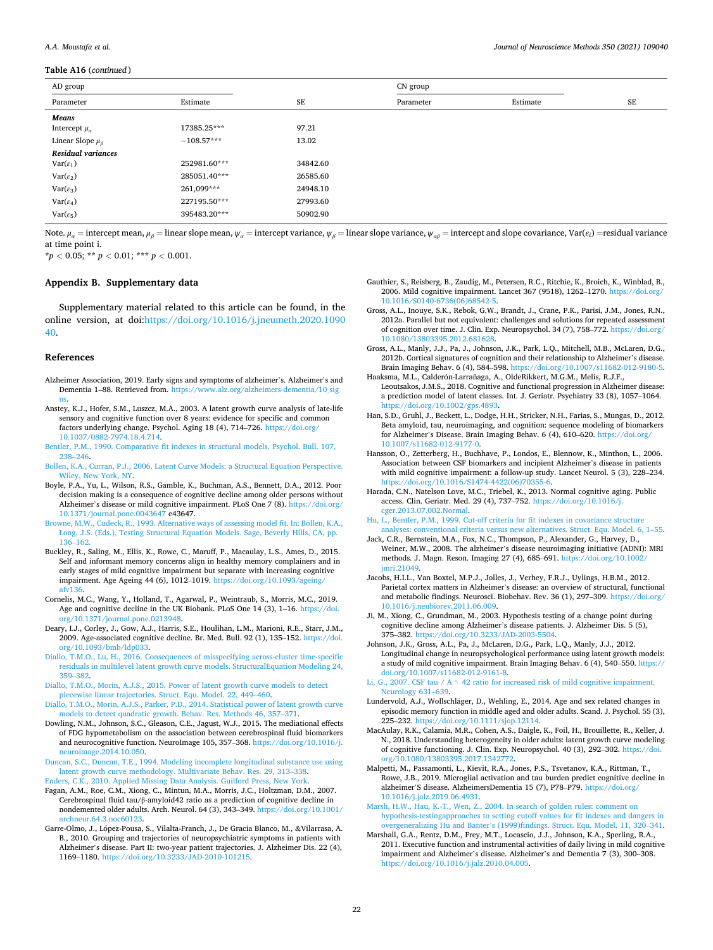#### <span id="page-21-0"></span>**Table A16** (*continued* )

| AD group                   |              |          | CN group  |          |    |
|----------------------------|--------------|----------|-----------|----------|----|
| Parameter                  | Estimate     | SE       | Parameter | Estimate | SE |
| Means                      |              |          |           |          |    |
| Intercept $\mu_a$          | 17385.25***  | 97.21    |           |          |    |
| Linear Slope $\mu_{\beta}$ | $-108.57***$ | 13.02    |           |          |    |
| <b>Residual variances</b>  |              |          |           |          |    |
| $Var(\varepsilon_1)$       | 252981.60*** | 34842.60 |           |          |    |
| $Var(\varepsilon_2)$       | 285051.40*** | 26585.60 |           |          |    |
| $Var(\varepsilon_3)$       | 261,099***   | 24948.10 |           |          |    |
| $Var(\varepsilon_4)$       | 227195.50*** | 27993.60 |           |          |    |
| $Var(\varepsilon_5)$       | 395483.20*** | 50902.90 |           |          |    |

Note.  $\mu_a$  = intercept mean,  $\mu_b$  = linear slope mean,  $\psi_a$  = intercept variance,  $\psi_b$  = linear slope variance,  $\psi_{ab}$  = intercept and slope covariance, Var( $\epsilon_i$ ) = residual variance at time point i.

**\****p <* 0.05; **\*\*** *p <* 0.01; **\*\*\*** *p <* 0.001.

## **Appendix B. Supplementary data**

Supplementary material related to this article can be found, in the online version, at doi:[https://doi.org/10.1016/j.jneumeth.2020.1090](https://doi.org/10.1016/j.jneumeth.2020.109040)  [40.](https://doi.org/10.1016/j.jneumeth.2020.109040)

#### **References**

- Alzheimer Association, 2019. Early signs and symptoms of alzheimer's. Alzheimer's and Dementia 1–88. Retrieved from. [https://www.alz.org/alzheimers-dementia/10\\_sig](https://www.alz.org/alzheimers-dementia/10_signs) [ns.](https://www.alz.org/alzheimers-dementia/10_signs)
- Anstey, K.J., Hofer, S.M., Luszcz, M.A., 2003. A latent growth curve analysis of late-life sensory and cognitive function over 8 years: evidence for specific and common factors underlying change. Psychol. Aging 18 (4), 714–726. [https://doi.org/](https://doi.org/10.1037/0882-7974.18.4.714) [10.1037/0882-7974.18.4.714.](https://doi.org/10.1037/0882-7974.18.4.714)
- [Bentler, P.M., 1990. Comparative fit indexes in structural models. Psychol. Bull. 107,](http://refhub.elsevier.com/S0165-0270(20)30463-5/sbref0015)  238–[246](http://refhub.elsevier.com/S0165-0270(20)30463-5/sbref0015).
- [Bollen, K.A., Curran, P.J., 2006. Latent Curve Models: a Structural Equation Perspective.](http://refhub.elsevier.com/S0165-0270(20)30463-5/sbref0020)  [Wiley, New York, NY](http://refhub.elsevier.com/S0165-0270(20)30463-5/sbref0020).
- Boyle, P.A., Yu, L., Wilson, R.S., Gamble, K., Buchman, A.S., Bennett, D.A., 2012. Poor decision making is a consequence of cognitive decline among older persons without Alzheimer's disease or mild cognitive impairment. PLoS One 7 (8). [https://doi.org/](https://doi.org/10.1371/journal.pone.0043647)  [10.1371/journal.pone.0043647](https://doi.org/10.1371/journal.pone.0043647) e43647.
- [Browne, M.W., Cudeck, R., 1993. Alternative ways of assessing model fit. In: Bollen, K.A.,](http://refhub.elsevier.com/S0165-0270(20)30463-5/sbref0030)  [Long, J.S. \(Eds.\), Testing Structural Equation Models. Sage, Beverly Hills, CA, pp.](http://refhub.elsevier.com/S0165-0270(20)30463-5/sbref0030) 136–[162.](http://refhub.elsevier.com/S0165-0270(20)30463-5/sbref0030)
- Buckley, R., Saling, M., Ellis, K., Rowe, C., Maruff, P., Macaulay, L.S., Ames, D., 2015. Self and informant memory concerns align in healthy memory complainers and in early stages of mild cognitive impairment but separate with increasing cognitive impairment. Age Ageing 44 (6), 1012–1019. https://doi.org/10.1093/a [afv136](https://doi.org/10.1093/ageing/afv136).
- Cornelis, M.C., Wang, Y., Holland, T., Agarwal, P., Weintraub, S., Morris, M.C., 2019. Age and cognitive decline in the UK Biobank. PLoS One 14 (3), 1–16. [https://doi.](https://doi.org/10.1371/journal.pone.0213948)  [org/10.1371/journal.pone.0213948](https://doi.org/10.1371/journal.pone.0213948).
- Deary, I.J., Corley, J., Gow, A.J., Harris, S.E., Houlihan, L.M., Marioni, R.E., Starr, J.M., 2009. Age-associated cognitive decline. Br. Med. Bull. 92 (1), 135–152. [https://doi.](https://doi.org/10.1093/bmb/ldp033)  [org/10.1093/bmb/ldp033.](https://doi.org/10.1093/bmb/ldp033)
- [Diallo, T.M.O., Lu, H., 2016. Consequences of misspecifying across-cluster time-specific](http://refhub.elsevier.com/S0165-0270(20)30463-5/sbref0050)  [residuals in multilevel latent growth curve models. StructuralEquation Modeling 24,](http://refhub.elsevier.com/S0165-0270(20)30463-5/sbref0050)  359–[382](http://refhub.elsevier.com/S0165-0270(20)30463-5/sbref0050).
- [Diallo, T.M.O., Morin, A.J.S., 2015. Power of latent growth curve models to detect](http://refhub.elsevier.com/S0165-0270(20)30463-5/sbref0055)  [piecewise linear trajectories. Struct. Equ. Model. 22, 449](http://refhub.elsevier.com/S0165-0270(20)30463-5/sbref0055)–460.
- [Diallo, T.M.O., Morin, A.J.S., Parker, P.D., 2014. Statistical power of latent growth curve](http://refhub.elsevier.com/S0165-0270(20)30463-5/sbref0060)  [models to detect quadratic growth. Behav. Res. Methods 46, 357](http://refhub.elsevier.com/S0165-0270(20)30463-5/sbref0060)–371.
- Dowling, N.M., Johnson, S.C., Gleason, C.E., Jagust, W.J., 2015. The mediational effects of FDG hypometabolism on the association between cerebrospinal fluid biomarkers and neurocognitive function. NeuroImage 105, 357–368. [https://doi.org/10.1016/j.](https://doi.org/10.1016/j.neuroimage.2014.10.050)  [neuroimage.2014.10.050.](https://doi.org/10.1016/j.neuroimage.2014.10.050)
- [Duncan, S.C., Duncan, T.E., 1994. Modeling incomplete longitudinal substance use using](http://refhub.elsevier.com/S0165-0270(20)30463-5/sbref0070)  [latent growth curve methodology. Multivariate Behav. Res. 29, 313](http://refhub.elsevier.com/S0165-0270(20)30463-5/sbref0070)–338.
- [Enders, C.K., 2010. Applied Missing Data Analysis. Guilford Press, New York.](http://refhub.elsevier.com/S0165-0270(20)30463-5/sbref0075) Fagan, A.M., Roe, C.M., Xiong, C., Mintun, M.A., Morris, J.C., Holtzman, D.M., 2007. Cerebrospinal fluid tau/β-amyloid42 ratio as a prediction of cognitive decline in nondemented older adults. Arch. Neurol. 64 (3), 343–349. [https://doi.org/10.1001/](https://doi.org/10.1001/archneur.64.3.noc60123)  [archneur.64.3.noc60123.](https://doi.org/10.1001/archneur.64.3.noc60123)
- Garre-Olmo, J., López-Pousa, S., Vilalta-Franch, J., De Gracia Blanco, M., &Vilarrasa, A. B., 2010. Grouping and trajectories of neuropsychiatric symptoms in patients with Alzheimer's disease. Part II: two-year patient trajectories. J. Alzheimer Dis. 22 (4), 1169–1180. [https://doi.org/10.3233/JAD-2010-101215.](https://doi.org/10.3233/JAD-2010-101215)
- Gauthier, S., Reisberg, B., Zaudig, M., Petersen, R.C., Ritchie, K., Broich, K., Winblad, B., 2006. Mild cognitive impairment. Lancet 367 (9518), 1262–1270. [https://doi.org/](https://doi.org/10.1016/S0140-6736(06)68542-5)  [10.1016/S0140-6736\(06\)68542-5.](https://doi.org/10.1016/S0140-6736(06)68542-5)
- Gross, A.L., Inouye, S.K., Rebok, G.W., Brandt, J., Crane, P.K., Parisi, J.M., Jones, R.N., 2012a. Parallel but not equivalent: challenges and solutions for repeated assessment of cognition over time. J. Clin. Exp. Neuropsychol. 34 (7), 758–772. [https://doi.org/](https://doi.org/10.1080/13803395.2012.681628)  [10.1080/13803395.2012.681628](https://doi.org/10.1080/13803395.2012.681628).
- Gross, A.L., Manly, J.J., Pa, J., Johnson, J.K., Park, L.Q., Mitchell, M.B., McLaren, D.G., 2012b. Cortical signatures of cognition and their relationship to Alzheimer's disease. Brain Imaging Behav. 6 (4), 584–598. [https://doi.org/10.1007/s11682-012-9180-5.](https://doi.org/10.1007/s11682-012-9180-5) Haaksma, M.L., Calderón-Larrañaga, A., OldeRikkert, M.G.M., Melis, R.J.F.,
- Leoutsakos, J.M.S., 2018. Cognitive and functional progression in Alzheimer disease: a prediction model of latent classes. Int. J. Geriatr. Psychiatry 33 (8), 1057–1064.  $\frac{\text{doi.org}}{10.1002 \text{/gps}}$ .4893
- Han, S.D., Gruhl, J., Beckett, L., Dodge, H.H., Stricker, N.H., Farias, S., Mungas, D., 2012. Beta amyloid, tau, neuroimaging, and cognition: sequence modeling of biomarkers for Alzheimer's Disease. Brain Imaging Behav. 6 (4), 610–620. [https://doi.org/](https://doi.org/10.1007/s11682-012-9177-0)  [10.1007/s11682-012-9177-0](https://doi.org/10.1007/s11682-012-9177-0).
- Hansson, O., Zetterberg, H., Buchhave, P., Londos, E., Blennow, K., Minthon, L., 2006. Association between CSF biomarkers and incipient Alzheimer's disease in patients with mild cognitive impairment: a follow-up study. Lancet Neurol. 5 (3), 228–234. https://doi.org/10.1016/S1474-4422(06)7035
- Harada, C.N., Natelson Love, M.C., Triebel, K., 2013. Normal cognitive aging. Public access. Clin. Geriatr. Med. 29 (4), 737–752. [https://doi.org/10.1016/j.](https://doi.org/10.1016/j.cger.2013.07.002.Normal)  [cger.2013.07.002.Normal](https://doi.org/10.1016/j.cger.2013.07.002.Normal).
- [Hu, L., Bentler, P.M., 1999. Cut-off criteria for fit indexes in covariance structure](http://refhub.elsevier.com/S0165-0270(20)30463-5/sbref0125) [analyses: conventional criteria versus new alternatives. Struct. Equ. Model. 6, 1](http://refhub.elsevier.com/S0165-0270(20)30463-5/sbref0125)–55.
- Jack, C.R., Bernstein, M.A., Fox, N.C., Thompson, P., Alexander, G., Harvey, D., Weiner, M.W., 2008. The alzheimer's disease neuroimaging initiative (ADNI): MRI methods. J. Magn. Reson. Imaging 27 (4), 685–691. [https://doi.org/10.1002/](https://doi.org/10.1002/jmri.21049) [jmri.21049.](https://doi.org/10.1002/jmri.21049)
- Jacobs, H.I.L., Van Boxtel, M.P.J., Jolles, J., Verhey, F.R.J., Uylings, H.B.M., 2012. Parietal cortex matters in Alzheimer's disease: an overview of structural, functional and metabolic findings. Neurosci. Biobehav. Rev. 36 (1), 297–309. [https://doi.org/](https://doi.org/10.1016/j.neubiorev.2011.06.009)  [10.1016/j.neubiorev.2011.06.009.](https://doi.org/10.1016/j.neubiorev.2011.06.009)
- Ji, M., Xiong, C., Grundman, M., 2003. Hypothesis testing of a change point during cognitive decline among Alzheimer's disease patients. J. Alzheimer Dis. 5 (5), 375–382. [https://doi.org/10.3233/JAD-2003-5504.](https://doi.org/10.3233/JAD-2003-5504)
- Johnson, J.K., Gross, A.L., Pa, J., McLaren, D.G., Park, L.Q., Manly, J.J., 2012. Longitudinal change in neuropsychological performance using latent growth models: a study of mild cognitive impairment. Brain Imaging Behav. 6 (4), 540–550. [https://](https://doi.org/10.1007/s11682-012-9161-8)  [doi.org/10.1007/s11682-012-9161-8.](https://doi.org/10.1007/s11682-012-9161-8)
- Li, G., 2007. CSF tau / A  $\land$  [42 ratio for increased risk of mild cognitive impairment.](http://refhub.elsevier.com/S0165-0270(20)30463-5/sbref0150) [Neurology 631](http://refhub.elsevier.com/S0165-0270(20)30463-5/sbref0150)–639.
- Lundervold, A.J., Wollschläger, D., Wehling, E., 2014. Age and sex related changes in episodic memory function in middle aged and older adults. Scand. J. Psychol. 55 (3), 225–232. <https://doi.org/10.1111/sjop.12114>.
- MacAulay, R.K., Calamia, M.R., Cohen, A.S., Daigle, K., Foil, H., Brouillette, R., Keller, J. N., 2018. Understanding heterogeneity in older adults: latent growth curve modeling of cognitive functioning. J. Clin. Exp. Neuropsychol. 40 (3), 292–302. [https://doi.](https://doi.org/10.1080/13803395.2017.1342772) org/10.1080/13803395.2017.1342
- Malpetti, M., Passamonti, L., Kievit, R.A., Jones, P.S., Tsvetanov, K.A., Rittman, T., Rowe, J.B., 2019. Microglial activation and tau burden predict cognitive decline in alzheimer'S disease. AlzheimersDementia 15 (7), P78–P79. [https://doi.org/](https://doi.org/10.1016/j.jalz.2019.06.4931) [10.1016/j.jalz.2019.06.4931.](https://doi.org/10.1016/j.jalz.2019.06.4931)
- [Marsh, H.W., Hau, K.-T., Wen, Z., 2004. In search of golden rules: comment on](http://refhub.elsevier.com/S0165-0270(20)30463-5/sbref0170) [hypothesis-testingapproaches to setting cutoff values for fit indexes and dangers in](http://refhub.elsevier.com/S0165-0270(20)30463-5/sbref0170)  overgeneralizing Hu and Banter'[s \(1999\)findings. Struct. Equ. Model. 11, 320](http://refhub.elsevier.com/S0165-0270(20)30463-5/sbref0170)–341.
- Marshall, G.A., Rentz, D.M., Frey, M.T., Locascio, J.J., Johnson, K.A., Sperling, R.A., 2011. Executive function and instrumental activities of daily living in mild cognitive impairment and Alzheimer's disease. Alzheimer's and Dementia 7 (3), 300–308. [https://doi.org/10.1016/j.jalz.2010.04.005.](https://doi.org/10.1016/j.jalz.2010.04.005)